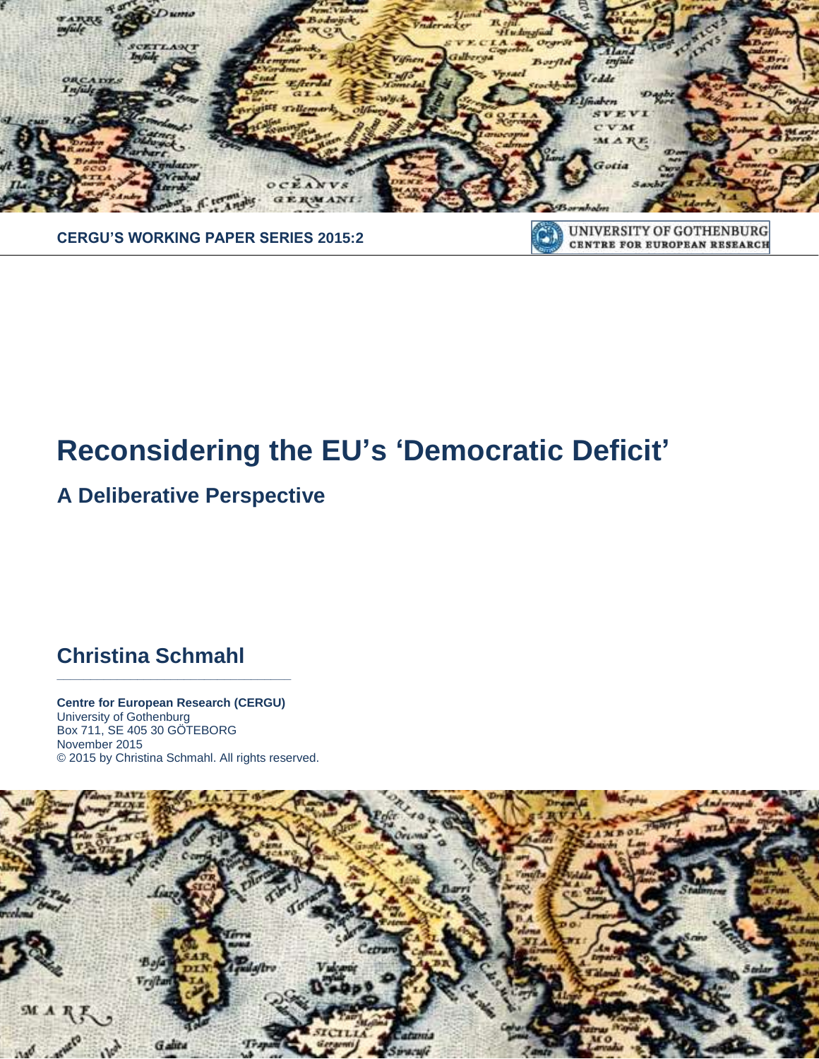

# **Reconsidering the EU's 'Democratic Deficit'**

## **A Deliberative Perspective**

## **Christina Schmahl**

**Centre for European Research (CERGU)**  University of Gothenburg Box 711, SE 405 30 GÖTEBORG November 2015 © 2015 by Christina Schmahl. All rights reserved.

**\_\_\_\_\_\_\_\_\_\_\_\_\_\_\_\_\_\_\_\_\_\_\_\_\_\_\_\_\_\_\_\_\_\_\_**

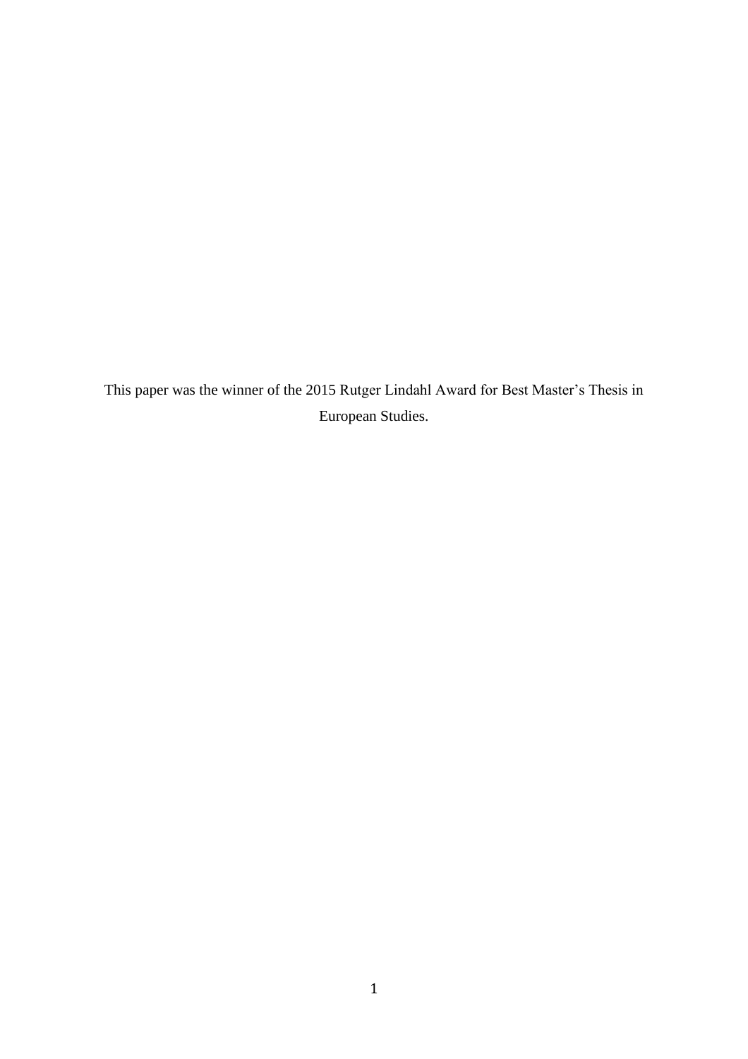This paper was the winner of the 2015 Rutger Lindahl Award for Best Master's Thesis in European Studies.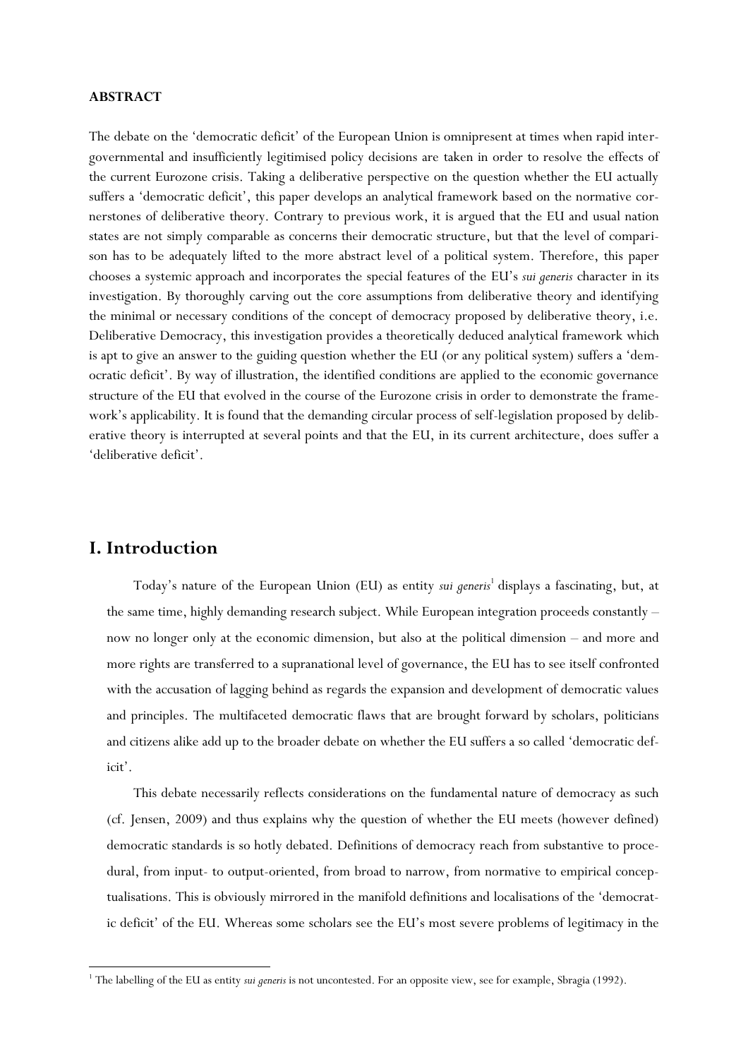## **ABSTRACT**

The debate on the 'democratic deficit' of the European Union is omnipresent at times when rapid intergovernmental and insufficiently legitimised policy decisions are taken in order to resolve the effects of the current Eurozone crisis. Taking a deliberative perspective on the question whether the EU actually suffers a 'democratic deficit', this paper develops an analytical framework based on the normative cornerstones of deliberative theory. Contrary to previous work, it is argued that the EU and usual nation states are not simply comparable as concerns their democratic structure, but that the level of comparison has to be adequately lifted to the more abstract level of a political system. Therefore, this paper chooses a systemic approach and incorporates the special features of the EU's *sui generis* character in its investigation. By thoroughly carving out the core assumptions from deliberative theory and identifying the minimal or necessary conditions of the concept of democracy proposed by deliberative theory, i.e. Deliberative Democracy, this investigation provides a theoretically deduced analytical framework which is apt to give an answer to the guiding question whether the EU (or any political system) suffers a 'democratic deficit'. By way of illustration, the identified conditions are applied to the economic governance structure of the EU that evolved in the course of the Eurozone crisis in order to demonstrate the framework's applicability. It is found that the demanding circular process of self-legislation proposed by deliberative theory is interrupted at several points and that the EU, in its current architecture, does suffer a 'deliberative deficit'.

## **I. Introduction**

 $\overline{\phantom{a}}$ 

Today's nature of the European Union (EU) as entity *sui generis*<sup>1</sup> displays a fascinating, but, at the same time, highly demanding research subject. While European integration proceeds constantly – now no longer only at the economic dimension, but also at the political dimension – and more and more rights are transferred to a supranational level of governance, the EU has to see itself confronted with the accusation of lagging behind as regards the expansion and development of democratic values and principles. The multifaceted democratic flaws that are brought forward by scholars, politicians and citizens alike add up to the broader debate on whether the EU suffers a so called 'democratic deficit'.

This debate necessarily reflects considerations on the fundamental nature of democracy as such (cf. Jensen, 2009) and thus explains why the question of whether the EU meets (however defined) democratic standards is so hotly debated. Definitions of democracy reach from substantive to procedural, from input- to output-oriented, from broad to narrow, from normative to empirical conceptualisations. This is obviously mirrored in the manifold definitions and localisations of the 'democratic deficit' of the EU. Whereas some scholars see the EU's most severe problems of legitimacy in the

<sup>&</sup>lt;sup>1</sup> The labelling of the EU as entity *sui generis* is not uncontested. For an opposite view, see for example, Sbragia (1992).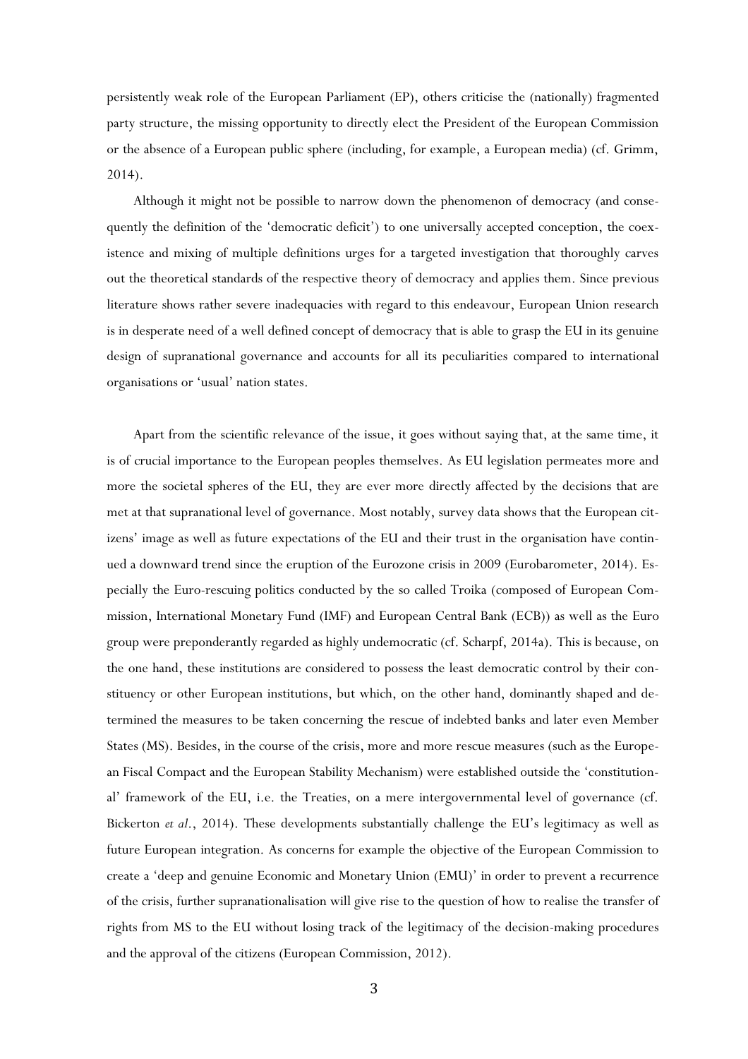persistently weak role of the European Parliament (EP), others criticise the (nationally) fragmented party structure, the missing opportunity to directly elect the President of the European Commission or the absence of a European public sphere (including, for example, a European media) (cf. Grimm, 2014).

Although it might not be possible to narrow down the phenomenon of democracy (and consequently the definition of the 'democratic deficit') to one universally accepted conception, the coexistence and mixing of multiple definitions urges for a targeted investigation that thoroughly carves out the theoretical standards of the respective theory of democracy and applies them. Since previous literature shows rather severe inadequacies with regard to this endeavour, European Union research is in desperate need of a well defined concept of democracy that is able to grasp the EU in its genuine design of supranational governance and accounts for all its peculiarities compared to international organisations or 'usual' nation states.

Apart from the scientific relevance of the issue, it goes without saying that, at the same time, it is of crucial importance to the European peoples themselves. As EU legislation permeates more and more the societal spheres of the EU, they are ever more directly affected by the decisions that are met at that supranational level of governance. Most notably, survey data shows that the European citizens' image as well as future expectations of the EU and their trust in the organisation have continued a downward trend since the eruption of the Eurozone crisis in 2009 (Eurobarometer, 2014). Especially the Euro-rescuing politics conducted by the so called Troika (composed of European Commission, International Monetary Fund (IMF) and European Central Bank (ECB)) as well as the Euro group were preponderantly regarded as highly undemocratic (cf. Scharpf, 2014a). This is because, on the one hand, these institutions are considered to possess the least democratic control by their constituency or other European institutions, but which, on the other hand, dominantly shaped and determined the measures to be taken concerning the rescue of indebted banks and later even Member States (MS). Besides, in the course of the crisis, more and more rescue measures (such as the European Fiscal Compact and the European Stability Mechanism) were established outside the 'constitutional' framework of the EU, i.e. the Treaties, on a mere intergovernmental level of governance (cf. Bickerton *et al*., 2014). These developments substantially challenge the EU's legitimacy as well as future European integration. As concerns for example the objective of the European Commission to create a 'deep and genuine Economic and Monetary Union (EMU)' in order to prevent a recurrence of the crisis, further supranationalisation will give rise to the question of how to realise the transfer of rights from MS to the EU without losing track of the legitimacy of the decision-making procedures and the approval of the citizens (European Commission, 2012).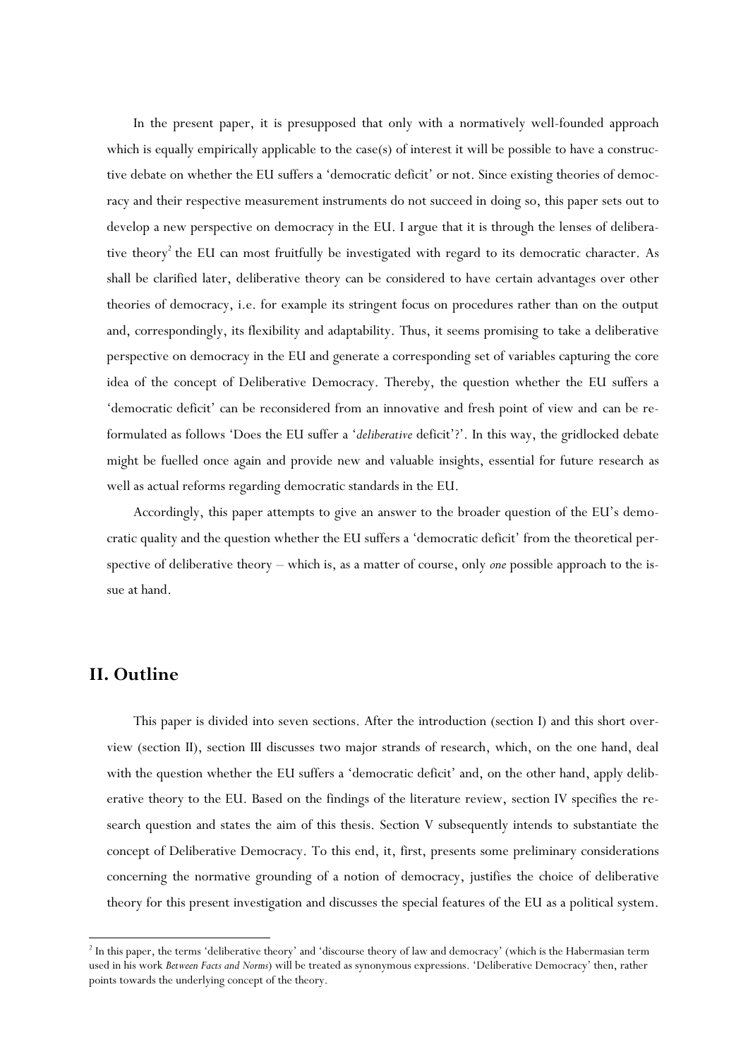In the present paper, it is presupposed that only with a normatively well-founded approach which is equally empirically applicable to the case(s) of interest it will be possible to have a constructive debate on whether the EU suffers a 'democratic deficit' or not. Since existing theories of democracy and their respective measurement instruments do not succeed in doing so, this paper sets out to develop a new perspective on democracy in the EU. I argue that it is through the lenses of deliberative theory<sup>2</sup> the EU can most fruitfully be investigated with regard to its democratic character. As shall be clarified later, deliberative theory can be considered to have certain advantages over other theories of democracy, i.e. for example its stringent focus on procedures rather than on the output and, correspondingly, its flexibility and adaptability. Thus, it seems promising to take a deliberative perspective on democracy in the EU and generate a corresponding set of variables capturing the core idea of the concept of Deliberative Democracy. Thereby, the question whether the EU suffers a 'democratic deficit' can be reconsidered from an innovative and fresh point of view and can be reformulated as follows 'Does the EU suffer a '*deliberative* deficit'?'. In this way, the gridlocked debate might be fuelled once again and provide new and valuable insights, essential for future research as well as actual reforms regarding democratic standards in the EU.

Accordingly, this paper attempts to give an answer to the broader question of the EU's democratic quality and the question whether the EU suffers a 'democratic deficit' from the theoretical perspective of deliberative theory – which is, as a matter of course, only *one* possible approach to the issue at hand.

## **II. Outline**

 $\overline{\phantom{a}}$ 

This paper is divided into seven sections. After the introduction (section I) and this short overview (section II), section III discusses two major strands of research, which, on the one hand, deal with the question whether the EU suffers a 'democratic deficit' and, on the other hand, apply deliberative theory to the EU. Based on the findings of the literature review, section IV specifies the research question and states the aim of this thesis. Section V subsequently intends to substantiate the concept of Deliberative Democracy. To this end, it, first, presents some preliminary considerations concerning the normative grounding of a notion of democracy, justifies the choice of deliberative theory for this present investigation and discusses the special features of the EU as a political system.

 $2^2$  In this paper, the terms 'deliberative theory' and 'discourse theory of law and democracy' (which is the Habermasian term used in his work *Between Facts and Norms*) will be treated as synonymous expressions. 'Deliberative Democracy' then, rather points towards the underlying concept of the theory.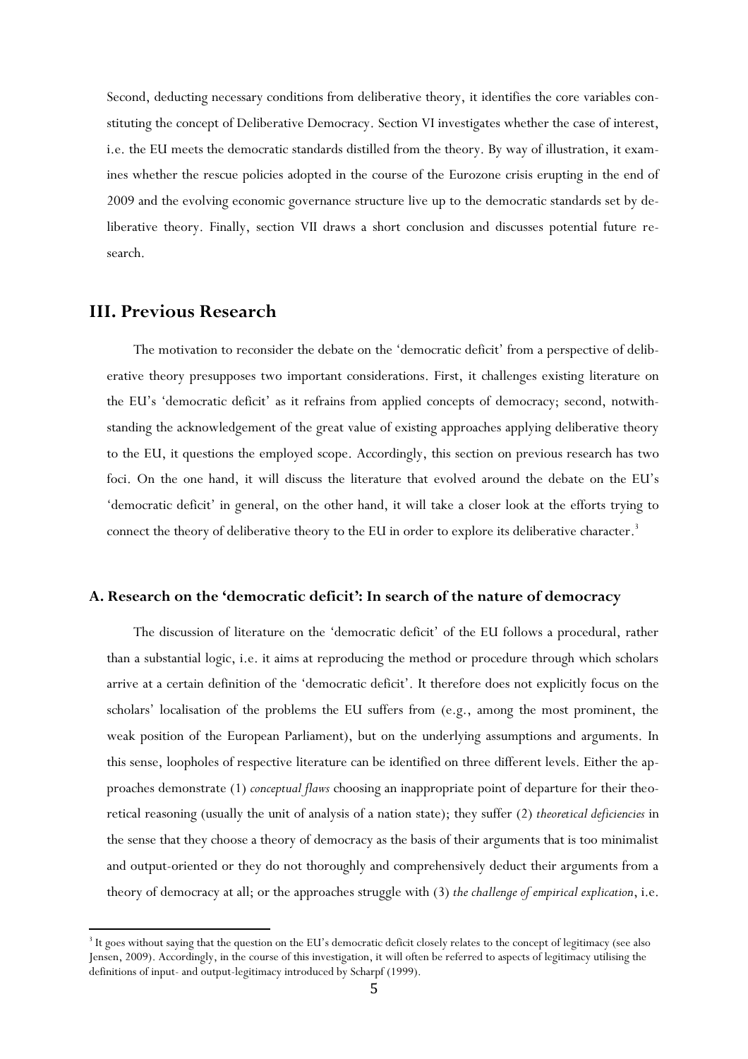Second, deducting necessary conditions from deliberative theory, it identifies the core variables constituting the concept of Deliberative Democracy. Section VI investigates whether the case of interest, i.e. the EU meets the democratic standards distilled from the theory. By way of illustration, it examines whether the rescue policies adopted in the course of the Eurozone crisis erupting in the end of 2009 and the evolving economic governance structure live up to the democratic standards set by deliberative theory. Finally, section VII draws a short conclusion and discusses potential future research.

## **III. Previous Research**

 $\overline{\phantom{a}}$ 

The motivation to reconsider the debate on the 'democratic deficit' from a perspective of deliberative theory presupposes two important considerations. First, it challenges existing literature on the EU's 'democratic deficit' as it refrains from applied concepts of democracy; second, notwithstanding the acknowledgement of the great value of existing approaches applying deliberative theory to the EU, it questions the employed scope. Accordingly, this section on previous research has two foci. On the one hand, it will discuss the literature that evolved around the debate on the EU's 'democratic deficit' in general, on the other hand, it will take a closer look at the efforts trying to connect the theory of deliberative theory to the EU in order to explore its deliberative character.<sup>3</sup>

## **A. Research on the 'democratic deficit': In search of the nature of democracy**

The discussion of literature on the 'democratic deficit' of the EU follows a procedural, rather than a substantial logic, i.e. it aims at reproducing the method or procedure through which scholars arrive at a certain definition of the 'democratic deficit'. It therefore does not explicitly focus on the scholars' localisation of the problems the EU suffers from (e.g., among the most prominent, the weak position of the European Parliament), but on the underlying assumptions and arguments. In this sense, loopholes of respective literature can be identified on three different levels. Either the approaches demonstrate (1) *conceptual flaws* choosing an inappropriate point of departure for their theoretical reasoning (usually the unit of analysis of a nation state); they suffer (2) *theoretical deficiencies* in the sense that they choose a theory of democracy as the basis of their arguments that is too minimalist and output-oriented or they do not thoroughly and comprehensively deduct their arguments from a theory of democracy at all; or the approaches struggle with (3) *the challenge of empirical explication*, i.e.

<sup>&</sup>lt;sup>3</sup> It goes without saying that the question on the EU's democratic deficit closely relates to the concept of legitimacy (see also Jensen, 2009). Accordingly, in the course of this investigation, it will often be referred to aspects of legitimacy utilising the definitions of input- and output-legitimacy introduced by Scharpf (1999).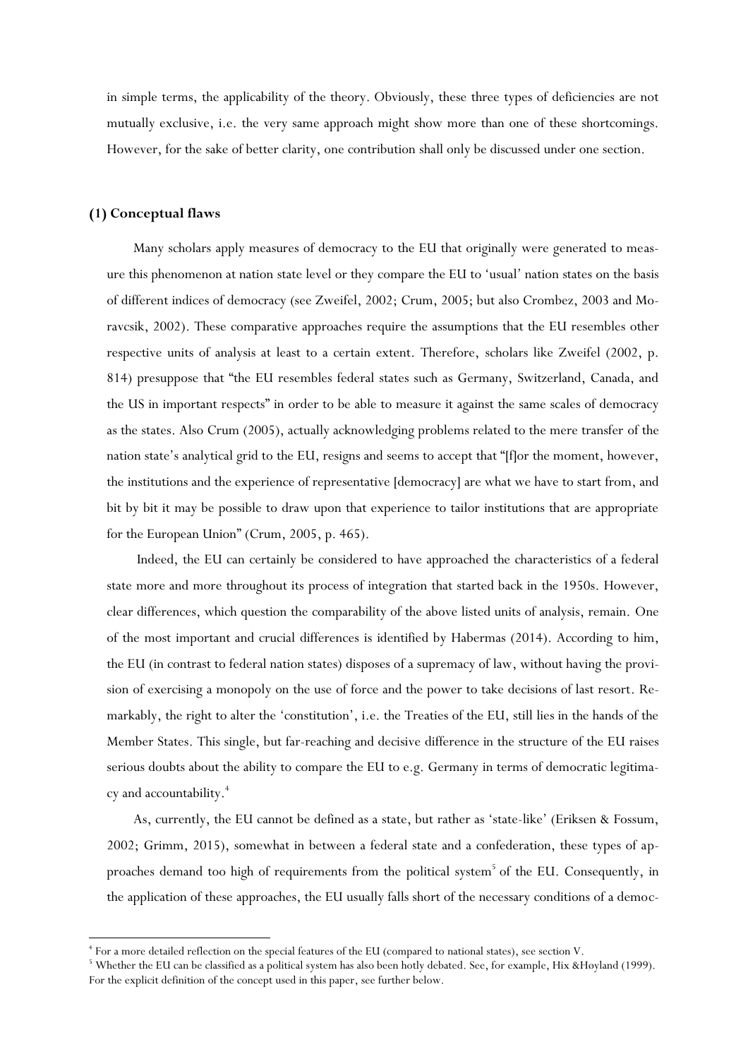in simple terms, the applicability of the theory. Obviously, these three types of deficiencies are not mutually exclusive, i.e. the very same approach might show more than one of these shortcomings. However, for the sake of better clarity, one contribution shall only be discussed under one section.

## **(1) Conceptual flaws**

 $\overline{\phantom{a}}$ 

Many scholars apply measures of democracy to the EU that originally were generated to measure this phenomenon at nation state level or they compare the EU to 'usual' nation states on the basis of different indices of democracy (see Zweifel, 2002; Crum, 2005; but also Crombez, 2003 and Moravcsik, 2002). These comparative approaches require the assumptions that the EU resembles other respective units of analysis at least to a certain extent. Therefore, scholars like Zweifel (2002, p. 814) presuppose that "the EU resembles federal states such as Germany, Switzerland, Canada, and the US in important respects" in order to be able to measure it against the same scales of democracy as the states. Also Crum (2005), actually acknowledging problems related to the mere transfer of the nation state's analytical grid to the EU, resigns and seems to accept that "[f]or the moment, however, the institutions and the experience of representative [democracy] are what we have to start from, and bit by bit it may be possible to draw upon that experience to tailor institutions that are appropriate for the European Union" (Crum, 2005, p. 465).

Indeed, the EU can certainly be considered to have approached the characteristics of a federal state more and more throughout its process of integration that started back in the 1950s. However, clear differences, which question the comparability of the above listed units of analysis, remain. One of the most important and crucial differences is identified by Habermas (2014). According to him, the EU (in contrast to federal nation states) disposes of a supremacy of law, without having the provision of exercising a monopoly on the use of force and the power to take decisions of last resort. Remarkably, the right to alter the 'constitution', i.e. the Treaties of the EU, still lies in the hands of the Member States. This single, but far-reaching and decisive difference in the structure of the EU raises serious doubts about the ability to compare the EU to e.g. Germany in terms of democratic legitimacy and accountability.<sup>4</sup>

As, currently, the EU cannot be defined as a state, but rather as 'state-like' (Eriksen & Fossum, 2002; Grimm, 2015), somewhat in between a federal state and a confederation, these types of approaches demand too high of requirements from the political system<sup>5</sup> of the EU. Consequently, in the application of these approaches, the EU usually falls short of the necessary conditions of a democ-

<sup>4</sup> For a more detailed reflection on the special features of the EU (compared to national states), see section V.

<sup>&</sup>lt;sup>5</sup> Whether the EU can be classified as a political system has also been hotly debated. See, for example, Hix &Høyland (1999). For the explicit definition of the concept used in this paper, see further below.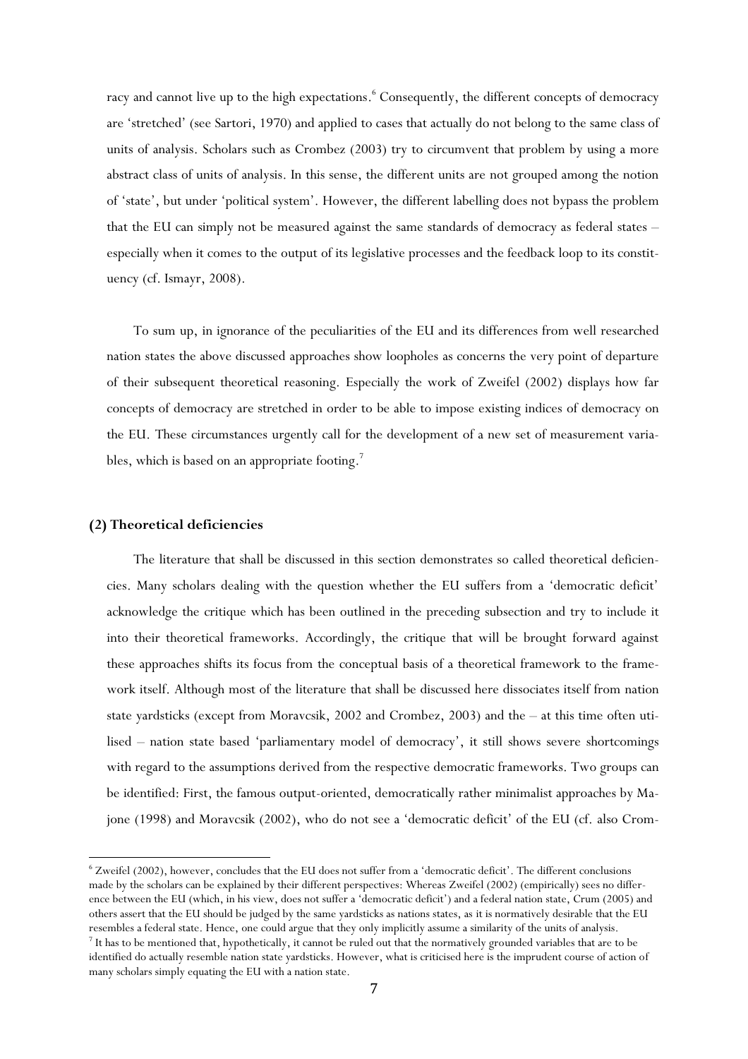racy and cannot live up to the high expectations. <sup>6</sup> Consequently, the different concepts of democracy are 'stretched' (see Sartori, 1970) and applied to cases that actually do not belong to the same class of units of analysis. Scholars such as Crombez (2003) try to circumvent that problem by using a more abstract class of units of analysis. In this sense, the different units are not grouped among the notion of 'state', but under 'political system'. However, the different labelling does not bypass the problem that the EU can simply not be measured against the same standards of democracy as federal states – especially when it comes to the output of its legislative processes and the feedback loop to its constituency (cf. Ismayr, 2008).

To sum up, in ignorance of the peculiarities of the EU and its differences from well researched nation states the above discussed approaches show loopholes as concerns the very point of departure of their subsequent theoretical reasoning. Especially the work of Zweifel (2002) displays how far concepts of democracy are stretched in order to be able to impose existing indices of democracy on the EU. These circumstances urgently call for the development of a new set of measurement variables, which is based on an appropriate footing.<sup>7</sup>

## **(2) Theoretical deficiencies**

The literature that shall be discussed in this section demonstrates so called theoretical deficiencies. Many scholars dealing with the question whether the EU suffers from a 'democratic deficit' acknowledge the critique which has been outlined in the preceding subsection and try to include it into their theoretical frameworks. Accordingly, the critique that will be brought forward against these approaches shifts its focus from the conceptual basis of a theoretical framework to the framework itself. Although most of the literature that shall be discussed here dissociates itself from nation state yardsticks (except from Moravcsik, 2002 and Crombez, 2003) and the – at this time often utilised – nation state based 'parliamentary model of democracy', it still shows severe shortcomings with regard to the assumptions derived from the respective democratic frameworks. Two groups can be identified: First, the famous output-oriented, democratically rather minimalist approaches by Majone (1998) and Moravcsik (2002), who do not see a 'democratic deficit' of the EU (cf. also Crom-

 $\overline{\phantom{a}}$ <sup>6</sup> Zweifel (2002), however, concludes that the EU does not suffer from a 'democratic deficit'. The different conclusions made by the scholars can be explained by their different perspectives: Whereas Zweifel (2002) (empirically) sees no difference between the EU (which, in his view, does not suffer a 'democratic deficit') and a federal nation state, Crum (2005) and others assert that the EU should be judged by the same yardsticks as nations states, as it is normatively desirable that the EU resembles a federal state. Hence, one could argue that they only implicitly assume a similarity of the units of analysis.  $^7$  It has to be mentioned that, hypothetically, it cannot be ruled out that the normatively grounded variables that are to be identified do actually resemble nation state yardsticks. However, what is criticised here is the imprudent course of action of many scholars simply equating the EU with a nation state.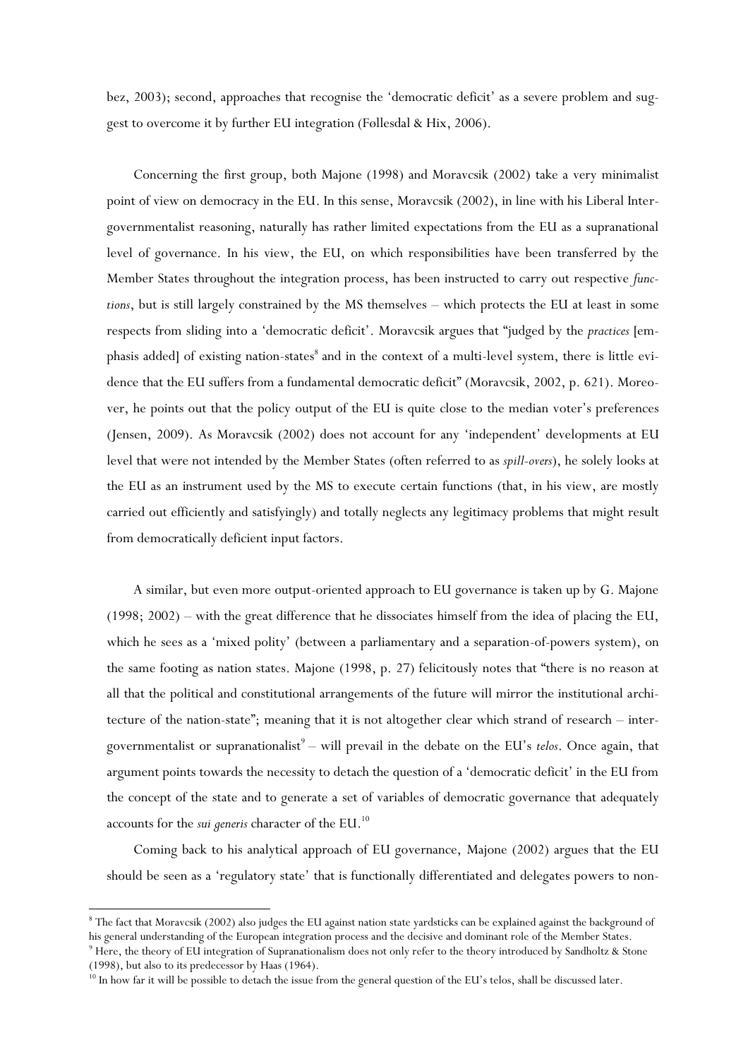bez, 2003); second, approaches that recognise the 'democratic deficit' as a severe problem and suggest to overcome it by further EU integration (Føllesdal & Hix, 2006).

Concerning the first group, both Majone (1998) and Moravcsik (2002) take a very minimalist point of view on democracy in the EU. In this sense, Moravcsik (2002), in line with his Liberal Intergovernmentalist reasoning, naturally has rather limited expectations from the EU as a supranational level of governance. In his view, the EU, on which responsibilities have been transferred by the Member States throughout the integration process, has been instructed to carry out respective *functions*, but is still largely constrained by the MS themselves – which protects the EU at least in some respects from sliding into a 'democratic deficit'. Moravcsik argues that "judged by the *practices* [emphasis added] of existing nation-states $^8$  and in the context of a multi-level system, there is little evidence that the EU suffers from a fundamental democratic deficit" (Moravcsik, 2002, p. 621). Moreover, he points out that the policy output of the EU is quite close to the median voter's preferences (Jensen, 2009). As Moravcsik (2002) does not account for any 'independent' developments at EU level that were not intended by the Member States (often referred to as *spill-overs*), he solely looks at the EU as an instrument used by the MS to execute certain functions (that, in his view, are mostly carried out efficiently and satisfyingly) and totally neglects any legitimacy problems that might result from democratically deficient input factors.

A similar, but even more output-oriented approach to EU governance is taken up by G. Majone (1998; 2002) – with the great difference that he dissociates himself from the idea of placing the EU, which he sees as a 'mixed polity' (between a parliamentary and a separation-of-powers system), on the same footing as nation states. Majone (1998, p. 27) felicitously notes that "there is no reason at all that the political and constitutional arrangements of the future will mirror the institutional architecture of the nation-state"; meaning that it is not altogether clear which strand of research – intergovernmentalist or supranationalist<sup>9</sup> – will prevail in the debate on the EU's *telos*. Once again, that argument points towards the necessity to detach the question of a 'democratic deficit' in the EU from the concept of the state and to generate a set of variables of democratic governance that adequately accounts for the *sui generis* character of the EU. 10

Coming back to his analytical approach of EU governance, Majone (2002) argues that the EU should be seen as a 'regulatory state' that is functionally differentiated and delegates powers to non-

<sup>&</sup>lt;sup>8</sup> The fact that Moravcsik (2002) also judges the EU against nation state yardsticks can be explained against the background of his general understanding of the European integration process and the decisive and dominant role of the Member States.

 $9$  Here, the theory of EU integration of Supranationalism does not only refer to the theory introduced by Sandholtz & Stone (1998), but also to its predecessor by Haas (1964).

<sup>&</sup>lt;sup>10</sup> In how far it will be possible to detach the issue from the general question of the EU's telos, shall be discussed later.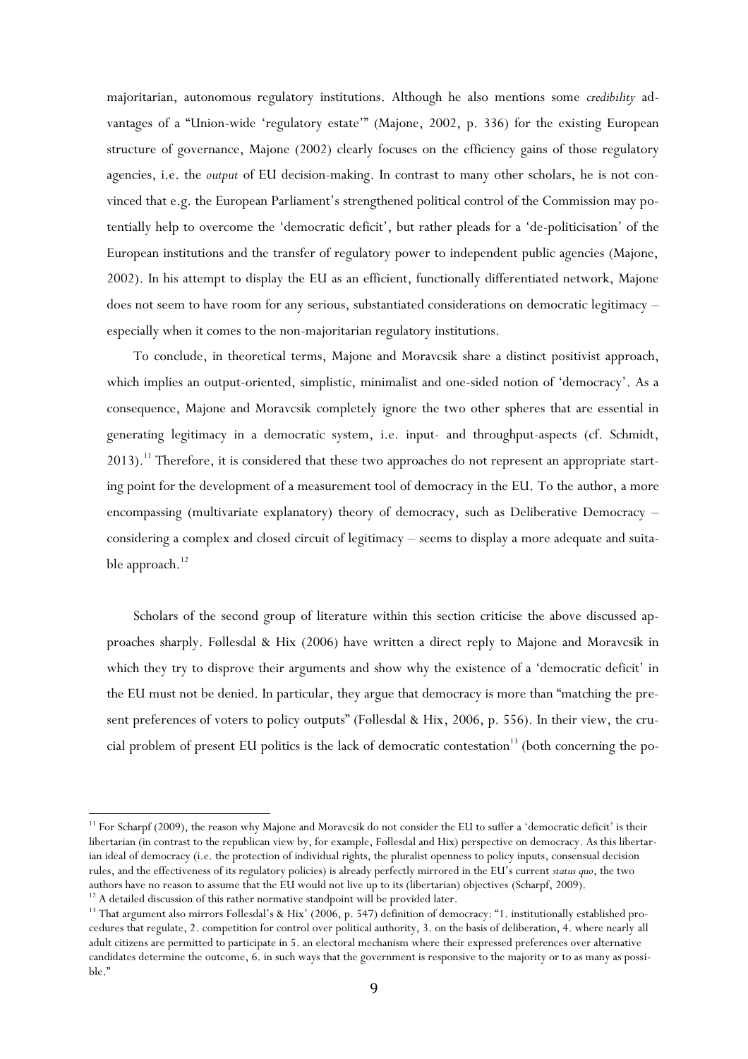majoritarian, autonomous regulatory institutions. Although he also mentions some *credibility* advantages of a "Union-wide 'regulatory estate'" (Majone, 2002, p. 336) for the existing European structure of governance, Majone (2002) clearly focuses on the efficiency gains of those regulatory agencies, i.e. the *output* of EU decision-making. In contrast to many other scholars, he is not convinced that e.g. the European Parliament's strengthened political control of the Commission may potentially help to overcome the 'democratic deficit', but rather pleads for a 'de-politicisation' of the European institutions and the transfer of regulatory power to independent public agencies (Majone, 2002). In his attempt to display the EU as an efficient, functionally differentiated network, Majone does not seem to have room for any serious, substantiated considerations on democratic legitimacy – especially when it comes to the non-majoritarian regulatory institutions.

To conclude, in theoretical terms, Majone and Moravcsik share a distinct positivist approach, which implies an output-oriented, simplistic, minimalist and one-sided notion of 'democracy'. As a consequence, Majone and Moravcsik completely ignore the two other spheres that are essential in generating legitimacy in a democratic system, i.e. input- and throughput-aspects (cf. Schmidt, 2013).<sup>11</sup> Therefore, it is considered that these two approaches do not represent an appropriate starting point for the development of a measurement tool of democracy in the EU. To the author, a more encompassing (multivariate explanatory) theory of democracy, such as Deliberative Democracy – considering a complex and closed circuit of legitimacy – seems to display a more adequate and suitable approach. $^{12}$ 

Scholars of the second group of literature within this section criticise the above discussed approaches sharply. Føllesdal & Hix (2006) have written a direct reply to Majone and Moravcsik in which they try to disprove their arguments and show why the existence of a 'democratic deficit' in the EU must not be denied. In particular, they argue that democracy is more than "matching the present preferences of voters to policy outputs" (Føllesdal & Hix, 2006, p. 556). In their view, the crucial problem of present EU politics is the lack of democratic contestation<sup>13</sup> (both concerning the po-

 $11$  For Scharpf (2009), the reason why Majone and Moravcsik do not consider the EU to suffer a 'democratic deficit' is their libertarian (in contrast to the republican view by, for example, Føllesdal and Hix) perspective on democracy. As this libertarian ideal of democracy (i.e. the protection of individual rights, the pluralist openness to policy inputs, consensual decision rules, and the effectiveness of its regulatory policies) is already perfectly mirrored in the EU's current *status quo*, the two authors have no reason to assume that the EU would not live up to its (libertarian) objectives (Scharpf, 2009). <sup>12</sup> A detailed discussion of this rather normative standpoint will be provided later.

<sup>&</sup>lt;sup>13</sup> That argument also mirrors Føllesdal's & Hix' (2006, p. 547) definition of democracy: "1. institutionally established procedures that regulate, 2. competition for control over political authority, 3. on the basis of deliberation, 4. where nearly all adult citizens are permitted to participate in 5. an electoral mechanism where their expressed preferences over alternative candidates determine the outcome, 6. in such ways that the government is responsive to the majority or to as many as possible."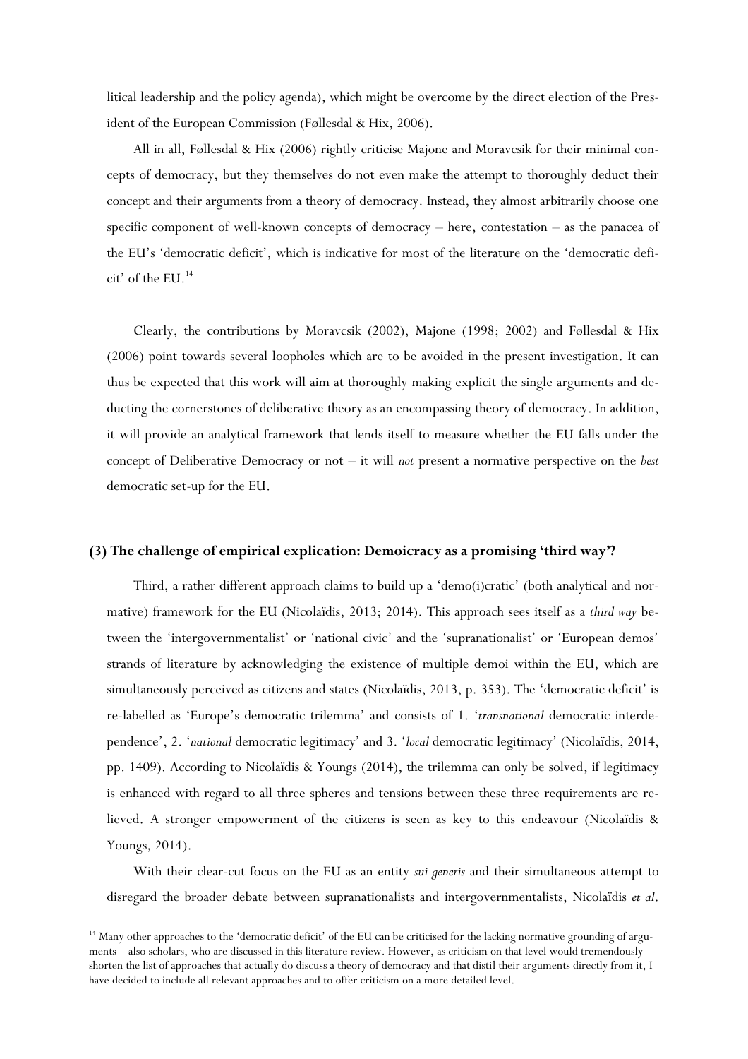litical leadership and the policy agenda), which might be overcome by the direct election of the President of the European Commission (Føllesdal & Hix, 2006).

All in all, Føllesdal & Hix (2006) rightly criticise Majone and Moravcsik for their minimal concepts of democracy, but they themselves do not even make the attempt to thoroughly deduct their concept and their arguments from a theory of democracy. Instead, they almost arbitrarily choose one specific component of well-known concepts of democracy – here, contestation – as the panacea of the EU's 'democratic deficit', which is indicative for most of the literature on the 'democratic deficit' of the EU. 14

Clearly, the contributions by Moravcsik (2002), Majone (1998; 2002) and Føllesdal & Hix (2006) point towards several loopholes which are to be avoided in the present investigation. It can thus be expected that this work will aim at thoroughly making explicit the single arguments and deducting the cornerstones of deliberative theory as an encompassing theory of democracy. In addition, it will provide an analytical framework that lends itself to measure whether the EU falls under the concept of Deliberative Democracy or not – it will *not* present a normative perspective on the *best* democratic set-up for the EU.

#### **(3) The challenge of empirical explication: Demoicracy as a promising 'third way'?**

Third, a rather different approach claims to build up a 'demo(i)cratic' (both analytical and normative) framework for the EU (Nicolaïdis, 2013; 2014). This approach sees itself as a *third way* between the 'intergovernmentalist' or 'national civic' and the 'supranationalist' or 'European demos' strands of literature by acknowledging the existence of multiple demoi within the EU, which are simultaneously perceived as citizens and states (Nicolaïdis, 2013, p. 353). The 'democratic deficit' is re-labelled as 'Europe's democratic trilemma' and consists of 1. '*transnational* democratic interdependence', 2. '*national* democratic legitimacy' and 3. '*local* democratic legitimacy' (Nicolaïdis, 2014, pp. 1409). According to Nicolaïdis & Youngs (2014), the trilemma can only be solved, if legitimacy is enhanced with regard to all three spheres and tensions between these three requirements are relieved. A stronger empowerment of the citizens is seen as key to this endeavour (Nicolaïdis & Youngs, 2014).

With their clear-cut focus on the EU as an entity *sui generis* and their simultaneous attempt to disregard the broader debate between supranationalists and intergovernmentalists, Nicolaïdis *et al*.

<sup>&</sup>lt;sup>14</sup> Many other approaches to the 'democratic deficit' of the EU can be criticised for the lacking normative grounding of arguments – also scholars, who are discussed in this literature review. However, as criticism on that level would tremendously shorten the list of approaches that actually do discuss a theory of democracy and that distil their arguments directly from it, I have decided to include all relevant approaches and to offer criticism on a more detailed level.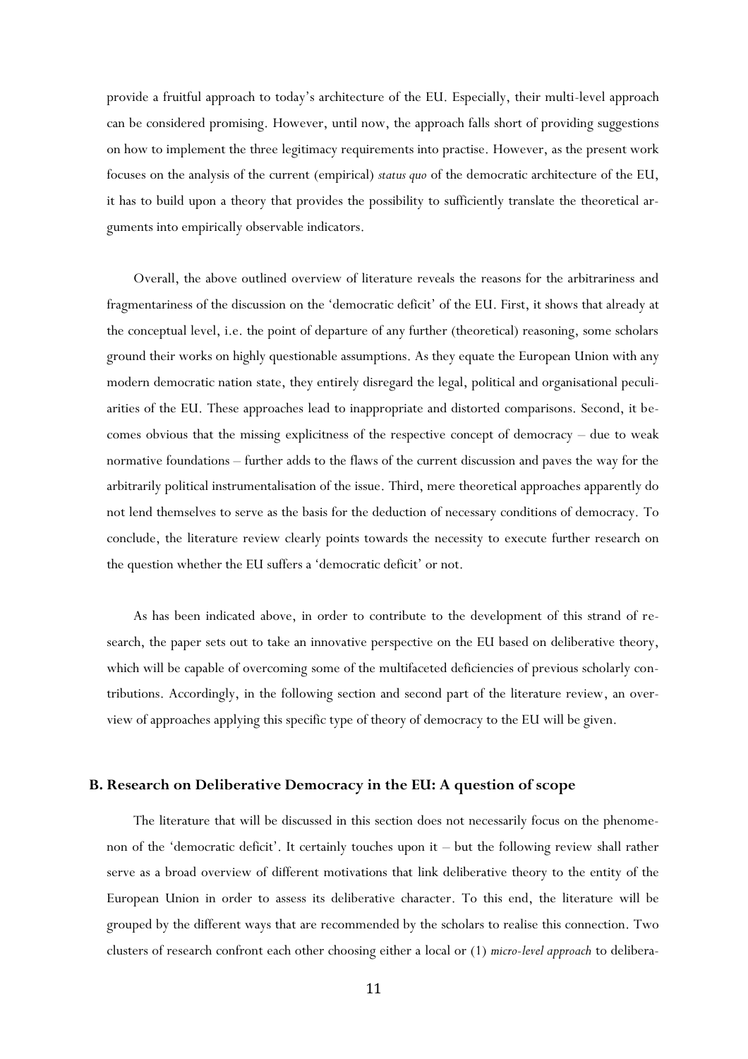provide a fruitful approach to today's architecture of the EU. Especially, their multi-level approach can be considered promising. However, until now, the approach falls short of providing suggestions on how to implement the three legitimacy requirements into practise. However, as the present work focuses on the analysis of the current (empirical) *status quo* of the democratic architecture of the EU, it has to build upon a theory that provides the possibility to sufficiently translate the theoretical arguments into empirically observable indicators.

Overall, the above outlined overview of literature reveals the reasons for the arbitrariness and fragmentariness of the discussion on the 'democratic deficit' of the EU. First, it shows that already at the conceptual level, i.e. the point of departure of any further (theoretical) reasoning, some scholars ground their works on highly questionable assumptions. As they equate the European Union with any modern democratic nation state, they entirely disregard the legal, political and organisational peculiarities of the EU. These approaches lead to inappropriate and distorted comparisons. Second, it becomes obvious that the missing explicitness of the respective concept of democracy – due to weak normative foundations – further adds to the flaws of the current discussion and paves the way for the arbitrarily political instrumentalisation of the issue. Third, mere theoretical approaches apparently do not lend themselves to serve as the basis for the deduction of necessary conditions of democracy. To conclude, the literature review clearly points towards the necessity to execute further research on the question whether the EU suffers a 'democratic deficit' or not.

As has been indicated above, in order to contribute to the development of this strand of research, the paper sets out to take an innovative perspective on the EU based on deliberative theory, which will be capable of overcoming some of the multifaceted deficiencies of previous scholarly contributions. Accordingly, in the following section and second part of the literature review, an overview of approaches applying this specific type of theory of democracy to the EU will be given.

## **B. Research on Deliberative Democracy in the EU: A question of scope**

The literature that will be discussed in this section does not necessarily focus on the phenomenon of the 'democratic deficit'. It certainly touches upon it – but the following review shall rather serve as a broad overview of different motivations that link deliberative theory to the entity of the European Union in order to assess its deliberative character. To this end, the literature will be grouped by the different ways that are recommended by the scholars to realise this connection. Two clusters of research confront each other choosing either a local or (1) *micro-level approach* to delibera-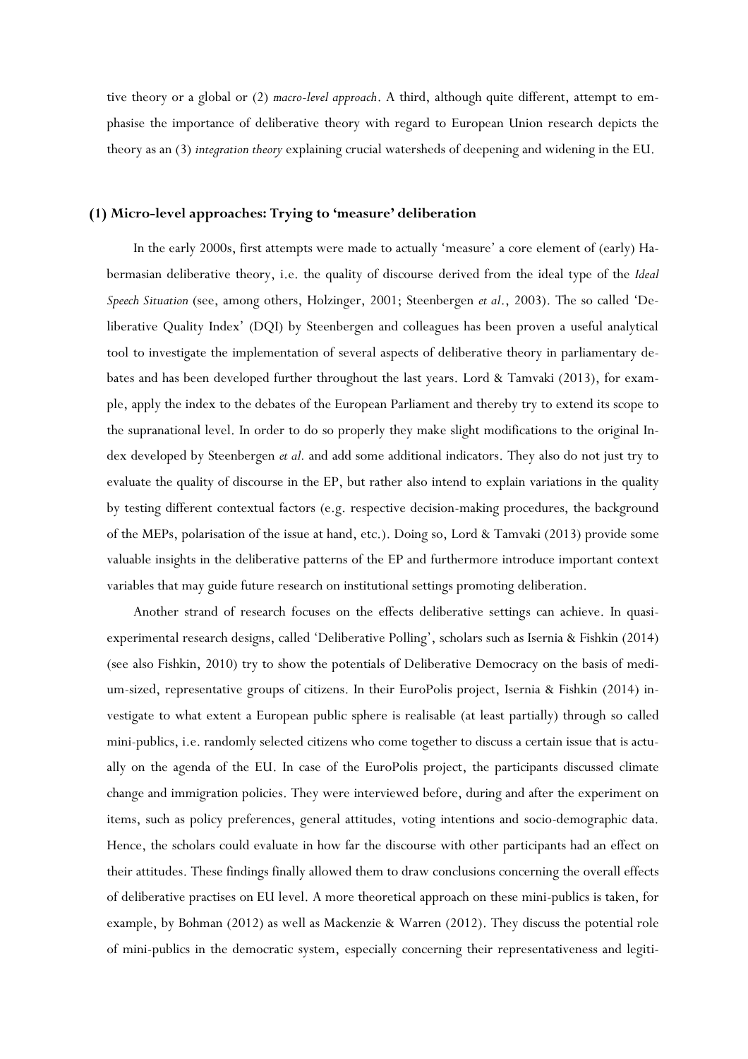tive theory or a global or (2) *macro-level approach*. A third, although quite different, attempt to emphasise the importance of deliberative theory with regard to European Union research depicts the theory as an (3) *integration theory* explaining crucial watersheds of deepening and widening in the EU.

## **(1) Micro-level approaches: Trying to 'measure' deliberation**

In the early 2000s, first attempts were made to actually 'measure' a core element of (early) Habermasian deliberative theory, i.e. the quality of discourse derived from the ideal type of the *Ideal Speech Situation* (see, among others, Holzinger, 2001; Steenbergen *et al*., 2003). The so called 'Deliberative Quality Index' (DQI) by Steenbergen and colleagues has been proven a useful analytical tool to investigate the implementation of several aspects of deliberative theory in parliamentary debates and has been developed further throughout the last years. Lord & Tamvaki (2013), for example, apply the index to the debates of the European Parliament and thereby try to extend its scope to the supranational level. In order to do so properly they make slight modifications to the original Index developed by Steenbergen *et al.* and add some additional indicators. They also do not just try to evaluate the quality of discourse in the EP, but rather also intend to explain variations in the quality by testing different contextual factors (e.g. respective decision-making procedures, the background of the MEPs, polarisation of the issue at hand, etc.). Doing so, Lord & Tamvaki (2013) provide some valuable insights in the deliberative patterns of the EP and furthermore introduce important context variables that may guide future research on institutional settings promoting deliberation.

Another strand of research focuses on the effects deliberative settings can achieve. In quasiexperimental research designs, called 'Deliberative Polling', scholars such as Isernia & Fishkin (2014) (see also Fishkin, 2010) try to show the potentials of Deliberative Democracy on the basis of medium-sized, representative groups of citizens. In their EuroPolis project, Isernia & Fishkin (2014) investigate to what extent a European public sphere is realisable (at least partially) through so called mini-publics, i.e. randomly selected citizens who come together to discuss a certain issue that is actually on the agenda of the EU. In case of the EuroPolis project, the participants discussed climate change and immigration policies. They were interviewed before, during and after the experiment on items, such as policy preferences, general attitudes, voting intentions and socio-demographic data. Hence, the scholars could evaluate in how far the discourse with other participants had an effect on their attitudes. These findings finally allowed them to draw conclusions concerning the overall effects of deliberative practises on EU level. A more theoretical approach on these mini-publics is taken, for example, by Bohman (2012) as well as Mackenzie & Warren (2012). They discuss the potential role of mini-publics in the democratic system, especially concerning their representativeness and legiti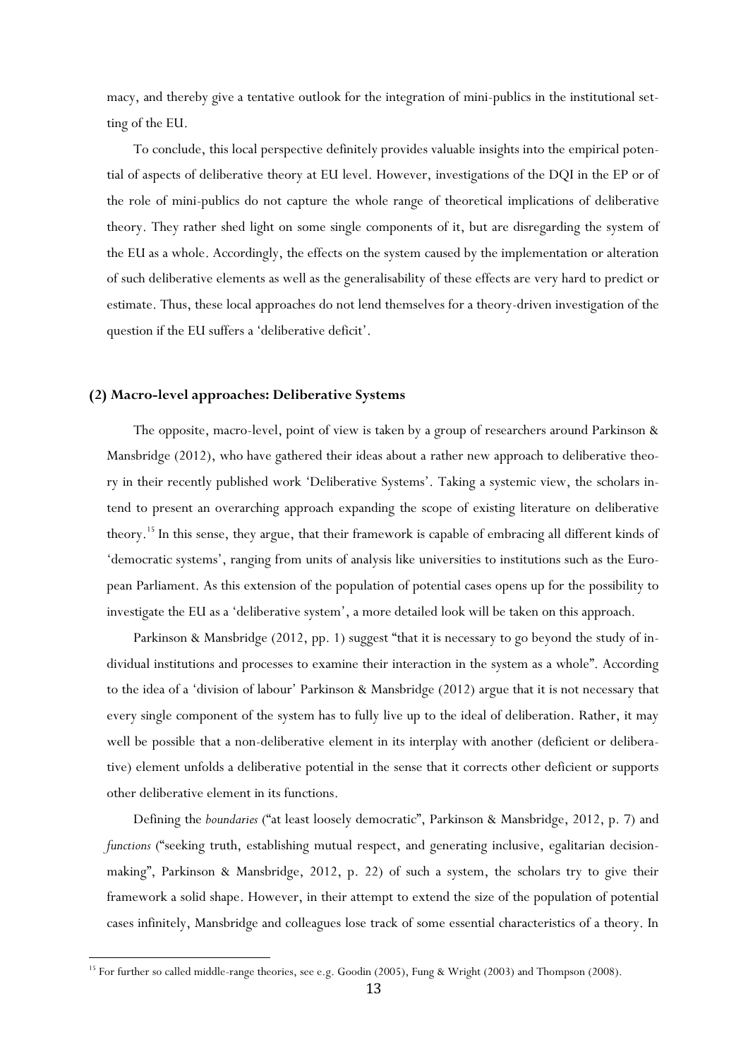macy, and thereby give a tentative outlook for the integration of mini-publics in the institutional setting of the EU.

To conclude, this local perspective definitely provides valuable insights into the empirical potential of aspects of deliberative theory at EU level. However, investigations of the DQI in the EP or of the role of mini-publics do not capture the whole range of theoretical implications of deliberative theory. They rather shed light on some single components of it, but are disregarding the system of the EU as a whole. Accordingly, the effects on the system caused by the implementation or alteration of such deliberative elements as well as the generalisability of these effects are very hard to predict or estimate. Thus, these local approaches do not lend themselves for a theory-driven investigation of the question if the EU suffers a 'deliberative deficit'.

## **(2) Macro-level approaches: Deliberative Systems**

 $\overline{\phantom{a}}$ 

The opposite, macro-level, point of view is taken by a group of researchers around Parkinson & Mansbridge (2012), who have gathered their ideas about a rather new approach to deliberative theory in their recently published work 'Deliberative Systems'. Taking a systemic view, the scholars intend to present an overarching approach expanding the scope of existing literature on deliberative theory. <sup>15</sup> In this sense, they argue, that their framework is capable of embracing all different kinds of 'democratic systems', ranging from units of analysis like universities to institutions such as the European Parliament. As this extension of the population of potential cases opens up for the possibility to investigate the EU as a 'deliberative system', a more detailed look will be taken on this approach.

Parkinson & Mansbridge (2012, pp. 1) suggest "that it is necessary to go beyond the study of individual institutions and processes to examine their interaction in the system as a whole". According to the idea of a 'division of labour' Parkinson & Mansbridge (2012) argue that it is not necessary that every single component of the system has to fully live up to the ideal of deliberation. Rather, it may well be possible that a non-deliberative element in its interplay with another (deficient or deliberative) element unfolds a deliberative potential in the sense that it corrects other deficient or supports other deliberative element in its functions.

Defining the *boundaries* ("at least loosely democratic", Parkinson & Mansbridge, 2012, p. 7) and *functions* ("seeking truth, establishing mutual respect, and generating inclusive, egalitarian decisionmaking", Parkinson & Mansbridge, 2012, p. 22) of such a system, the scholars try to give their framework a solid shape. However, in their attempt to extend the size of the population of potential cases infinitely, Mansbridge and colleagues lose track of some essential characteristics of a theory. In

<sup>&</sup>lt;sup>15</sup> For further so called middle-range theories, see e.g. Goodin (2005), Fung & Wright (2003) and Thompson (2008).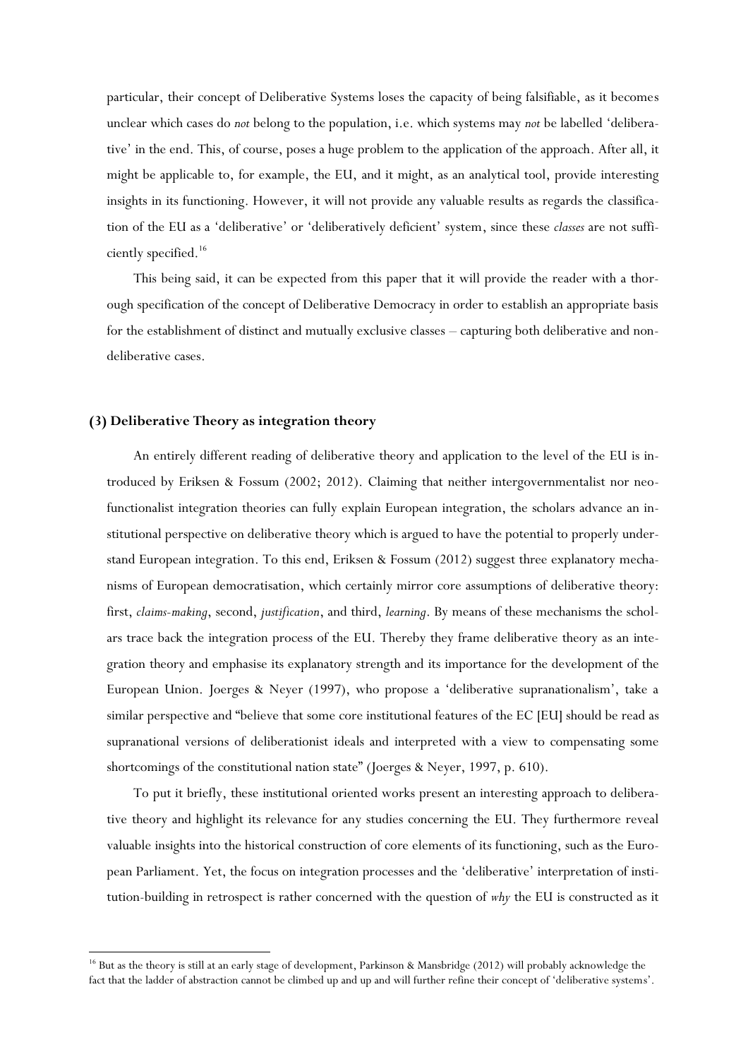particular, their concept of Deliberative Systems loses the capacity of being falsifiable, as it becomes unclear which cases do *not* belong to the population, i.e. which systems may *not* be labelled 'deliberative' in the end. This, of course, poses a huge problem to the application of the approach. After all, it might be applicable to, for example, the EU, and it might, as an analytical tool, provide interesting insights in its functioning. However, it will not provide any valuable results as regards the classification of the EU as a 'deliberative' or 'deliberatively deficient' system, since these *classes* are not sufficiently specified.<sup>16</sup>

This being said, it can be expected from this paper that it will provide the reader with a thorough specification of the concept of Deliberative Democracy in order to establish an appropriate basis for the establishment of distinct and mutually exclusive classes – capturing both deliberative and nondeliberative cases.

## **(3) Deliberative Theory as integration theory**

 $\overline{\phantom{a}}$ 

An entirely different reading of deliberative theory and application to the level of the EU is introduced by Eriksen & Fossum (2002; 2012). Claiming that neither intergovernmentalist nor neofunctionalist integration theories can fully explain European integration, the scholars advance an institutional perspective on deliberative theory which is argued to have the potential to properly understand European integration. To this end, Eriksen & Fossum (2012) suggest three explanatory mechanisms of European democratisation, which certainly mirror core assumptions of deliberative theory: first, *claims-making*, second, *justification*, and third, *learning*. By means of these mechanisms the scholars trace back the integration process of the EU. Thereby they frame deliberative theory as an integration theory and emphasise its explanatory strength and its importance for the development of the European Union. Joerges & Neyer (1997), who propose a 'deliberative supranationalism', take a similar perspective and "believe that some core institutional features of the EC [EU] should be read as supranational versions of deliberationist ideals and interpreted with a view to compensating some shortcomings of the constitutional nation state" (Joerges & Neyer, 1997, p. 610).

To put it briefly, these institutional oriented works present an interesting approach to deliberative theory and highlight its relevance for any studies concerning the EU. They furthermore reveal valuable insights into the historical construction of core elements of its functioning, such as the European Parliament. Yet, the focus on integration processes and the 'deliberative' interpretation of institution-building in retrospect is rather concerned with the question of *why* the EU is constructed as it

<sup>&</sup>lt;sup>16</sup> But as the theory is still at an early stage of development, Parkinson & Mansbridge (2012) will probably acknowledge the fact that the ladder of abstraction cannot be climbed up and up and will further refine their concept of 'deliberative systems'.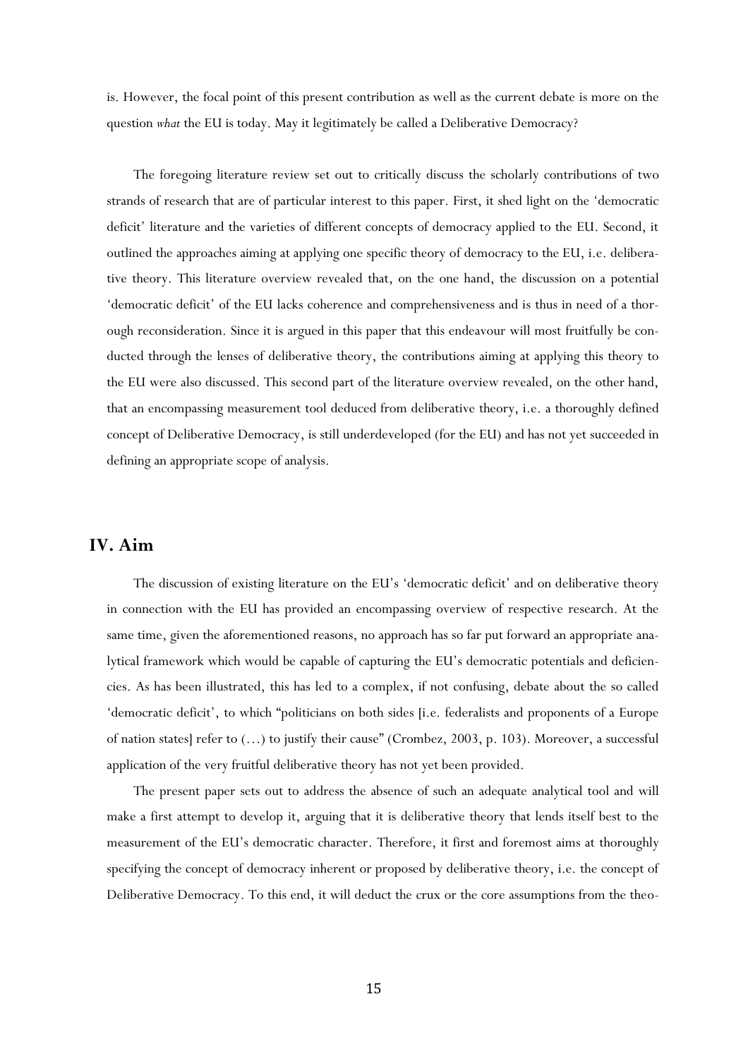is. However, the focal point of this present contribution as well as the current debate is more on the question *what* the EU is today. May it legitimately be called a Deliberative Democracy?

The foregoing literature review set out to critically discuss the scholarly contributions of two strands of research that are of particular interest to this paper. First, it shed light on the 'democratic deficit' literature and the varieties of different concepts of democracy applied to the EU. Second, it outlined the approaches aiming at applying one specific theory of democracy to the EU, i.e. deliberative theory. This literature overview revealed that, on the one hand, the discussion on a potential 'democratic deficit' of the EU lacks coherence and comprehensiveness and is thus in need of a thorough reconsideration. Since it is argued in this paper that this endeavour will most fruitfully be conducted through the lenses of deliberative theory, the contributions aiming at applying this theory to the EU were also discussed. This second part of the literature overview revealed, on the other hand, that an encompassing measurement tool deduced from deliberative theory, i.e. a thoroughly defined concept of Deliberative Democracy, is still underdeveloped (for the EU) and has not yet succeeded in defining an appropriate scope of analysis.

## **IV. Aim**

The discussion of existing literature on the EU's 'democratic deficit' and on deliberative theory in connection with the EU has provided an encompassing overview of respective research. At the same time, given the aforementioned reasons, no approach has so far put forward an appropriate analytical framework which would be capable of capturing the EU's democratic potentials and deficiencies. As has been illustrated, this has led to a complex, if not confusing, debate about the so called 'democratic deficit', to which "politicians on both sides [i.e. federalists and proponents of a Europe of nation states] refer to (…) to justify their cause" (Crombez, 2003, p. 103). Moreover, a successful application of the very fruitful deliberative theory has not yet been provided.

The present paper sets out to address the absence of such an adequate analytical tool and will make a first attempt to develop it, arguing that it is deliberative theory that lends itself best to the measurement of the EU's democratic character. Therefore, it first and foremost aims at thoroughly specifying the concept of democracy inherent or proposed by deliberative theory, i.e. the concept of Deliberative Democracy. To this end, it will deduct the crux or the core assumptions from the theo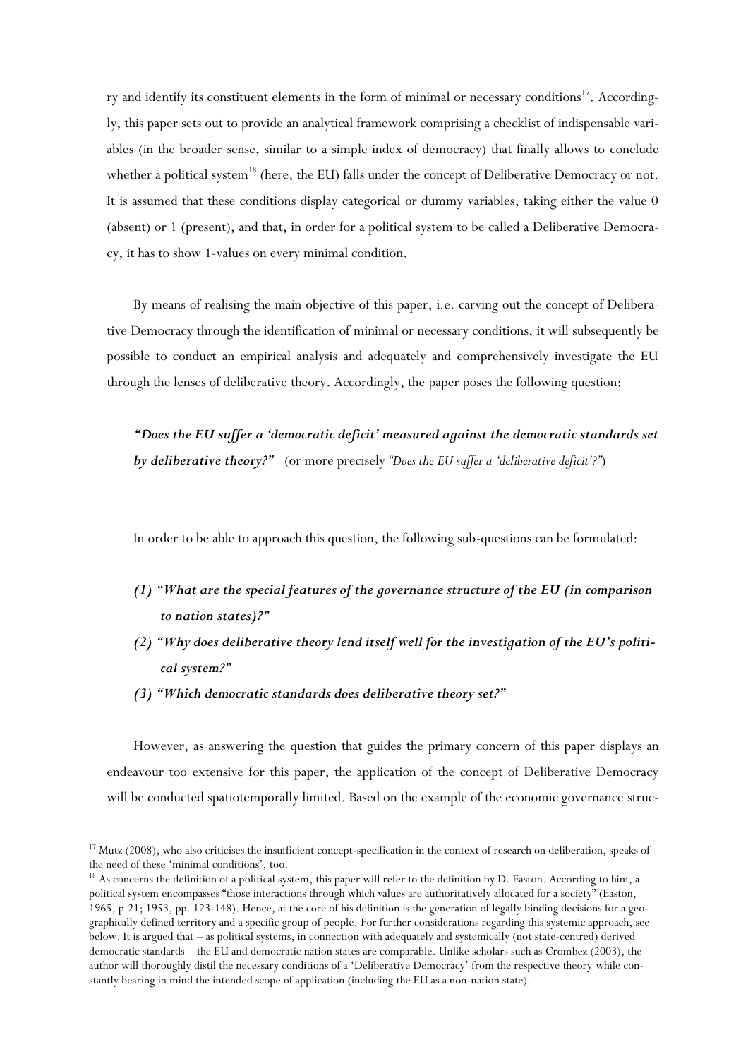ry and identify its constituent elements in the form of minimal or necessary conditions<sup>17</sup>. Accordingly, this paper sets out to provide an analytical framework comprising a checklist of indispensable variables (in the broader sense, similar to a simple index of democracy) that finally allows to conclude whether a political system<sup>18</sup> (here, the EU) falls under the concept of Deliberative Democracy or not. It is assumed that these conditions display categorical or dummy variables, taking either the value 0 (absent) or 1 (present), and that, in order for a political system to be called a Deliberative Democracy, it has to show 1-values on every minimal condition.

By means of realising the main objective of this paper, i.e. carving out the concept of Deliberative Democracy through the identification of minimal or necessary conditions, it will subsequently be possible to conduct an empirical analysis and adequately and comprehensively investigate the EU through the lenses of deliberative theory. Accordingly, the paper poses the following question:

*"Does the EU suffer a 'democratic deficit' measured against the democratic standards set by deliberative theory?"* (or more precisely *"Does the EU suffer a 'deliberative deficit'?"*)

In order to be able to approach this question, the following sub-questions can be formulated:

- *(1) "What are the special features of the governance structure of the EU (in comparison to nation states)?"*
- *(2) "Why does deliberative theory lend itself well for the investigation of the EU's political system?"*
- *(3) "Which democratic standards does deliberative theory set?"*

 $\overline{\phantom{a}}$ 

However, as answering the question that guides the primary concern of this paper displays an endeavour too extensive for this paper, the application of the concept of Deliberative Democracy will be conducted spatiotemporally limited. Based on the example of the economic governance struc-

<sup>&</sup>lt;sup>17</sup> Mutz (2008), who also criticises the insufficient concept-specification in the context of research on deliberation, speaks of the need of these 'minimal conditions', too.

<sup>&</sup>lt;sup>18</sup> As concerns the definition of a political system, this paper will refer to the definition by D. Easton. According to him, a political system encompasses "those interactions through which values are authoritatively allocated for a society" (Easton, 1965, p.21; 1953, pp. 123-148). Hence, at the core of his definition is the generation of legally binding decisions for a geographically defined territory and a specific group of people. For further considerations regarding this systemic approach, see below. It is argued that – as political systems, in connection with adequately and systemically (not state-centred) derived democratic standards – the EU and democratic nation states are comparable. Unlike scholars such as Crombez (2003), the author will thoroughly distil the necessary conditions of a 'Deliberative Democracy' from the respective theory while constantly bearing in mind the intended scope of application (including the EU as a non-nation state).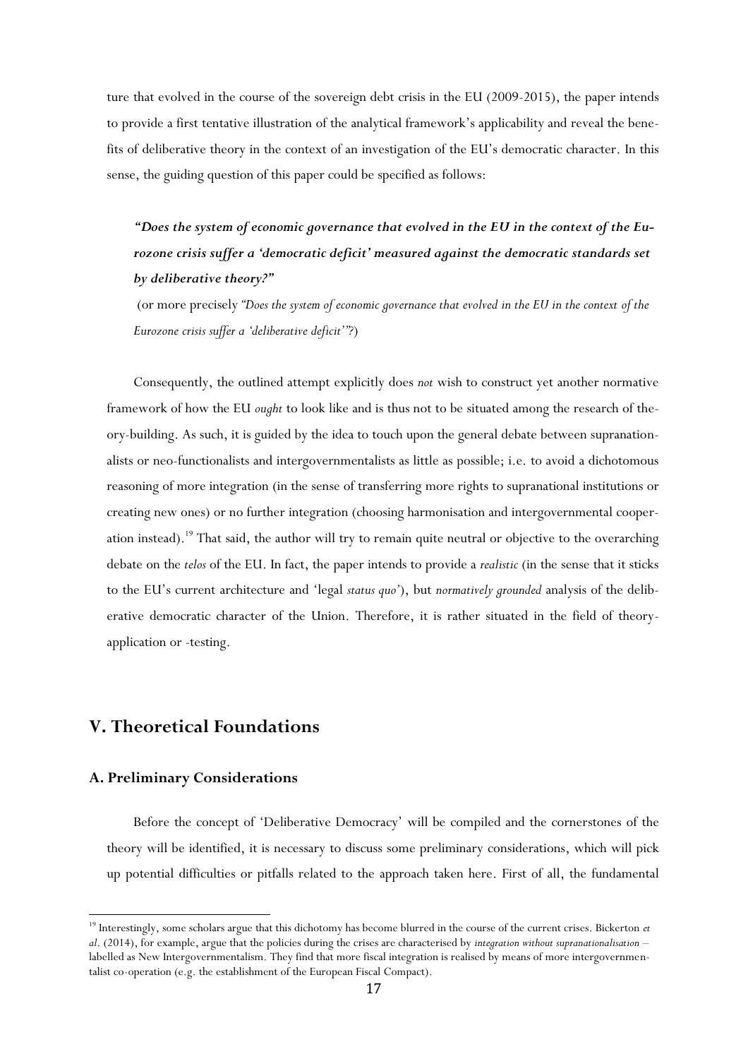ture that evolved in the course of the sovereign debt crisis in the EU (2009-2015), the paper intends to provide a first tentative illustration of the analytical framework's applicability and reveal the benefits of deliberative theory in the context of an investigation of the EU's democratic character. In this sense, the guiding question of this paper could be specified as follows:

*"Does the system of economic governance that evolved in the EU in the context of the Eurozone crisis suffer a 'democratic deficit' measured against the democratic standards set by deliberative theory?"* 

(or more precisely *"Does the system of economic governance that evolved in the EU in the context of the Eurozone crisis suffer a 'deliberative deficit'"?*)

Consequently, the outlined attempt explicitly does *not* wish to construct yet another normative framework of how the EU *ought* to look like and is thus not to be situated among the research of theory-building. As such, it is guided by the idea to touch upon the general debate between supranationalists or neo-functionalists and intergovernmentalists as little as possible; i.e. to avoid a dichotomous reasoning of more integration (in the sense of transferring more rights to supranational institutions or creating new ones) or no further integration (choosing harmonisation and intergovernmental cooperation instead).<sup>19</sup> That said, the author will try to remain quite neutral or objective to the overarching debate on the *telos* of the EU. In fact, the paper intends to provide a *realistic* (in the sense that it sticks to the EU's current architecture and 'legal *status quo'*), but *normatively grounded* analysis of the deliberative democratic character of the Union. Therefore, it is rather situated in the field of theoryapplication or -testing.

## **V. Theoretical Foundations**

## **A. Preliminary Considerations**

 $\overline{\phantom{a}}$ 

Before the concept of 'Deliberative Democracy' will be compiled and the cornerstones of the theory will be identified, it is necessary to discuss some preliminary considerations, which will pick up potential difficulties or pitfalls related to the approach taken here. First of all, the fundamental

<sup>&</sup>lt;sup>19</sup> Interestingly, some scholars argue that this dichotomy has become blurred in the course of the current crises. Bickerton *et al*. (2014), for example, argue that the policies during the crises are characterised by *integration without supranationalisation* – labelled as New Intergovernmentalism. They find that more fiscal integration is realised by means of more intergovernmentalist co-operation (e.g. the establishment of the European Fiscal Compact).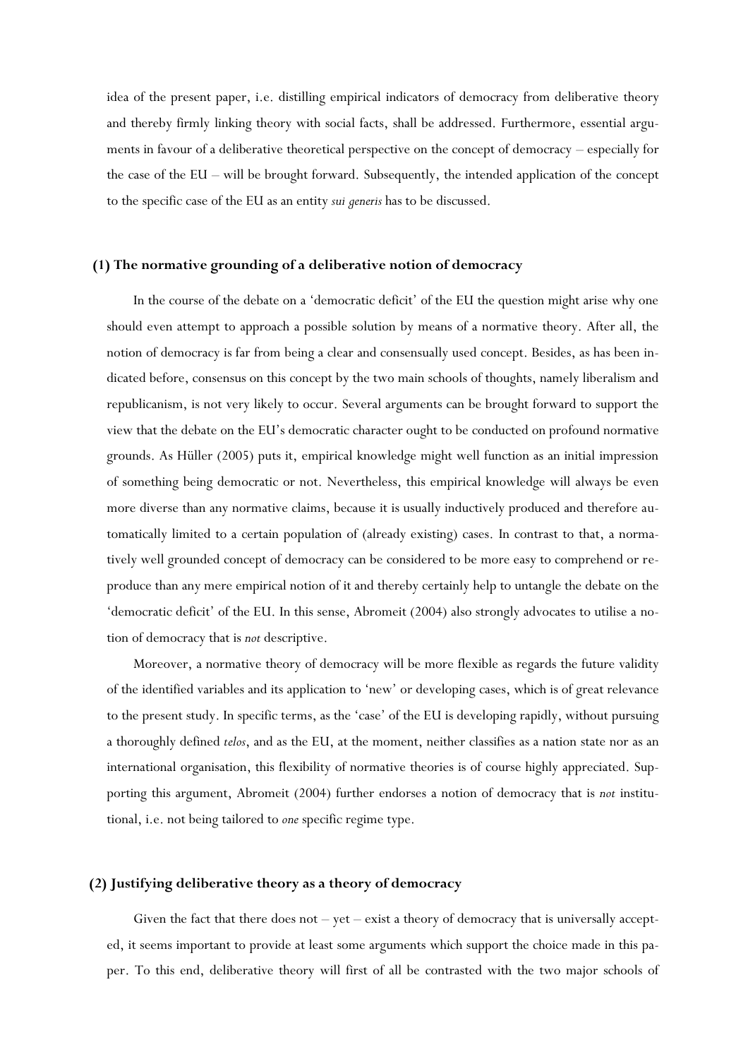idea of the present paper, i.e. distilling empirical indicators of democracy from deliberative theory and thereby firmly linking theory with social facts, shall be addressed. Furthermore, essential arguments in favour of a deliberative theoretical perspective on the concept of democracy – especially for the case of the EU – will be brought forward. Subsequently, the intended application of the concept to the specific case of the EU as an entity *sui generis* has to be discussed.

## **(1) The normative grounding of a deliberative notion of democracy**

In the course of the debate on a 'democratic deficit' of the EU the question might arise why one should even attempt to approach a possible solution by means of a normative theory. After all, the notion of democracy is far from being a clear and consensually used concept. Besides, as has been indicated before, consensus on this concept by the two main schools of thoughts, namely liberalism and republicanism, is not very likely to occur. Several arguments can be brought forward to support the view that the debate on the EU's democratic character ought to be conducted on profound normative grounds. As Hüller (2005) puts it, empirical knowledge might well function as an initial impression of something being democratic or not. Nevertheless, this empirical knowledge will always be even more diverse than any normative claims, because it is usually inductively produced and therefore automatically limited to a certain population of (already existing) cases. In contrast to that, a normatively well grounded concept of democracy can be considered to be more easy to comprehend or reproduce than any mere empirical notion of it and thereby certainly help to untangle the debate on the 'democratic deficit' of the EU. In this sense, Abromeit (2004) also strongly advocates to utilise a notion of democracy that is *not* descriptive.

Moreover, a normative theory of democracy will be more flexible as regards the future validity of the identified variables and its application to 'new' or developing cases, which is of great relevance to the present study. In specific terms, as the 'case' of the EU is developing rapidly, without pursuing a thoroughly defined *telos*, and as the EU, at the moment, neither classifies as a nation state nor as an international organisation, this flexibility of normative theories is of course highly appreciated. Supporting this argument, Abromeit (2004) further endorses a notion of democracy that is *not* institutional, i.e. not being tailored to *one* specific regime type.

#### **(2) Justifying deliberative theory as a theory of democracy**

Given the fact that there does not  $-$  yet  $-$  exist a theory of democracy that is universally accepted, it seems important to provide at least some arguments which support the choice made in this paper. To this end, deliberative theory will first of all be contrasted with the two major schools of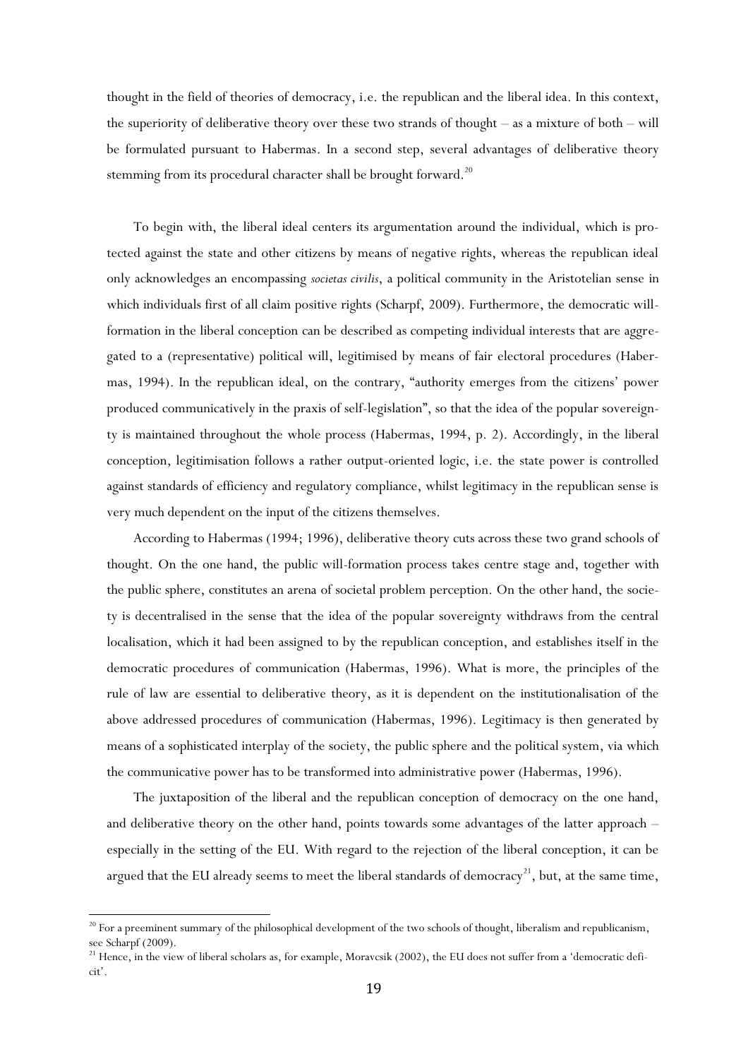thought in the field of theories of democracy, i.e. the republican and the liberal idea. In this context, the superiority of deliberative theory over these two strands of thought – as a mixture of both – will be formulated pursuant to Habermas. In a second step, several advantages of deliberative theory stemming from its procedural character shall be brought forward.<sup>20</sup>

To begin with, the liberal ideal centers its argumentation around the individual, which is protected against the state and other citizens by means of negative rights, whereas the republican ideal only acknowledges an encompassing *societas civilis*, a political community in the Aristotelian sense in which individuals first of all claim positive rights (Scharpf, 2009). Furthermore, the democratic willformation in the liberal conception can be described as competing individual interests that are aggregated to a (representative) political will, legitimised by means of fair electoral procedures (Habermas, 1994). In the republican ideal, on the contrary, "authority emerges from the citizens' power produced communicatively in the praxis of self-legislation", so that the idea of the popular sovereignty is maintained throughout the whole process (Habermas, 1994, p. 2). Accordingly, in the liberal conception, legitimisation follows a rather output-oriented logic, i.e. the state power is controlled against standards of efficiency and regulatory compliance, whilst legitimacy in the republican sense is very much dependent on the input of the citizens themselves.

According to Habermas (1994; 1996), deliberative theory cuts across these two grand schools of thought. On the one hand, the public will-formation process takes centre stage and, together with the public sphere, constitutes an arena of societal problem perception. On the other hand, the society is decentralised in the sense that the idea of the popular sovereignty withdraws from the central localisation, which it had been assigned to by the republican conception, and establishes itself in the democratic procedures of communication (Habermas, 1996). What is more, the principles of the rule of law are essential to deliberative theory, as it is dependent on the institutionalisation of the above addressed procedures of communication (Habermas, 1996). Legitimacy is then generated by means of a sophisticated interplay of the society, the public sphere and the political system, via which the communicative power has to be transformed into administrative power (Habermas, 1996).

The juxtaposition of the liberal and the republican conception of democracy on the one hand, and deliberative theory on the other hand, points towards some advantages of the latter approach – especially in the setting of the EU. With regard to the rejection of the liberal conception, it can be argued that the EU already seems to meet the liberal standards of democracy<sup>21</sup>, but, at the same time,

<sup>&</sup>lt;sup>20</sup> For a preeminent summary of the philosophical development of the two schools of thought, liberalism and republicanism, see Scharpf (2009).

<sup>&</sup>lt;sup>21</sup> Hence, in the view of liberal scholars as, for example, Moravcsik (2002), the EU does not suffer from a 'democratic deficit'.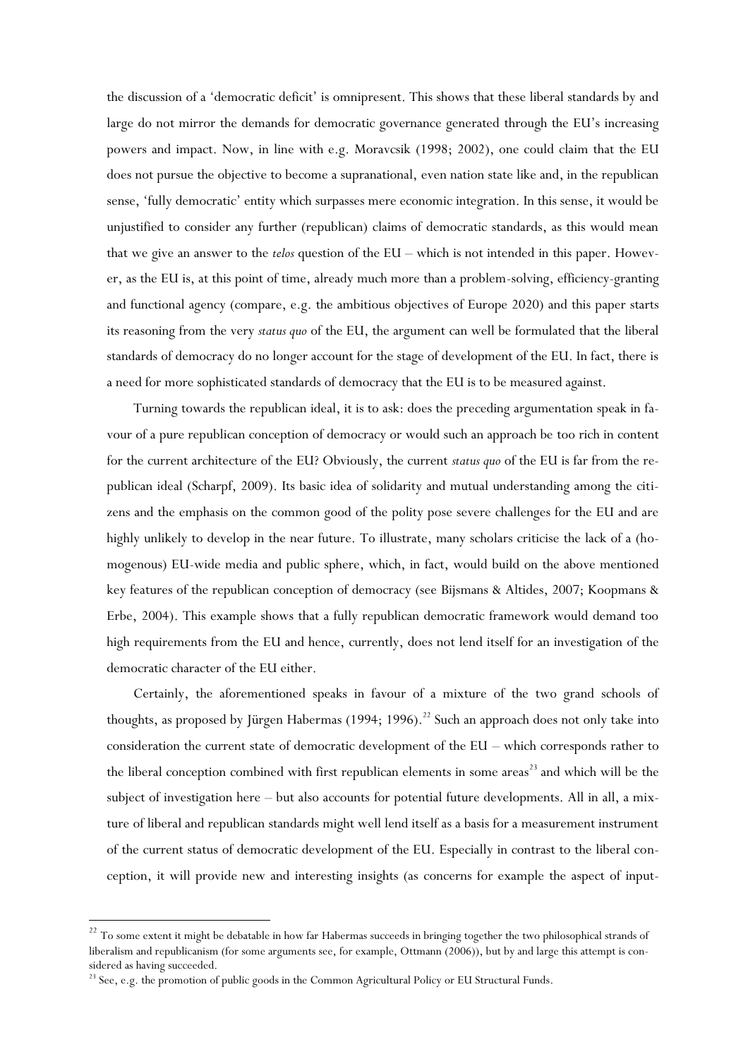the discussion of a 'democratic deficit' is omnipresent. This shows that these liberal standards by and large do not mirror the demands for democratic governance generated through the EU's increasing powers and impact. Now, in line with e.g. Moravcsik (1998; 2002), one could claim that the EU does not pursue the objective to become a supranational, even nation state like and, in the republican sense, 'fully democratic' entity which surpasses mere economic integration. In this sense, it would be unjustified to consider any further (republican) claims of democratic standards, as this would mean that we give an answer to the *telos* question of the EU – which is not intended in this paper. However, as the EU is, at this point of time, already much more than a problem-solving, efficiency-granting and functional agency (compare, e.g. the ambitious objectives of Europe 2020) and this paper starts its reasoning from the very *status quo* of the EU, the argument can well be formulated that the liberal standards of democracy do no longer account for the stage of development of the EU. In fact, there is a need for more sophisticated standards of democracy that the EU is to be measured against.

Turning towards the republican ideal, it is to ask: does the preceding argumentation speak in favour of a pure republican conception of democracy or would such an approach be too rich in content for the current architecture of the EU? Obviously, the current *status quo* of the EU is far from the republican ideal (Scharpf, 2009). Its basic idea of solidarity and mutual understanding among the citizens and the emphasis on the common good of the polity pose severe challenges for the EU and are highly unlikely to develop in the near future. To illustrate, many scholars criticise the lack of a (homogenous) EU-wide media and public sphere, which, in fact, would build on the above mentioned key features of the republican conception of democracy (see Bijsmans & Altides, 2007; Koopmans & Erbe, 2004). This example shows that a fully republican democratic framework would demand too high requirements from the EU and hence, currently, does not lend itself for an investigation of the democratic character of the EU either.

Certainly, the aforementioned speaks in favour of a mixture of the two grand schools of thoughts, as proposed by Jürgen Habermas (1994; 1996).<sup>22</sup> Such an approach does not only take into consideration the current state of democratic development of the EU – which corresponds rather to the liberal conception combined with first republican elements in some areas<sup>23</sup> and which will be the subject of investigation here – but also accounts for potential future developments. All in all, a mixture of liberal and republican standards might well lend itself as a basis for a measurement instrument of the current status of democratic development of the EU. Especially in contrast to the liberal conception, it will provide new and interesting insights (as concerns for example the aspect of input-

<sup>&</sup>lt;sup>22</sup> To some extent it might be debatable in how far Habermas succeeds in bringing together the two philosophical strands of liberalism and republicanism (for some arguments see, for example, Ottmann (2006)), but by and large this attempt is considered as having succeeded.

<sup>&</sup>lt;sup>23</sup> See, e.g. the promotion of public goods in the Common Agricultural Policy or EU Structural Funds.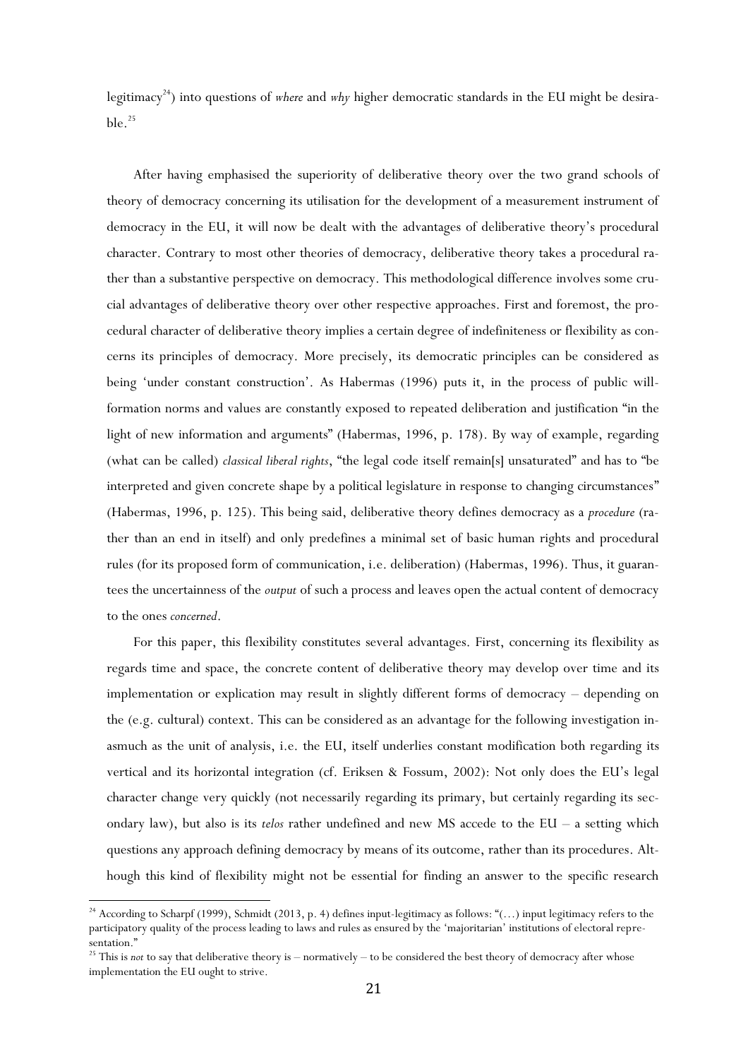legitimacy<sup>24</sup>) into questions of *where* and *why* higher democratic standards in the EU might be desirable. $^{25}$ 

After having emphasised the superiority of deliberative theory over the two grand schools of theory of democracy concerning its utilisation for the development of a measurement instrument of democracy in the EU, it will now be dealt with the advantages of deliberative theory's procedural character. Contrary to most other theories of democracy, deliberative theory takes a procedural rather than a substantive perspective on democracy. This methodological difference involves some crucial advantages of deliberative theory over other respective approaches. First and foremost, the procedural character of deliberative theory implies a certain degree of indefiniteness or flexibility as concerns its principles of democracy. More precisely, its democratic principles can be considered as being 'under constant construction'. As Habermas (1996) puts it, in the process of public willformation norms and values are constantly exposed to repeated deliberation and justification "in the light of new information and arguments" (Habermas, 1996, p. 178). By way of example, regarding (what can be called) *classical liberal rights*, "the legal code itself remain[s] unsaturated" and has to "be interpreted and given concrete shape by a political legislature in response to changing circumstances" (Habermas, 1996, p. 125). This being said, deliberative theory defines democracy as a *procedure* (rather than an end in itself) and only predefines a minimal set of basic human rights and procedural rules (for its proposed form of communication, i.e. deliberation) (Habermas, 1996). Thus, it guarantees the uncertainness of the *output* of such a process and leaves open the actual content of democracy to the ones *concerned*.

For this paper, this flexibility constitutes several advantages. First, concerning its flexibility as regards time and space, the concrete content of deliberative theory may develop over time and its implementation or explication may result in slightly different forms of democracy – depending on the (e.g. cultural) context. This can be considered as an advantage for the following investigation inasmuch as the unit of analysis, i.e. the EU, itself underlies constant modification both regarding its vertical and its horizontal integration (cf. Eriksen & Fossum, 2002): Not only does the EU's legal character change very quickly (not necessarily regarding its primary, but certainly regarding its secondary law), but also is its *telos* rather undefined and new MS accede to the EU – a setting which questions any approach defining democracy by means of its outcome, rather than its procedures. Although this kind of flexibility might not be essential for finding an answer to the specific research

 $\overline{a}$ 

<sup>&</sup>lt;sup>24</sup> According to Scharpf (1999), Schmidt (2013, p. 4) defines input-legitimacy as follows: "(...) input legitimacy refers to the participatory quality of the process leading to laws and rules as ensured by the 'majoritarian' institutions of electoral representation."

<sup>&</sup>lt;sup>25</sup> This is *not* to say that deliberative theory is – normatively – to be considered the best theory of democracy after whose implementation the EU ought to strive.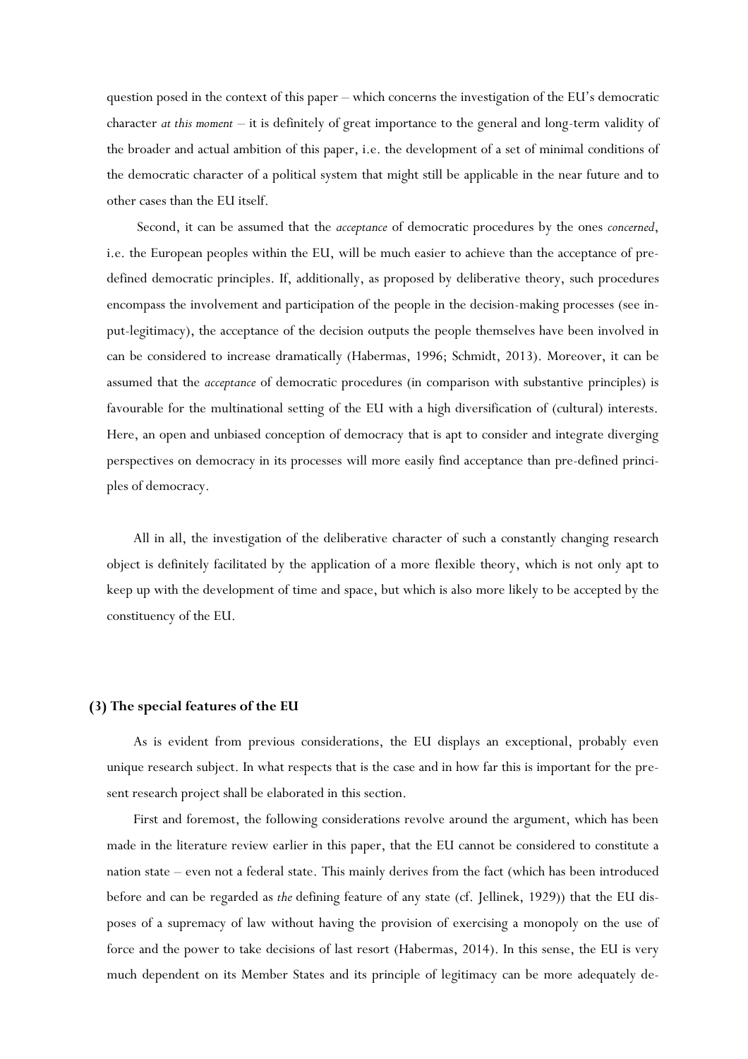question posed in the context of this paper – which concerns the investigation of the EU's democratic character *at this moment* – it is definitely of great importance to the general and long-term validity of the broader and actual ambition of this paper, i.e. the development of a set of minimal conditions of the democratic character of a political system that might still be applicable in the near future and to other cases than the EU itself.

Second, it can be assumed that the *acceptance* of democratic procedures by the ones *concerned*, i.e. the European peoples within the EU, will be much easier to achieve than the acceptance of predefined democratic principles. If, additionally, as proposed by deliberative theory, such procedures encompass the involvement and participation of the people in the decision-making processes (see input-legitimacy), the acceptance of the decision outputs the people themselves have been involved in can be considered to increase dramatically (Habermas, 1996; Schmidt, 2013). Moreover, it can be assumed that the *acceptance* of democratic procedures (in comparison with substantive principles) is favourable for the multinational setting of the EU with a high diversification of (cultural) interests. Here, an open and unbiased conception of democracy that is apt to consider and integrate diverging perspectives on democracy in its processes will more easily find acceptance than pre-defined principles of democracy.

All in all, the investigation of the deliberative character of such a constantly changing research object is definitely facilitated by the application of a more flexible theory, which is not only apt to keep up with the development of time and space, but which is also more likely to be accepted by the constituency of the EU.

## **(3) The special features of the EU**

As is evident from previous considerations, the EU displays an exceptional, probably even unique research subject. In what respects that is the case and in how far this is important for the present research project shall be elaborated in this section.

First and foremost, the following considerations revolve around the argument, which has been made in the literature review earlier in this paper, that the EU cannot be considered to constitute a nation state – even not a federal state. This mainly derives from the fact (which has been introduced before and can be regarded as *the* defining feature of any state (cf. Jellinek, 1929)) that the EU disposes of a supremacy of law without having the provision of exercising a monopoly on the use of force and the power to take decisions of last resort (Habermas, 2014). In this sense, the EU is very much dependent on its Member States and its principle of legitimacy can be more adequately de-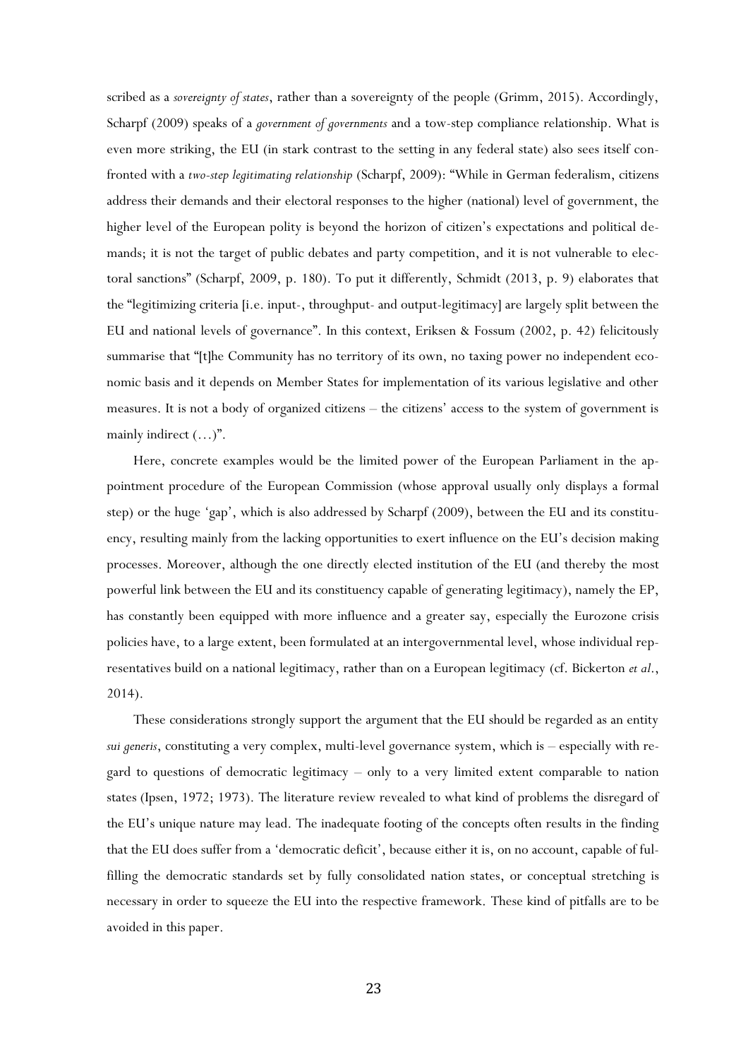scribed as a *sovereignty of states*, rather than a sovereignty of the people (Grimm, 2015). Accordingly, Scharpf (2009) speaks of a *government of governments* and a tow-step compliance relationship. What is even more striking, the EU (in stark contrast to the setting in any federal state) also sees itself confronted with a *two-step legitimating relationship* (Scharpf, 2009): "While in German federalism, citizens address their demands and their electoral responses to the higher (national) level of government, the higher level of the European polity is beyond the horizon of citizen's expectations and political demands; it is not the target of public debates and party competition, and it is not vulnerable to electoral sanctions" (Scharpf, 2009, p. 180). To put it differently, Schmidt (2013, p. 9) elaborates that the "legitimizing criteria [i.e. input-, throughput- and output-legitimacy] are largely split between the EU and national levels of governance". In this context, Eriksen & Fossum (2002, p. 42) felicitously summarise that "[t]he Community has no territory of its own, no taxing power no independent economic basis and it depends on Member States for implementation of its various legislative and other measures. It is not a body of organized citizens – the citizens' access to the system of government is mainly indirect (…)".

Here, concrete examples would be the limited power of the European Parliament in the appointment procedure of the European Commission (whose approval usually only displays a formal step) or the huge 'gap', which is also addressed by Scharpf (2009), between the EU and its constituency, resulting mainly from the lacking opportunities to exert influence on the EU's decision making processes. Moreover, although the one directly elected institution of the EU (and thereby the most powerful link between the EU and its constituency capable of generating legitimacy), namely the EP, has constantly been equipped with more influence and a greater say, especially the Eurozone crisis policies have, to a large extent, been formulated at an intergovernmental level, whose individual representatives build on a national legitimacy, rather than on a European legitimacy (cf. Bickerton *et al*., 2014).

These considerations strongly support the argument that the EU should be regarded as an entity *sui generis*, constituting a very complex, multi-level governance system, which is – especially with regard to questions of democratic legitimacy – only to a very limited extent comparable to nation states (Ipsen, 1972; 1973). The literature review revealed to what kind of problems the disregard of the EU's unique nature may lead. The inadequate footing of the concepts often results in the finding that the EU does suffer from a 'democratic deficit', because either it is, on no account, capable of fulfilling the democratic standards set by fully consolidated nation states, or conceptual stretching is necessary in order to squeeze the EU into the respective framework. These kind of pitfalls are to be avoided in this paper.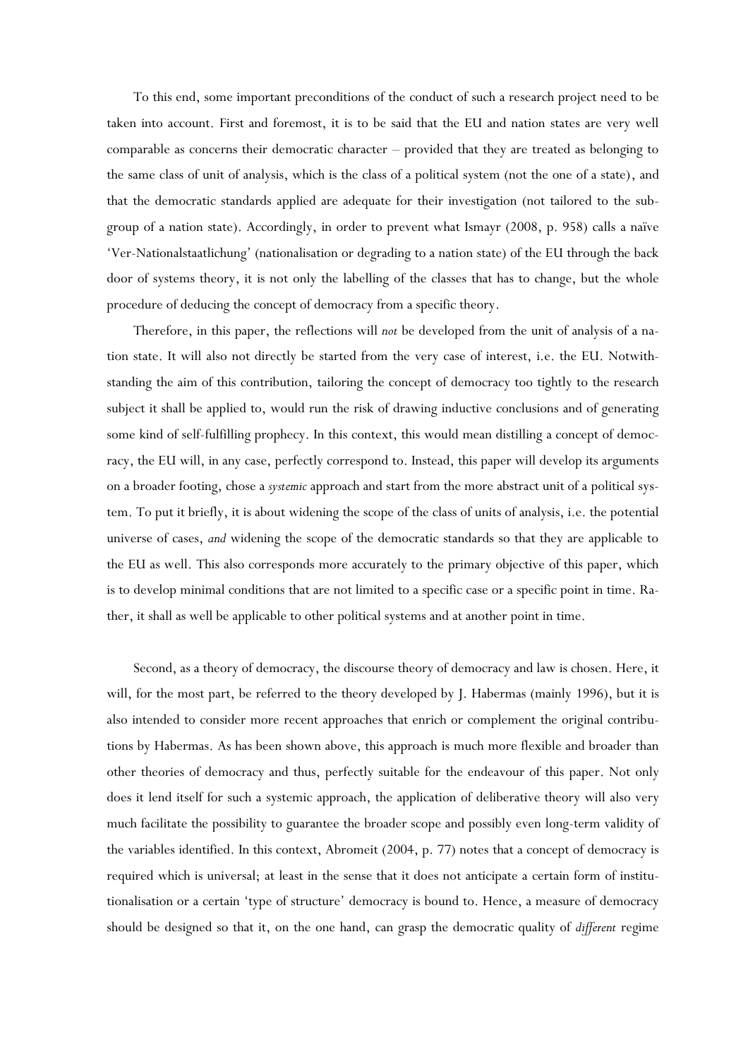To this end, some important preconditions of the conduct of such a research project need to be taken into account. First and foremost, it is to be said that the EU and nation states are very well comparable as concerns their democratic character – provided that they are treated as belonging to the same class of unit of analysis, which is the class of a political system (not the one of a state), and that the democratic standards applied are adequate for their investigation (not tailored to the subgroup of a nation state). Accordingly, in order to prevent what Ismayr (2008, p. 958) calls a naïve 'Ver-Nationalstaatlichung' (nationalisation or degrading to a nation state) of the EU through the back door of systems theory, it is not only the labelling of the classes that has to change, but the whole procedure of deducing the concept of democracy from a specific theory.

Therefore, in this paper, the reflections will *not* be developed from the unit of analysis of a nation state. It will also not directly be started from the very case of interest, i.e. the EU. Notwithstanding the aim of this contribution, tailoring the concept of democracy too tightly to the research subject it shall be applied to, would run the risk of drawing inductive conclusions and of generating some kind of self-fulfilling prophecy. In this context, this would mean distilling a concept of democracy, the EU will, in any case, perfectly correspond to. Instead, this paper will develop its arguments on a broader footing, chose a *systemic* approach and start from the more abstract unit of a political system. To put it briefly, it is about widening the scope of the class of units of analysis, i.e. the potential universe of cases, *and* widening the scope of the democratic standards so that they are applicable to the EU as well. This also corresponds more accurately to the primary objective of this paper, which is to develop minimal conditions that are not limited to a specific case or a specific point in time. Rather, it shall as well be applicable to other political systems and at another point in time.

Second, as a theory of democracy, the discourse theory of democracy and law is chosen. Here, it will, for the most part, be referred to the theory developed by J. Habermas (mainly 1996), but it is also intended to consider more recent approaches that enrich or complement the original contributions by Habermas. As has been shown above, this approach is much more flexible and broader than other theories of democracy and thus, perfectly suitable for the endeavour of this paper. Not only does it lend itself for such a systemic approach, the application of deliberative theory will also very much facilitate the possibility to guarantee the broader scope and possibly even long-term validity of the variables identified. In this context, Abromeit (2004, p. 77) notes that a concept of democracy is required which is universal; at least in the sense that it does not anticipate a certain form of institutionalisation or a certain 'type of structure' democracy is bound to. Hence, a measure of democracy should be designed so that it, on the one hand, can grasp the democratic quality of *different* regime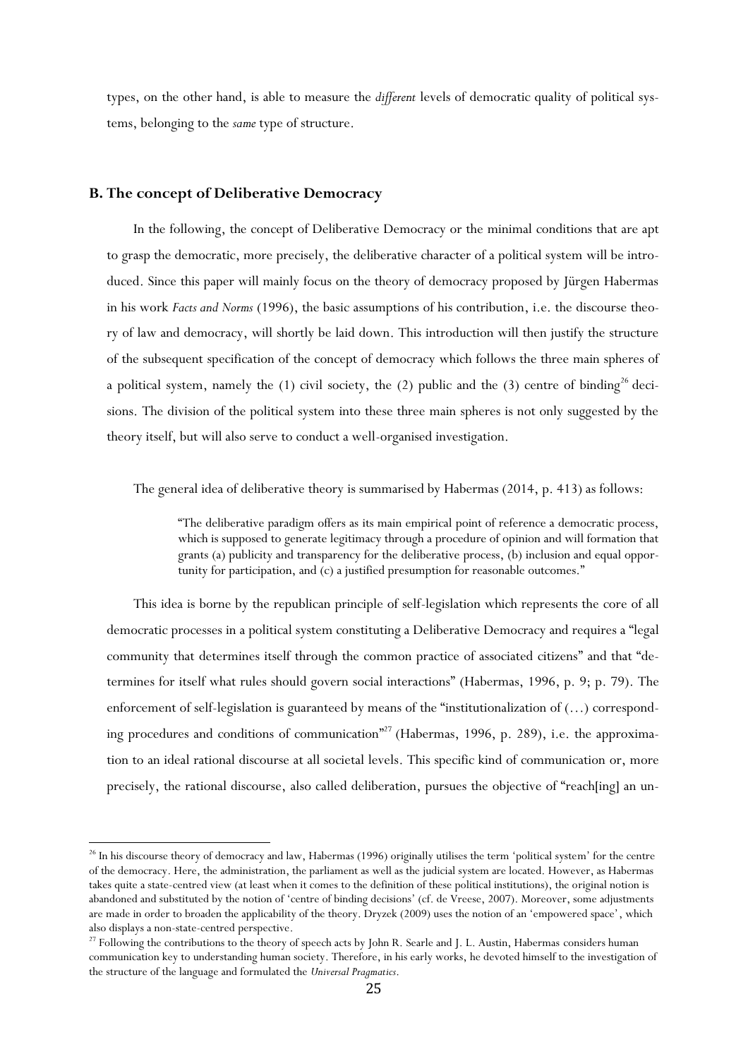types, on the other hand, is able to measure the *different* levels of democratic quality of political systems, belonging to the *same* type of structure.

## **B. The concept of Deliberative Democracy**

 $\overline{\phantom{a}}$ 

In the following, the concept of Deliberative Democracy or the minimal conditions that are apt to grasp the democratic, more precisely, the deliberative character of a political system will be introduced. Since this paper will mainly focus on the theory of democracy proposed by Jürgen Habermas in his work *Facts and Norms* (1996), the basic assumptions of his contribution, i.e. the discourse theory of law and democracy, will shortly be laid down. This introduction will then justify the structure of the subsequent specification of the concept of democracy which follows the three main spheres of a political system, namely the  $(1)$  civil society, the  $(2)$  public and the  $(3)$  centre of binding<sup>26</sup> decisions. The division of the political system into these three main spheres is not only suggested by the theory itself, but will also serve to conduct a well-organised investigation.

The general idea of deliberative theory is summarised by Habermas (2014, p. 413) as follows:

"The deliberative paradigm offers as its main empirical point of reference a democratic process, which is supposed to generate legitimacy through a procedure of opinion and will formation that grants (a) publicity and transparency for the deliberative process, (b) inclusion and equal opportunity for participation, and (c) a justified presumption for reasonable outcomes."

This idea is borne by the republican principle of self-legislation which represents the core of all democratic processes in a political system constituting a Deliberative Democracy and requires a "legal community that determines itself through the common practice of associated citizens" and that "determines for itself what rules should govern social interactions" (Habermas, 1996, p. 9; p. 79). The enforcement of self-legislation is guaranteed by means of the "institutionalization of (…) corresponding procedures and conditions of communication<sup>"27</sup> (Habermas, 1996, p. 289), i.e. the approximation to an ideal rational discourse at all societal levels. This specific kind of communication or, more precisely, the rational discourse, also called deliberation, pursues the objective of "reach[ing] an un-

<sup>&</sup>lt;sup>26</sup> In his discourse theory of democracy and law, Habermas (1996) originally utilises the term 'political system' for the centre of the democracy. Here, the administration, the parliament as well as the judicial system are located. However, as Habermas takes quite a state-centred view (at least when it comes to the definition of these political institutions), the original notion is abandoned and substituted by the notion of 'centre of binding decisions' (cf. de Vreese, 2007). Moreover, some adjustments are made in order to broaden the applicability of the theory. Dryzek (2009) uses the notion of an 'empowered space', which also displays a non-state-centred perspective.

<sup>&</sup>lt;sup>27</sup> Following the contributions to the theory of speech acts by John R. Searle and J. L. Austin, Habermas considers human communication key to understanding human society. Therefore, in his early works, he devoted himself to the investigation of the structure of the language and formulated the *Universal Pragmatics*.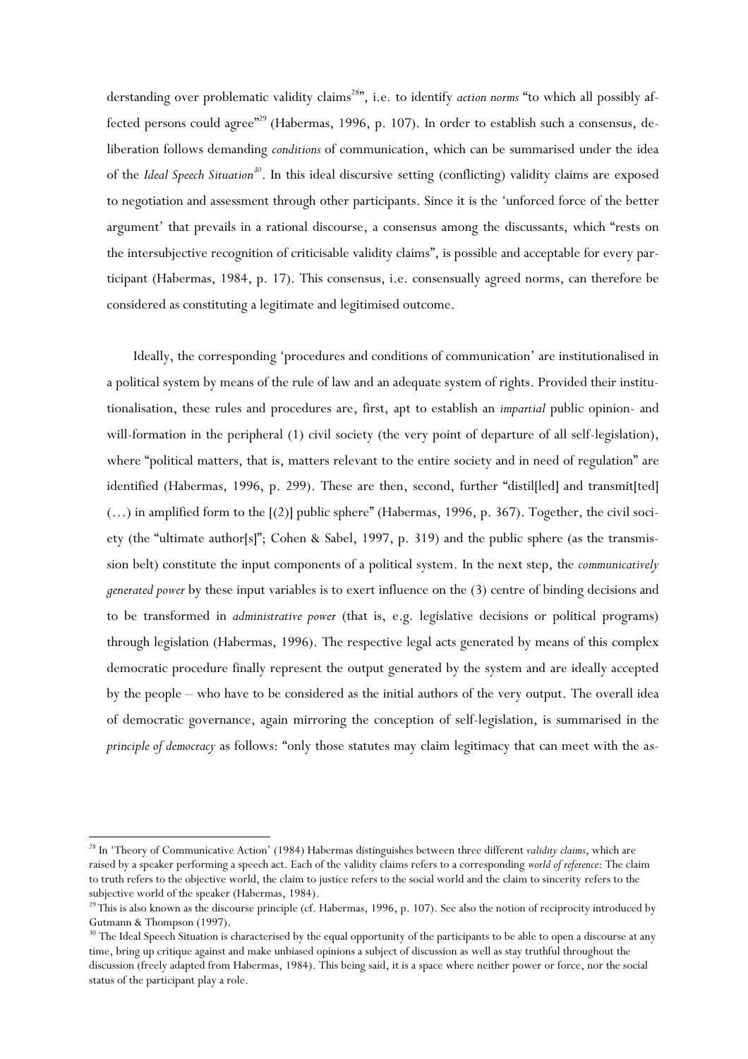derstanding over problematic validity claims<sup>28</sup>", i.e. to identify *action norms* "to which all possibly affected persons could agree"<sup>29</sup> (Habermas, 1996, p. 107). In order to establish such a consensus, deliberation follows demanding *conditions* of communication, which can be summarised under the idea of the *Ideal Speech Situation<sup>30</sup>*. In this ideal discursive setting (conflicting) validity claims are exposed to negotiation and assessment through other participants. Since it is the 'unforced force of the better argument' that prevails in a rational discourse, a consensus among the discussants, which "rests on the intersubjective recognition of criticisable validity claims", is possible and acceptable for every participant (Habermas, 1984, p. 17). This consensus, i.e. consensually agreed norms, can therefore be considered as constituting a legitimate and legitimised outcome.

Ideally, the corresponding 'procedures and conditions of communication' are institutionalised in a political system by means of the rule of law and an adequate system of rights. Provided their institutionalisation, these rules and procedures are, first, apt to establish an *impartial* public opinion- and will-formation in the peripheral (1) civil society (the very point of departure of all self-legislation), where "political matters, that is, matters relevant to the entire society and in need of regulation" are identified (Habermas, 1996, p. 299). These are then, second, further "distil[led] and transmit[ted] (…) in amplified form to the [(2)] public sphere" (Habermas, 1996, p. 367). Together, the civil society (the "ultimate author[s]"; Cohen & Sabel, 1997, p. 319) and the public sphere (as the transmission belt) constitute the input components of a political system. In the next step, the *communicatively generated power* by these input variables is to exert influence on the (3) centre of binding decisions and to be transformed in *administrative power* (that is, e.g. legislative decisions or political programs) through legislation (Habermas, 1996). The respective legal acts generated by means of this complex democratic procedure finally represent the output generated by the system and are ideally accepted by the people – who have to be considered as the initial authors of the very output. The overall idea of democratic governance, again mirroring the conception of self-legislation, is summarised in the *principle of democracy* as follows: "only those statutes may claim legitimacy that can meet with the as-

<sup>28</sup> In 'Theory of Communicative Action' (1984) Habermas distinguishes between three different *validity claims*, which are raised by a speaker performing a speech act. Each of the validity claims refers to a corresponding *world of reference*: The claim to truth refers to the objective world, the claim to justice refers to the social world and the claim to sincerity refers to the subjective world of the speaker (Habermas, 1984).

<sup>&</sup>lt;sup>29</sup>This is also known as the discourse principle (cf. Habermas, 1996, p. 107). See also the notion of reciprocity introduced by Gutmann & Thompson (1997).

<sup>&</sup>lt;sup>30</sup> The Ideal Speech Situation is characterised by the equal opportunity of the participants to be able to open a discourse at any time, bring up critique against and make unbiased opinions a subject of discussion as well as stay truthful throughout the discussion (freely adapted from Habermas, 1984). This being said, it is a space where neither power or force, nor the social status of the participant play a role.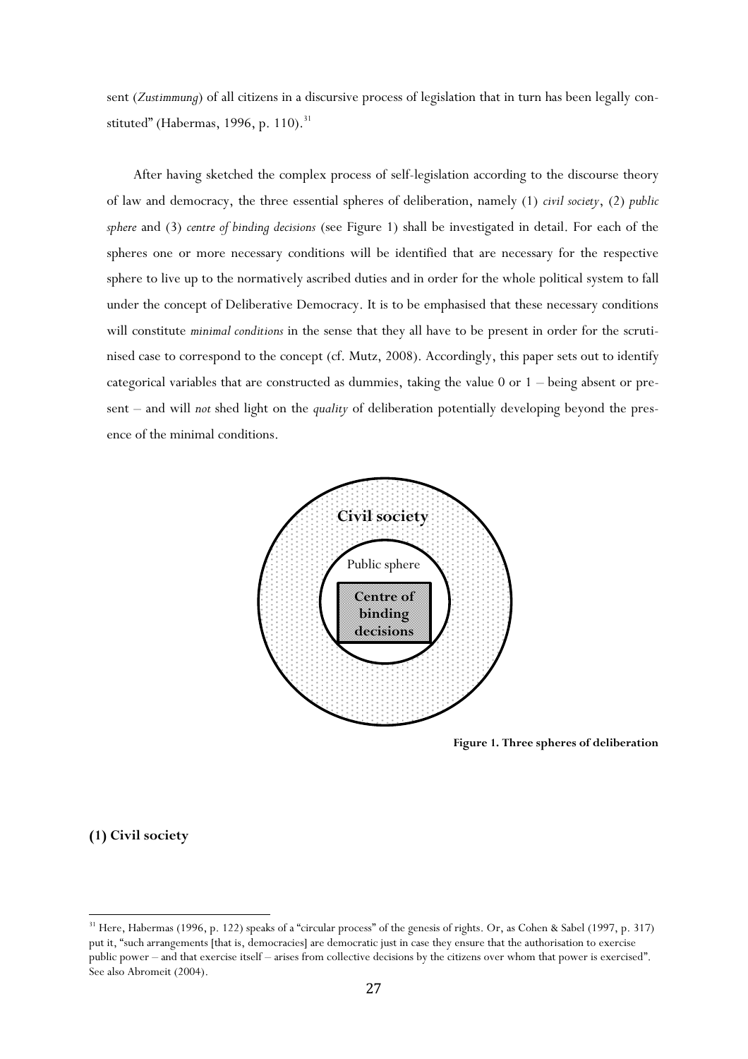sent (*Zustimmung*) of all citizens in a discursive process of legislation that in turn has been legally constituted" (Habermas, 1996, p. 110). $31$ 

After having sketched the complex process of self-legislation according to the discourse theory of law and democracy, the three essential spheres of deliberation, namely (1) *civil society*, (2) *public sphere* and (3) *centre of binding decisions* (see Figure 1) shall be investigated in detail. For each of the spheres one or more necessary conditions will be identified that are necessary for the respective sphere to live up to the normatively ascribed duties and in order for the whole political system to fall under the concept of Deliberative Democracy. It is to be emphasised that these necessary conditions will constitute *minimal conditions* in the sense that they all have to be present in order for the scrutinised case to correspond to the concept (cf. Mutz, 2008). Accordingly, this paper sets out to identify categorical variables that are constructed as dummies, taking the value 0 or 1 – being absent or present – and will *not* shed light on the *quality* of deliberation potentially developing beyond the presence of the minimal conditions.



**Figure 1. Three spheres of deliberation**

## **(1) Civil society**

<sup>&</sup>lt;sup>31</sup> Here, Habermas (1996, p. 122) speaks of a "circular process" of the genesis of rights. Or, as Cohen & Sabel (1997, p. 317) put it, "such arrangements [that is, democracies] are democratic just in case they ensure that the authorisation to exercise public power – and that exercise itself – arises from collective decisions by the citizens over whom that power is exercised". See also Abromeit (2004).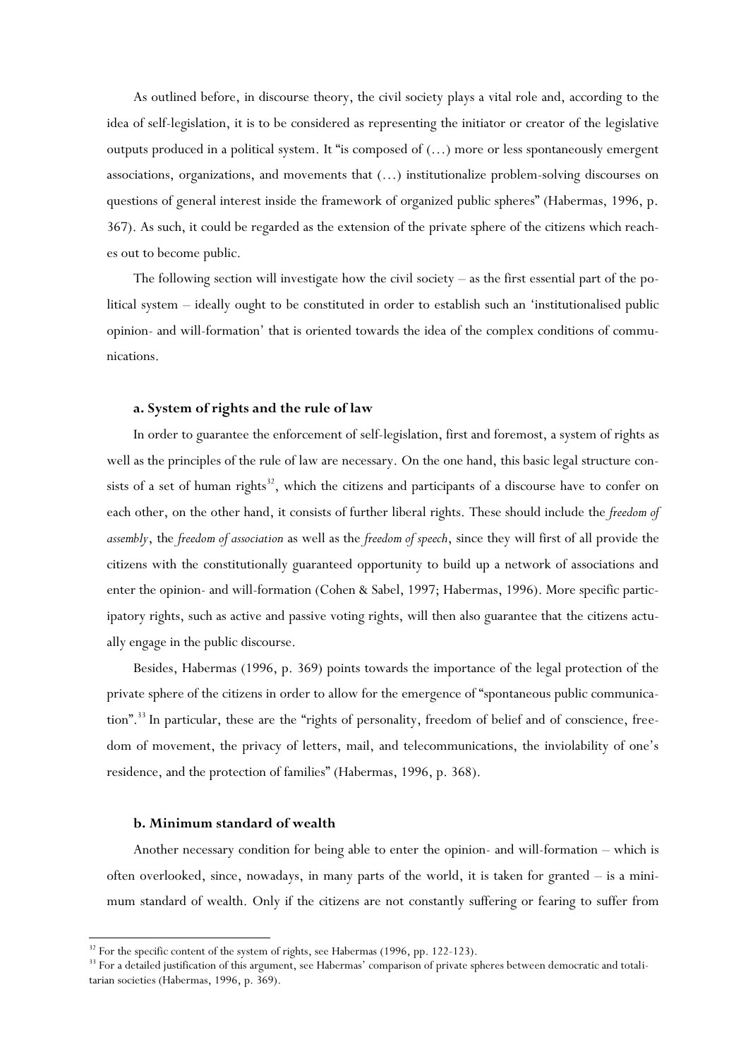As outlined before, in discourse theory, the civil society plays a vital role and, according to the idea of self-legislation, it is to be considered as representing the initiator or creator of the legislative outputs produced in a political system. It "is composed of  $(...)$  more or less spontaneously emergent associations, organizations, and movements that (…) institutionalize problem-solving discourses on questions of general interest inside the framework of organized public spheres" (Habermas, 1996, p. 367). As such, it could be regarded as the extension of the private sphere of the citizens which reaches out to become public.

The following section will investigate how the civil society – as the first essential part of the political system – ideally ought to be constituted in order to establish such an 'institutionalised public opinion- and will-formation' that is oriented towards the idea of the complex conditions of communications.

### **a. System of rights and the rule of law**

In order to guarantee the enforcement of self-legislation, first and foremost, a system of rights as well as the principles of the rule of law are necessary. On the one hand, this basic legal structure consists of a set of human rights<sup>32</sup>, which the citizens and participants of a discourse have to confer on each other, on the other hand, it consists of further liberal rights. These should include the *freedom of assembly*, the *freedom of association* as well as the *freedom of speech*, since they will first of all provide the citizens with the constitutionally guaranteed opportunity to build up a network of associations and enter the opinion- and will-formation (Cohen & Sabel, 1997; Habermas, 1996). More specific participatory rights, such as active and passive voting rights, will then also guarantee that the citizens actually engage in the public discourse.

Besides, Habermas (1996, p. 369) points towards the importance of the legal protection of the private sphere of the citizens in order to allow for the emergence of "spontaneous public communication".<sup>33</sup> In particular, these are the "rights of personality, freedom of belief and of conscience, freedom of movement, the privacy of letters, mail, and telecommunications, the inviolability of one's residence, and the protection of families" (Habermas, 1996, p. 368).

## **b. Minimum standard of wealth**

 $\overline{\phantom{a}}$ 

Another necessary condition for being able to enter the opinion- and will-formation – which is often overlooked, since, nowadays, in many parts of the world, it is taken for granted – is a minimum standard of wealth. Only if the citizens are not constantly suffering or fearing to suffer from

<sup>&</sup>lt;sup>32</sup> For the specific content of the system of rights, see Habermas (1996, pp. 122-123).

<sup>&</sup>lt;sup>33</sup> For a detailed justification of this argument, see Habermas' comparison of private spheres between democratic and totalitarian societies (Habermas, 1996, p. 369).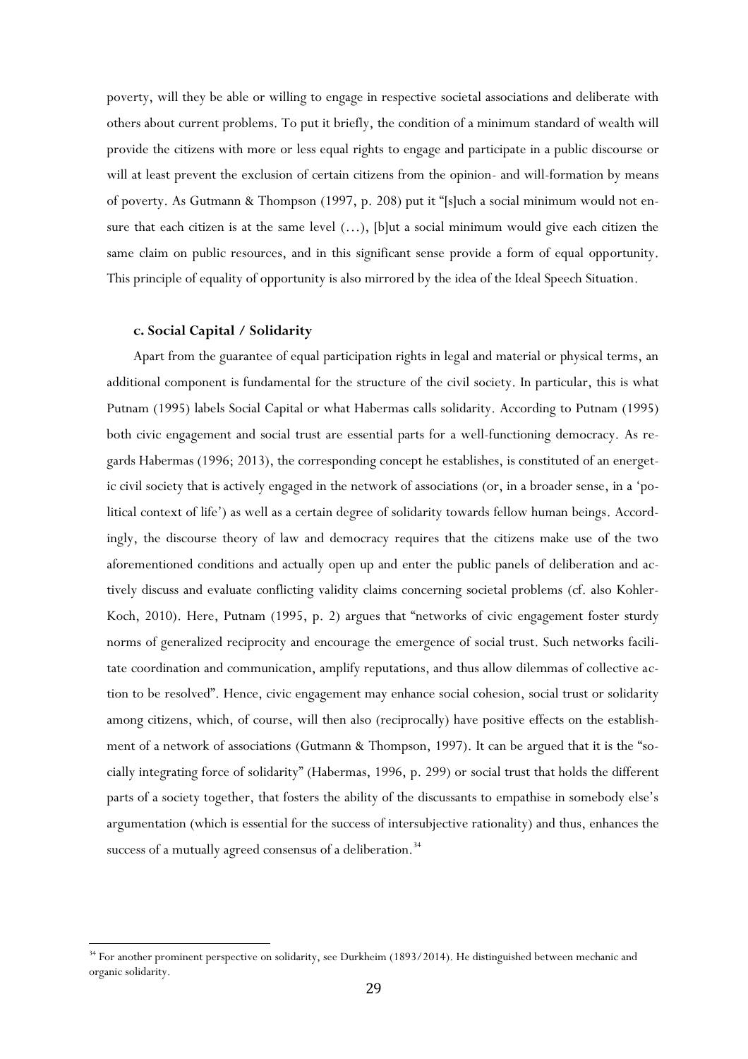poverty, will they be able or willing to engage in respective societal associations and deliberate with others about current problems. To put it briefly, the condition of a minimum standard of wealth will provide the citizens with more or less equal rights to engage and participate in a public discourse or will at least prevent the exclusion of certain citizens from the opinion- and will-formation by means of poverty. As Gutmann & Thompson (1997, p. 208) put it "[s]uch a social minimum would not ensure that each citizen is at the same level (…), [b]ut a social minimum would give each citizen the same claim on public resources, and in this significant sense provide a form of equal opportunity. This principle of equality of opportunity is also mirrored by the idea of the Ideal Speech Situation.

#### **c. Social Capital / Solidarity**

 $\overline{\phantom{a}}$ 

Apart from the guarantee of equal participation rights in legal and material or physical terms, an additional component is fundamental for the structure of the civil society. In particular, this is what Putnam (1995) labels Social Capital or what Habermas calls solidarity. According to Putnam (1995) both civic engagement and social trust are essential parts for a well-functioning democracy. As regards Habermas (1996; 2013), the corresponding concept he establishes, is constituted of an energetic civil society that is actively engaged in the network of associations (or, in a broader sense, in a 'political context of life') as well as a certain degree of solidarity towards fellow human beings. Accordingly, the discourse theory of law and democracy requires that the citizens make use of the two aforementioned conditions and actually open up and enter the public panels of deliberation and actively discuss and evaluate conflicting validity claims concerning societal problems (cf. also Kohler-Koch, 2010). Here, Putnam (1995, p. 2) argues that "networks of civic engagement foster sturdy norms of generalized reciprocity and encourage the emergence of social trust. Such networks facilitate coordination and communication, amplify reputations, and thus allow dilemmas of collective action to be resolved". Hence, civic engagement may enhance social cohesion, social trust or solidarity among citizens, which, of course, will then also (reciprocally) have positive effects on the establishment of a network of associations (Gutmann & Thompson, 1997). It can be argued that it is the "socially integrating force of solidarity" (Habermas, 1996, p. 299) or social trust that holds the different parts of a society together, that fosters the ability of the discussants to empathise in somebody else's argumentation (which is essential for the success of intersubjective rationality) and thus, enhances the success of a mutually agreed consensus of a deliberation.<sup>34</sup>

<sup>&</sup>lt;sup>34</sup> For another prominent perspective on solidarity, see Durkheim (1893/2014). He distinguished between mechanic and organic solidarity.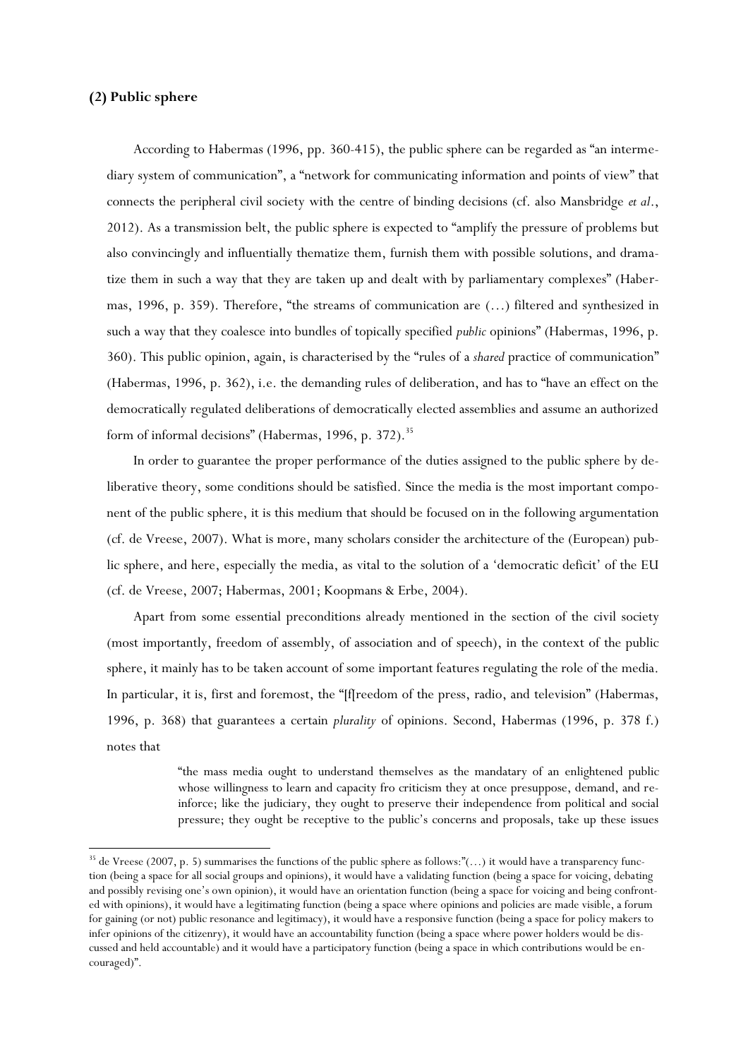## **(2) Public sphere**

 $\overline{\phantom{a}}$ 

According to Habermas (1996, pp. 360-415), the public sphere can be regarded as "an intermediary system of communication", a "network for communicating information and points of view" that connects the peripheral civil society with the centre of binding decisions (cf. also Mansbridge *et al*., 2012). As a transmission belt, the public sphere is expected to "amplify the pressure of problems but also convincingly and influentially thematize them, furnish them with possible solutions, and dramatize them in such a way that they are taken up and dealt with by parliamentary complexes" (Habermas, 1996, p. 359). Therefore, "the streams of communication are (…) filtered and synthesized in such a way that they coalesce into bundles of topically specified *public* opinions" (Habermas, 1996, p. 360). This public opinion, again, is characterised by the "rules of a *shared* practice of communication" (Habermas, 1996, p. 362), i.e. the demanding rules of deliberation, and has to "have an effect on the democratically regulated deliberations of democratically elected assemblies and assume an authorized form of informal decisions" (Habermas, 1996, p. 372).<sup>35</sup>

In order to guarantee the proper performance of the duties assigned to the public sphere by deliberative theory, some conditions should be satisfied. Since the media is the most important component of the public sphere, it is this medium that should be focused on in the following argumentation (cf. de Vreese, 2007). What is more, many scholars consider the architecture of the (European) public sphere, and here, especially the media, as vital to the solution of a 'democratic deficit' of the EU (cf. de Vreese, 2007; Habermas, 2001; Koopmans & Erbe, 2004).

Apart from some essential preconditions already mentioned in the section of the civil society (most importantly, freedom of assembly, of association and of speech), in the context of the public sphere, it mainly has to be taken account of some important features regulating the role of the media. In particular, it is, first and foremost, the "[f[reedom of the press, radio, and television" (Habermas, 1996, p. 368) that guarantees a certain *plurality* of opinions. Second, Habermas (1996, p. 378 f.) notes that

> "the mass media ought to understand themselves as the mandatary of an enlightened public whose willingness to learn and capacity fro criticism they at once presuppose, demand, and reinforce; like the judiciary, they ought to preserve their independence from political and social pressure; they ought be receptive to the public's concerns and proposals, take up these issues

 $35$  de Vreese (2007, p. 5) summarises the functions of the public sphere as follows:"(...) it would have a transparency function (being a space for all social groups and opinions), it would have a validating function (being a space for voicing, debating and possibly revising one's own opinion), it would have an orientation function (being a space for voicing and being confronted with opinions), it would have a legitimating function (being a space where opinions and policies are made visible, a forum for gaining (or not) public resonance and legitimacy), it would have a responsive function (being a space for policy makers to infer opinions of the citizenry), it would have an accountability function (being a space where power holders would be discussed and held accountable) and it would have a participatory function (being a space in which contributions would be encouraged)".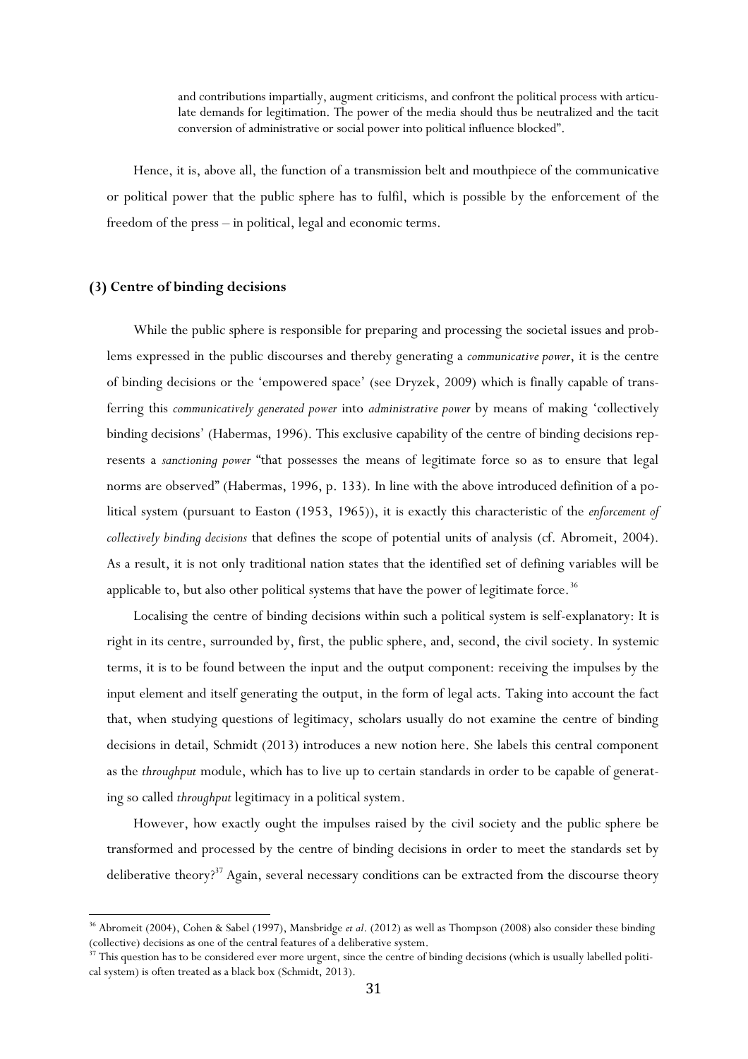and contributions impartially, augment criticisms, and confront the political process with articulate demands for legitimation. The power of the media should thus be neutralized and the tacit conversion of administrative or social power into political influence blocked".

Hence, it is, above all, the function of a transmission belt and mouthpiece of the communicative or political power that the public sphere has to fulfil, which is possible by the enforcement of the freedom of the press – in political, legal and economic terms.

## **(3) Centre of binding decisions**

 $\overline{\phantom{a}}$ 

While the public sphere is responsible for preparing and processing the societal issues and problems expressed in the public discourses and thereby generating a *communicative power*, it is the centre of binding decisions or the 'empowered space' (see Dryzek, 2009) which is finally capable of transferring this *communicatively generated power* into *administrative power* by means of making 'collectively binding decisions' (Habermas, 1996). This exclusive capability of the centre of binding decisions represents a *sanctioning power* "that possesses the means of legitimate force so as to ensure that legal norms are observed" (Habermas, 1996, p. 133). In line with the above introduced definition of a political system (pursuant to Easton (1953, 1965)), it is exactly this characteristic of the *enforcement of collectively binding decisions* that defines the scope of potential units of analysis (cf. Abromeit, 2004). As a result, it is not only traditional nation states that the identified set of defining variables will be applicable to, but also other political systems that have the power of legitimate force.<sup>36</sup>

Localising the centre of binding decisions within such a political system is self-explanatory: It is right in its centre, surrounded by, first, the public sphere, and, second, the civil society. In systemic terms, it is to be found between the input and the output component: receiving the impulses by the input element and itself generating the output, in the form of legal acts. Taking into account the fact that, when studying questions of legitimacy, scholars usually do not examine the centre of binding decisions in detail, Schmidt (2013) introduces a new notion here. She labels this central component as the *throughput* module, which has to live up to certain standards in order to be capable of generating so called *throughput* legitimacy in a political system.

However, how exactly ought the impulses raised by the civil society and the public sphere be transformed and processed by the centre of binding decisions in order to meet the standards set by deliberative theory?<sup>37</sup> Again, several necessary conditions can be extracted from the discourse theory

<sup>36</sup> Abromeit (2004), Cohen & Sabel (1997), Mansbridge *et al*. (2012) as well as Thompson (2008) also consider these binding (collective) decisions as one of the central features of a deliberative system.

<sup>&</sup>lt;sup>37</sup> This question has to be considered ever more urgent, since the centre of binding decisions (which is usually labelled political system) is often treated as a black box (Schmidt, 2013).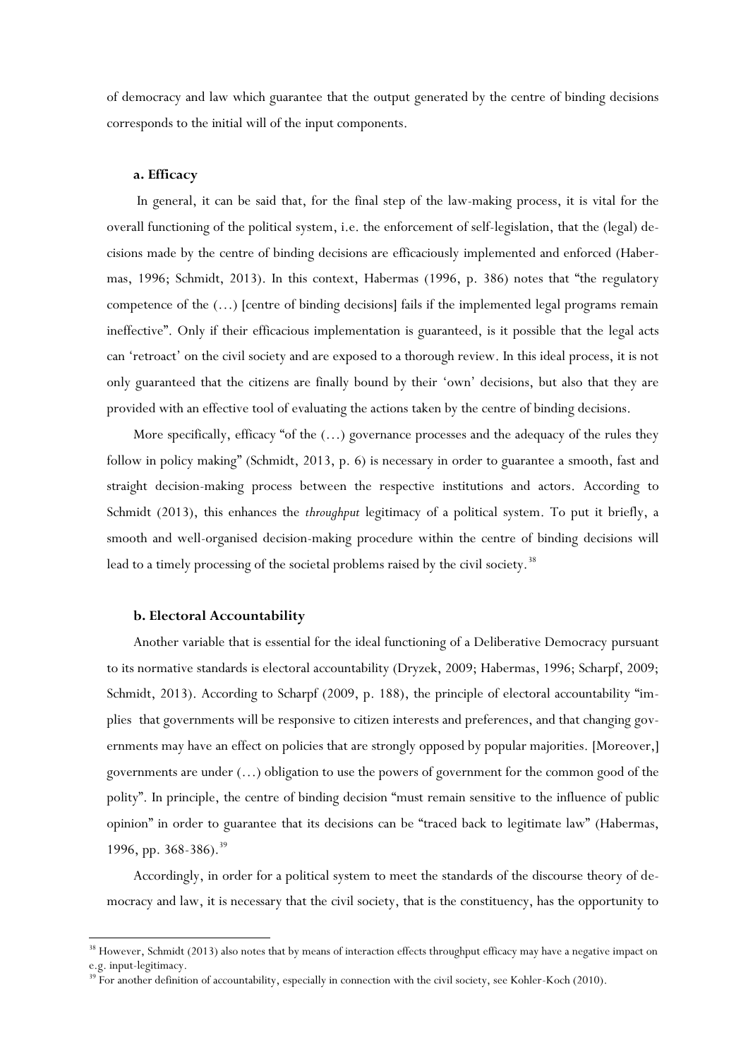of democracy and law which guarantee that the output generated by the centre of binding decisions corresponds to the initial will of the input components.

## **a. Efficacy**

In general, it can be said that, for the final step of the law-making process, it is vital for the overall functioning of the political system, i.e. the enforcement of self-legislation, that the (legal) decisions made by the centre of binding decisions are efficaciously implemented and enforced (Habermas, 1996; Schmidt, 2013). In this context, Habermas (1996, p. 386) notes that "the regulatory competence of the (…) [centre of binding decisions] fails if the implemented legal programs remain ineffective". Only if their efficacious implementation is guaranteed, is it possible that the legal acts can 'retroact' on the civil society and are exposed to a thorough review. In this ideal process, it is not only guaranteed that the citizens are finally bound by their 'own' decisions, but also that they are provided with an effective tool of evaluating the actions taken by the centre of binding decisions.

More specifically, efficacy "of the  $(...)$  governance processes and the adequacy of the rules they follow in policy making" (Schmidt, 2013, p. 6) is necessary in order to guarantee a smooth, fast and straight decision-making process between the respective institutions and actors. According to Schmidt (2013), this enhances the *throughput* legitimacy of a political system. To put it briefly, a smooth and well-organised decision-making procedure within the centre of binding decisions will lead to a timely processing of the societal problems raised by the civil society.<sup>38</sup>

#### **b. Electoral Accountability**

 $\overline{\phantom{a}}$ 

Another variable that is essential for the ideal functioning of a Deliberative Democracy pursuant to its normative standards is electoral accountability (Dryzek, 2009; Habermas, 1996; Scharpf, 2009; Schmidt, 2013). According to Scharpf (2009, p. 188), the principle of electoral accountability "implies that governments will be responsive to citizen interests and preferences, and that changing governments may have an effect on policies that are strongly opposed by popular majorities. [Moreover,] governments are under (…) obligation to use the powers of government for the common good of the polity". In principle, the centre of binding decision "must remain sensitive to the influence of public opinion" in order to guarantee that its decisions can be "traced back to legitimate law" (Habermas, 1996, pp. 368-386).<sup>39</sup>

Accordingly, in order for a political system to meet the standards of the discourse theory of democracy and law, it is necessary that the civil society, that is the constituency, has the opportunity to

<sup>&</sup>lt;sup>38</sup> However, Schmidt (2013) also notes that by means of interaction effects throughput efficacy may have a negative impact on e.g. input-legitimacy.

<sup>&</sup>lt;sup>39</sup> For another definition of accountability, especially in connection with the civil society, see Kohler-Koch (2010).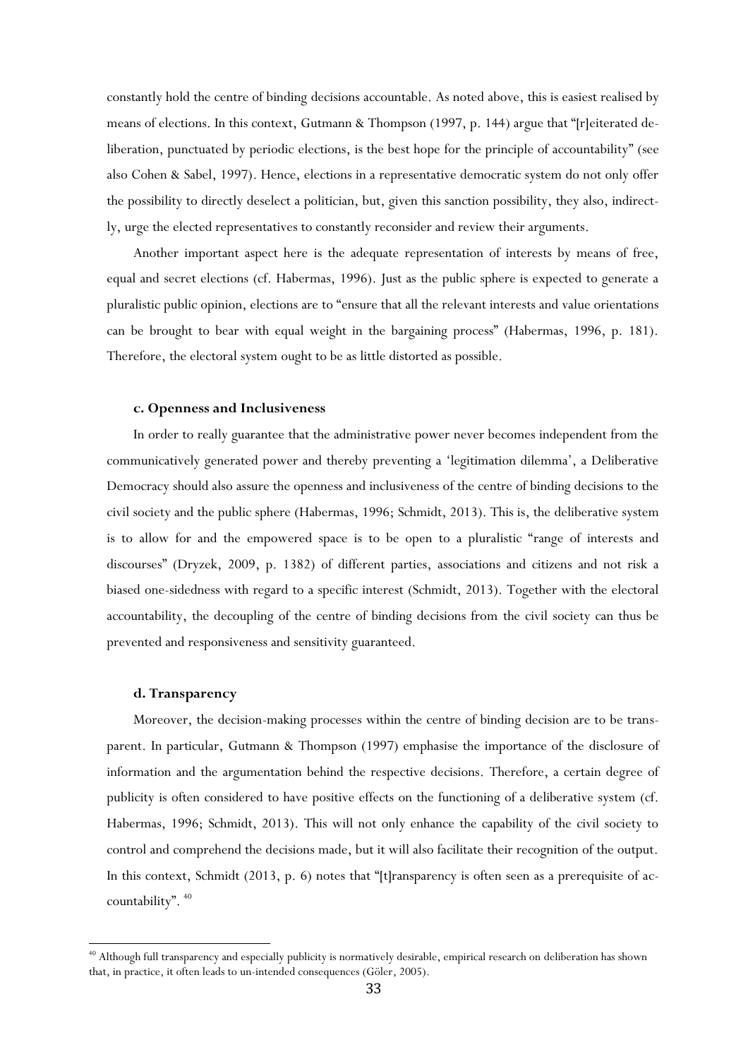constantly hold the centre of binding decisions accountable. As noted above, this is easiest realised by means of elections. In this context, Gutmann & Thompson (1997, p. 144) argue that "[r]eiterated deliberation, punctuated by periodic elections, is the best hope for the principle of accountability" (see also Cohen & Sabel, 1997). Hence, elections in a representative democratic system do not only offer the possibility to directly deselect a politician, but, given this sanction possibility, they also, indirectly, urge the elected representatives to constantly reconsider and review their arguments.

Another important aspect here is the adequate representation of interests by means of free, equal and secret elections (cf. Habermas, 1996). Just as the public sphere is expected to generate a pluralistic public opinion, elections are to "ensure that all the relevant interests and value orientations can be brought to bear with equal weight in the bargaining process" (Habermas, 1996, p. 181). Therefore, the electoral system ought to be as little distorted as possible.

### **c. Openness and Inclusiveness**

In order to really guarantee that the administrative power never becomes independent from the communicatively generated power and thereby preventing a 'legitimation dilemma', a Deliberative Democracy should also assure the openness and inclusiveness of the centre of binding decisions to the civil society and the public sphere (Habermas, 1996; Schmidt, 2013). This is, the deliberative system is to allow for and the empowered space is to be open to a pluralistic "range of interests and discourses" (Dryzek, 2009, p. 1382) of different parties, associations and citizens and not risk a biased one-sidedness with regard to a specific interest (Schmidt, 2013). Together with the electoral accountability, the decoupling of the centre of binding decisions from the civil society can thus be prevented and responsiveness and sensitivity guaranteed.

## **d. Transparency**

 $\overline{\phantom{a}}$ 

Moreover, the decision-making processes within the centre of binding decision are to be transparent. In particular, Gutmann & Thompson (1997) emphasise the importance of the disclosure of information and the argumentation behind the respective decisions. Therefore, a certain degree of publicity is often considered to have positive effects on the functioning of a deliberative system (cf. Habermas, 1996; Schmidt, 2013). This will not only enhance the capability of the civil society to control and comprehend the decisions made, but it will also facilitate their recognition of the output. In this context, Schmidt (2013, p. 6) notes that "[t]ransparency is often seen as a prerequisite of accountability".  $40$ 

<sup>40</sup> Although full transparency and especially publicity is normatively desirable, empirical research on deliberation has shown that, in practice, it often leads to un-intended consequences (Göler, 2005).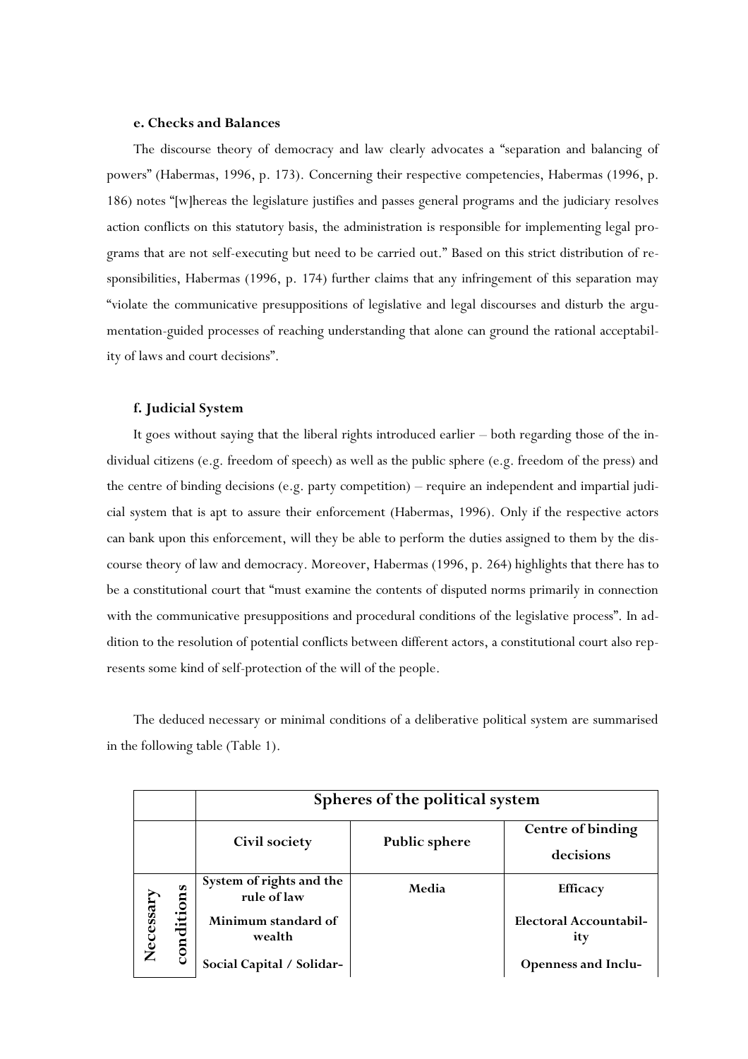## **e. Checks and Balances**

The discourse theory of democracy and law clearly advocates a "separation and balancing of powers" (Habermas, 1996, p. 173). Concerning their respective competencies, Habermas (1996, p. 186) notes "[w]hereas the legislature justifies and passes general programs and the judiciary resolves action conflicts on this statutory basis, the administration is responsible for implementing legal programs that are not self-executing but need to be carried out." Based on this strict distribution of responsibilities, Habermas (1996, p. 174) further claims that any infringement of this separation may "violate the communicative presuppositions of legislative and legal discourses and disturb the argumentation-guided processes of reaching understanding that alone can ground the rational acceptability of laws and court decisions".

### **f. Judicial System**

It goes without saying that the liberal rights introduced earlier – both regarding those of the individual citizens (e.g. freedom of speech) as well as the public sphere (e.g. freedom of the press) and the centre of binding decisions (e.g. party competition) – require an independent and impartial judicial system that is apt to assure their enforcement (Habermas, 1996). Only if the respective actors can bank upon this enforcement, will they be able to perform the duties assigned to them by the discourse theory of law and democracy. Moreover, Habermas (1996, p. 264) highlights that there has to be a constitutional court that "must examine the contents of disputed norms primarily in connection with the communicative presuppositions and procedural conditions of the legislative process". In addition to the resolution of potential conflicts between different actors, a constitutional court also represents some kind of self-protection of the will of the people.

The deduced necessary or minimal conditions of a deliberative political system are summarised in the following table (Table 1).

|           |                | Spheres of the political system         |                      |                                      |
|-----------|----------------|-----------------------------------------|----------------------|--------------------------------------|
|           |                |                                         |                      | Centre of binding                    |
|           |                | Civil society                           | <b>Public sphere</b> | decisions                            |
| Necessary | S<br>condition | System of rights and the<br>rule of law | Media                | <b>Efficacy</b>                      |
|           |                | Minimum standard of<br>wealth           |                      | <b>Electoral Accountabil-</b><br>ity |
|           |                | Social Capital / Solidar-               |                      | <b>Openness and Inclu-</b>           |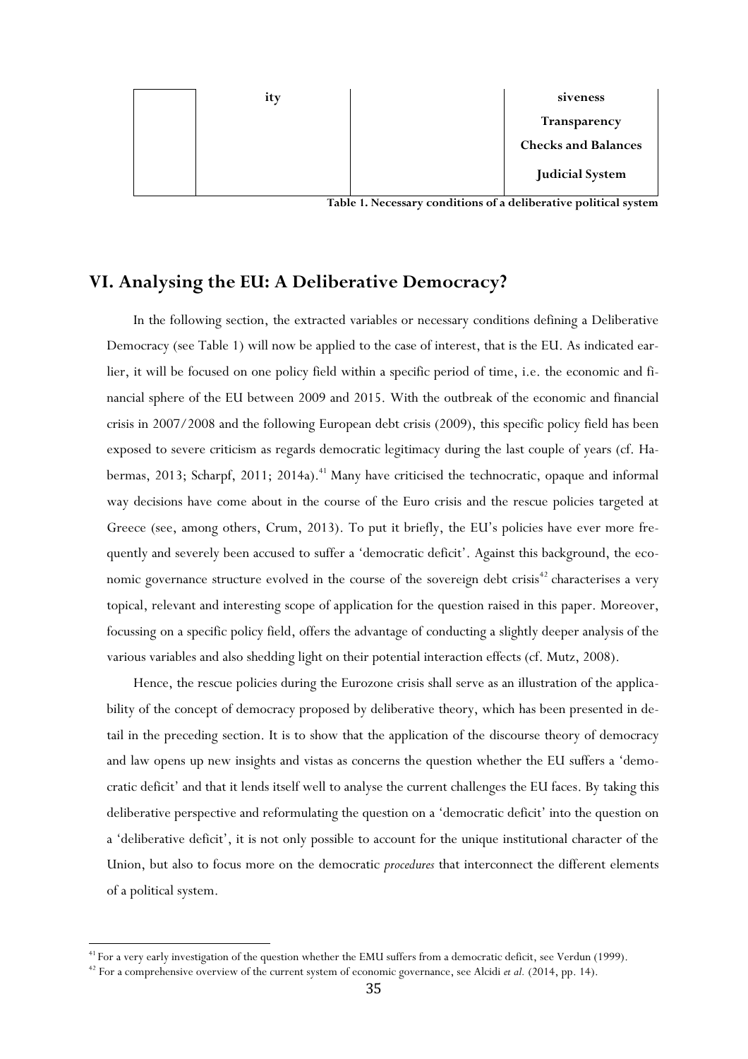

**Table 1. Necessary conditions of a deliberative political system**

## **VI. Analysing the EU: A Deliberative Democracy?**

In the following section, the extracted variables or necessary conditions defining a Deliberative Democracy (see Table 1) will now be applied to the case of interest, that is the EU. As indicated earlier, it will be focused on one policy field within a specific period of time, i.e. the economic and financial sphere of the EU between 2009 and 2015. With the outbreak of the economic and financial crisis in 2007/2008 and the following European debt crisis (2009), this specific policy field has been exposed to severe criticism as regards democratic legitimacy during the last couple of years (cf. Habermas, 2013; Scharpf, 2011; 2014a).<sup>41</sup> Many have criticised the technocratic, opaque and informal way decisions have come about in the course of the Euro crisis and the rescue policies targeted at Greece (see, among others, Crum, 2013). To put it briefly, the EU's policies have ever more frequently and severely been accused to suffer a 'democratic deficit'. Against this background, the economic governance structure evolved in the course of the sovereign debt crisis<sup>42</sup> characterises a very topical, relevant and interesting scope of application for the question raised in this paper. Moreover, focussing on a specific policy field, offers the advantage of conducting a slightly deeper analysis of the various variables and also shedding light on their potential interaction effects (cf. Mutz, 2008).

Hence, the rescue policies during the Eurozone crisis shall serve as an illustration of the applicability of the concept of democracy proposed by deliberative theory, which has been presented in detail in the preceding section. It is to show that the application of the discourse theory of democracy and law opens up new insights and vistas as concerns the question whether the EU suffers a 'democratic deficit' and that it lends itself well to analyse the current challenges the EU faces. By taking this deliberative perspective and reformulating the question on a 'democratic deficit' into the question on a 'deliberative deficit', it is not only possible to account for the unique institutional character of the Union, but also to focus more on the democratic *procedures* that interconnect the different elements of a political system.

<sup>&</sup>lt;sup>41</sup> For a very early investigation of the question whether the EMU suffers from a democratic deficit, see Verdun (1999).

<sup>&</sup>lt;sup>42</sup> For a comprehensive overview of the current system of economic governance, see Alcidi *et al.* (2014, pp. 14).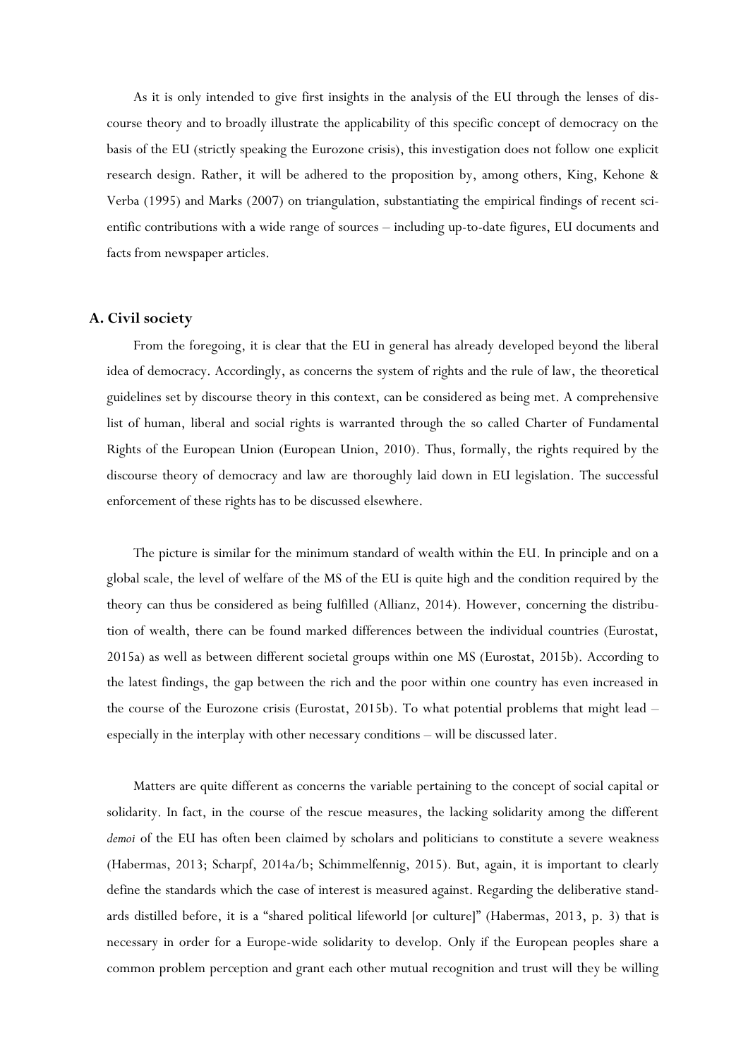As it is only intended to give first insights in the analysis of the EU through the lenses of discourse theory and to broadly illustrate the applicability of this specific concept of democracy on the basis of the EU (strictly speaking the Eurozone crisis), this investigation does not follow one explicit research design. Rather, it will be adhered to the proposition by, among others, King, Kehone & Verba (1995) and Marks (2007) on triangulation, substantiating the empirical findings of recent scientific contributions with a wide range of sources – including up-to-date figures, EU documents and facts from newspaper articles.

## **A. Civil society**

From the foregoing, it is clear that the EU in general has already developed beyond the liberal idea of democracy. Accordingly, as concerns the system of rights and the rule of law, the theoretical guidelines set by discourse theory in this context, can be considered as being met. A comprehensive list of human, liberal and social rights is warranted through the so called Charter of Fundamental Rights of the European Union (European Union, 2010). Thus, formally, the rights required by the discourse theory of democracy and law are thoroughly laid down in EU legislation. The successful enforcement of these rights has to be discussed elsewhere.

The picture is similar for the minimum standard of wealth within the EU. In principle and on a global scale, the level of welfare of the MS of the EU is quite high and the condition required by the theory can thus be considered as being fulfilled (Allianz, 2014). However, concerning the distribution of wealth, there can be found marked differences between the individual countries (Eurostat, 2015a) as well as between different societal groups within one MS (Eurostat, 2015b). According to the latest findings, the gap between the rich and the poor within one country has even increased in the course of the Eurozone crisis (Eurostat, 2015b). To what potential problems that might lead – especially in the interplay with other necessary conditions – will be discussed later.

Matters are quite different as concerns the variable pertaining to the concept of social capital or solidarity. In fact, in the course of the rescue measures, the lacking solidarity among the different *demoi* of the EU has often been claimed by scholars and politicians to constitute a severe weakness (Habermas, 2013; Scharpf, 2014a/b; Schimmelfennig, 2015). But, again, it is important to clearly define the standards which the case of interest is measured against. Regarding the deliberative standards distilled before, it is a "shared political lifeworld [or culture]" (Habermas, 2013, p. 3) that is necessary in order for a Europe-wide solidarity to develop. Only if the European peoples share a common problem perception and grant each other mutual recognition and trust will they be willing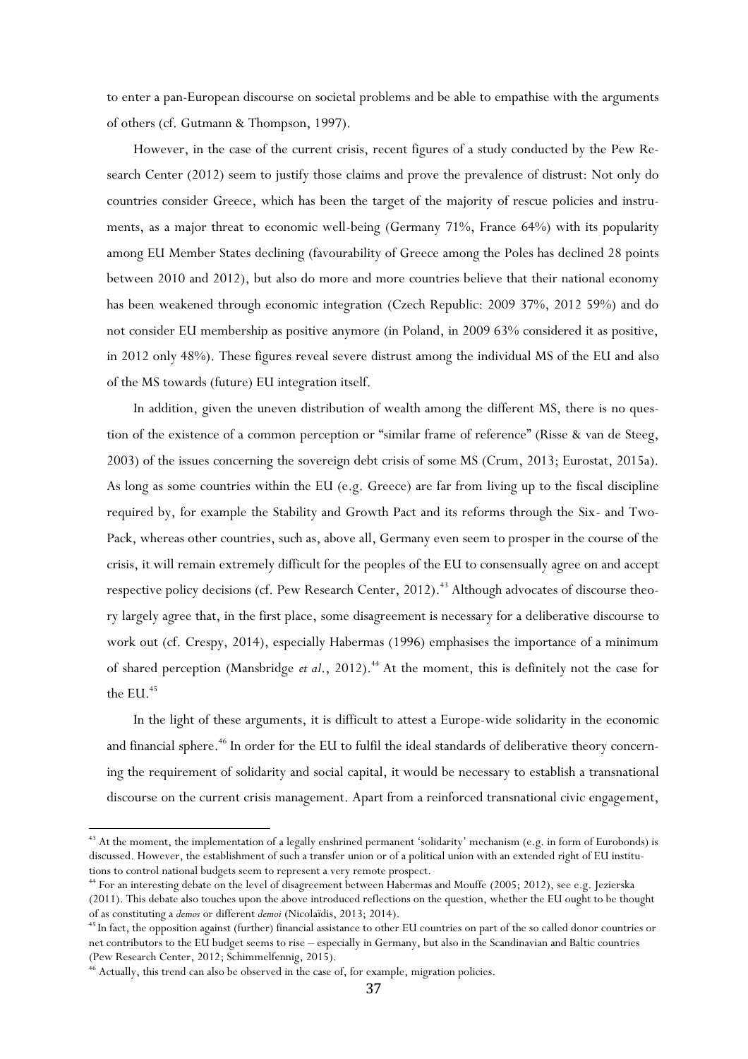to enter a pan-European discourse on societal problems and be able to empathise with the arguments of others (cf. Gutmann & Thompson, 1997).

However, in the case of the current crisis, recent figures of a study conducted by the Pew Research Center (2012) seem to justify those claims and prove the prevalence of distrust: Not only do countries consider Greece, which has been the target of the majority of rescue policies and instruments, as a major threat to economic well-being (Germany 71%, France 64%) with its popularity among EU Member States declining (favourability of Greece among the Poles has declined 28 points between 2010 and 2012), but also do more and more countries believe that their national economy has been weakened through economic integration (Czech Republic: 2009 37%, 2012 59%) and do not consider EU membership as positive anymore (in Poland, in 2009 63% considered it as positive, in 2012 only 48%). These figures reveal severe distrust among the individual MS of the EU and also of the MS towards (future) EU integration itself.

In addition, given the uneven distribution of wealth among the different MS, there is no question of the existence of a common perception or "similar frame of reference" (Risse & van de Steeg, 2003) of the issues concerning the sovereign debt crisis of some MS (Crum, 2013; Eurostat, 2015a). As long as some countries within the EU (e.g. Greece) are far from living up to the fiscal discipline required by, for example the Stability and Growth Pact and its reforms through the Six- and Two-Pack, whereas other countries, such as, above all, Germany even seem to prosper in the course of the crisis, it will remain extremely difficult for the peoples of the EU to consensually agree on and accept respective policy decisions (cf. Pew Research Center, 2012).<sup>43</sup> Although advocates of discourse theory largely agree that, in the first place, some disagreement is necessary for a deliberative discourse to work out (cf. Crespy, 2014), especially Habermas (1996) emphasises the importance of a minimum of shared perception (Mansbridge *et al.*, 2012).<sup>44</sup> At the moment, this is definitely not the case for the EU. $45$ 

In the light of these arguments, it is difficult to attest a Europe-wide solidarity in the economic and financial sphere.<sup>46</sup> In order for the EU to fulfil the ideal standards of deliberative theory concerning the requirement of solidarity and social capital, it would be necessary to establish a transnational discourse on the current crisis management. Apart from a reinforced transnational civic engagement,

<sup>&</sup>lt;sup>43</sup> At the moment, the implementation of a legally enshrined permanent 'solidarity' mechanism (e.g. in form of Eurobonds) is discussed. However, the establishment of such a transfer union or of a political union with an extended right of EU institutions to control national budgets seem to represent a very remote prospect.

<sup>44</sup> For an interesting debate on the level of disagreement between Habermas and Mouffe (2005; 2012), see e.g. Jezierska (2011). This debate also touches upon the above introduced reflections on the question, whether the EU ought to be thought of as constituting a *demos* or different *demoi* (Nicolaïdis, 2013; 2014).

<sup>&</sup>lt;sup>45</sup> In fact, the opposition against (further) financial assistance to other EU countries on part of the so called donor countries or net contributors to the EU budget seems to rise – especially in Germany, but also in the Scandinavian and Baltic countries (Pew Research Center, 2012; Schimmelfennig, 2015).

<sup>&</sup>lt;sup>46</sup> Actually, this trend can also be observed in the case of, for example, migration policies.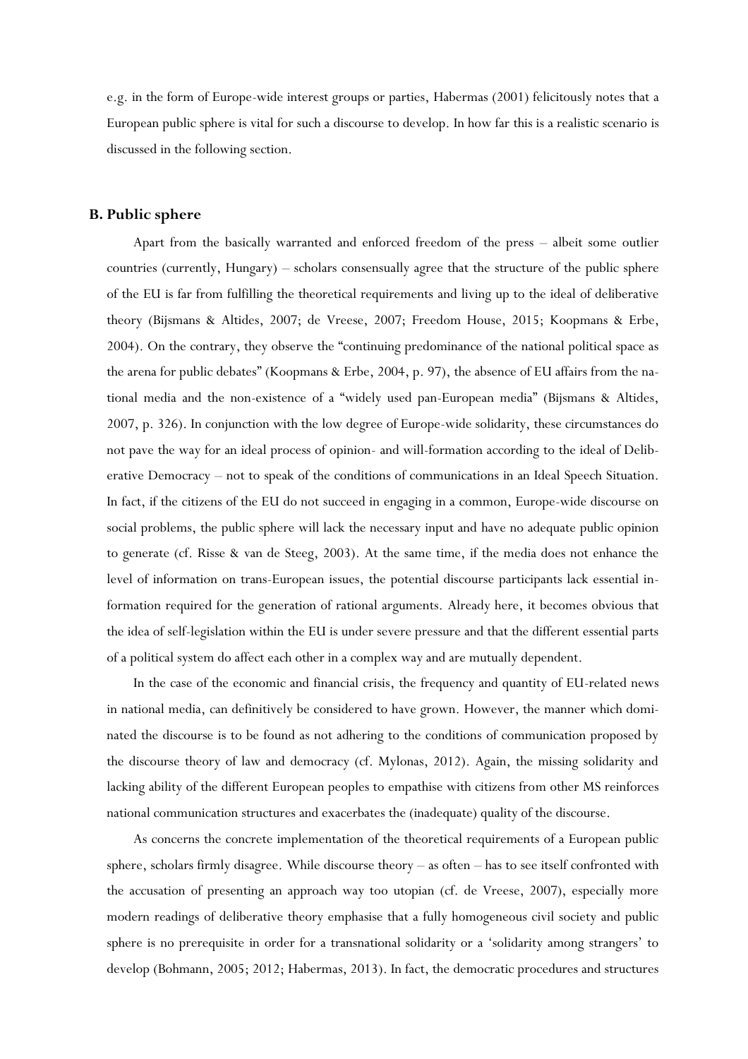e.g. in the form of Europe-wide interest groups or parties, Habermas (2001) felicitously notes that a European public sphere is vital for such a discourse to develop. In how far this is a realistic scenario is discussed in the following section.

## **B. Public sphere**

Apart from the basically warranted and enforced freedom of the press – albeit some outlier countries (currently, Hungary) – scholars consensually agree that the structure of the public sphere of the EU is far from fulfilling the theoretical requirements and living up to the ideal of deliberative theory (Bijsmans & Altides, 2007; de Vreese, 2007; Freedom House, 2015; Koopmans & Erbe, 2004). On the contrary, they observe the "continuing predominance of the national political space as the arena for public debates" (Koopmans & Erbe, 2004, p. 97), the absence of EU affairs from the national media and the non-existence of a "widely used pan-European media" (Bijsmans & Altides, 2007, p. 326). In conjunction with the low degree of Europe-wide solidarity, these circumstances do not pave the way for an ideal process of opinion- and will-formation according to the ideal of Deliberative Democracy – not to speak of the conditions of communications in an Ideal Speech Situation. In fact, if the citizens of the EU do not succeed in engaging in a common, Europe-wide discourse on social problems, the public sphere will lack the necessary input and have no adequate public opinion to generate (cf. Risse & van de Steeg, 2003). At the same time, if the media does not enhance the level of information on trans-European issues, the potential discourse participants lack essential information required for the generation of rational arguments. Already here, it becomes obvious that the idea of self-legislation within the EU is under severe pressure and that the different essential parts of a political system do affect each other in a complex way and are mutually dependent.

In the case of the economic and financial crisis, the frequency and quantity of EU-related news in national media, can definitively be considered to have grown. However, the manner which dominated the discourse is to be found as not adhering to the conditions of communication proposed by the discourse theory of law and democracy (cf. Mylonas, 2012). Again, the missing solidarity and lacking ability of the different European peoples to empathise with citizens from other MS reinforces national communication structures and exacerbates the (inadequate) quality of the discourse.

As concerns the concrete implementation of the theoretical requirements of a European public sphere, scholars firmly disagree. While discourse theory – as often – has to see itself confronted with the accusation of presenting an approach way too utopian (cf. de Vreese, 2007), especially more modern readings of deliberative theory emphasise that a fully homogeneous civil society and public sphere is no prerequisite in order for a transnational solidarity or a 'solidarity among strangers' to develop (Bohmann, 2005; 2012; Habermas, 2013). In fact, the democratic procedures and structures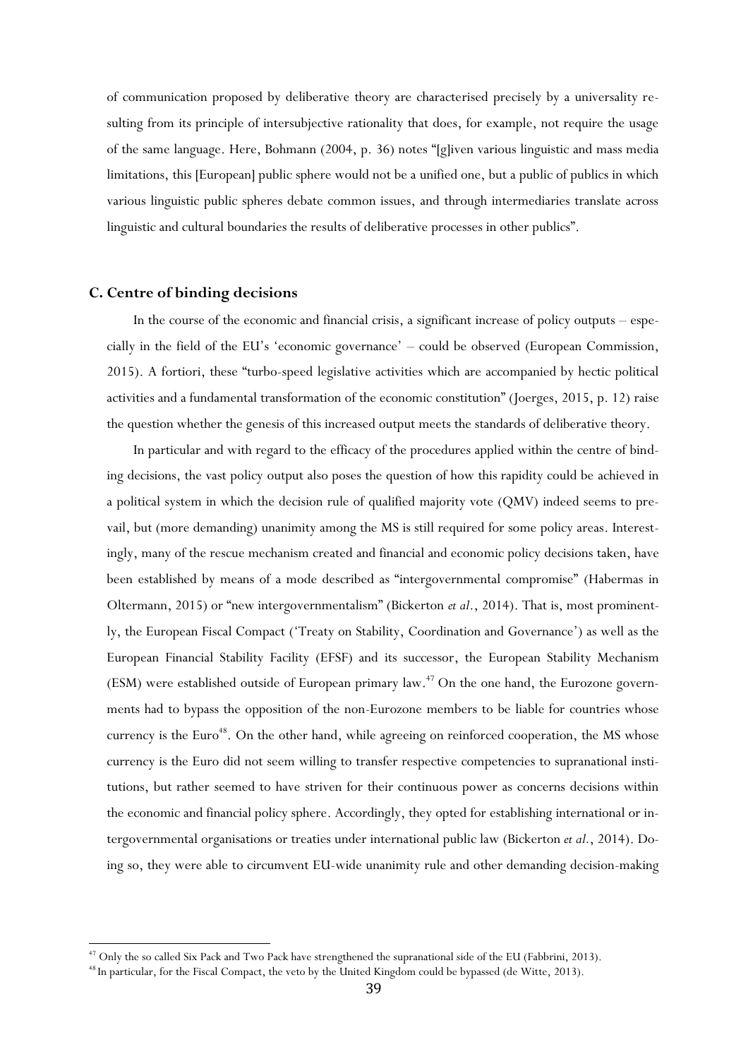of communication proposed by deliberative theory are characterised precisely by a universality resulting from its principle of intersubjective rationality that does, for example, not require the usage of the same language. Here, Bohmann (2004, p. 36) notes "[g]iven various linguistic and mass media limitations, this [European] public sphere would not be a unified one, but a public of publics in which various linguistic public spheres debate common issues, and through intermediaries translate across linguistic and cultural boundaries the results of deliberative processes in other publics".

#### **C. Centre of binding decisions**

 $\overline{\phantom{a}}$ 

In the course of the economic and financial crisis, a significant increase of policy outputs – especially in the field of the EU's 'economic governance' – could be observed (European Commission, 2015). A fortiori, these "turbo-speed legislative activities which are accompanied by hectic political activities and a fundamental transformation of the economic constitution" (Joerges, 2015, p. 12) raise the question whether the genesis of this increased output meets the standards of deliberative theory.

In particular and with regard to the efficacy of the procedures applied within the centre of binding decisions, the vast policy output also poses the question of how this rapidity could be achieved in a political system in which the decision rule of qualified majority vote (QMV) indeed seems to prevail, but (more demanding) unanimity among the MS is still required for some policy areas. Interestingly, many of the rescue mechanism created and financial and economic policy decisions taken, have been established by means of a mode described as "intergovernmental compromise" (Habermas in Oltermann, 2015) or "new intergovernmentalism" (Bickerton *et al*., 2014). That is, most prominently, the European Fiscal Compact ('Treaty on Stability, Coordination and Governance') as well as the European Financial Stability Facility (EFSF) and its successor, the European Stability Mechanism (ESM) were established outside of European primary law. <sup>47</sup> On the one hand, the Eurozone governments had to bypass the opposition of the non-Eurozone members to be liable for countries whose currency is the Euro<sup>48</sup>. On the other hand, while agreeing on reinforced cooperation, the MS whose currency is the Euro did not seem willing to transfer respective competencies to supranational institutions, but rather seemed to have striven for their continuous power as concerns decisions within the economic and financial policy sphere. Accordingly, they opted for establishing international or intergovernmental organisations or treaties under international public law (Bickerton *et al.*, 2014). Doing so, they were able to circumvent EU-wide unanimity rule and other demanding decision-making

<sup>&</sup>lt;sup>47</sup> Only the so called Six Pack and Two Pack have strengthened the supranational side of the EU (Fabbrini, 2013).

<sup>48</sup> In particular, for the Fiscal Compact, the veto by the United Kingdom could be bypassed (de Witte, 2013).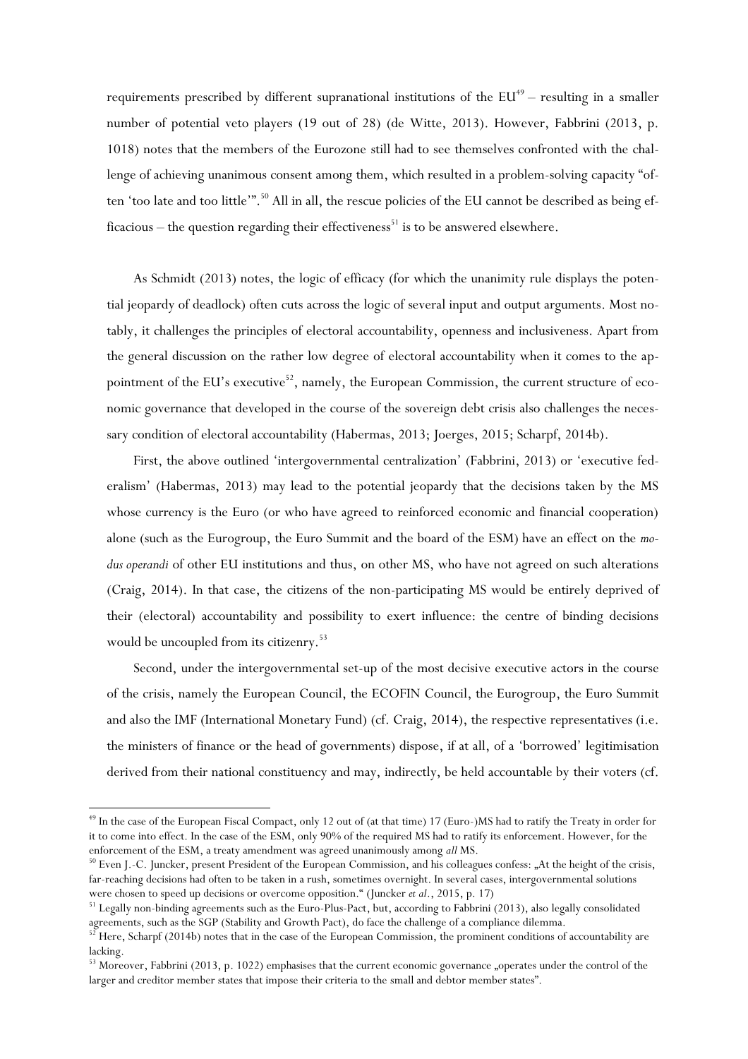requirements prescribed by different supranational institutions of the  $EU^{49}$  – resulting in a smaller number of potential veto players (19 out of 28) (de Witte, 2013). However, Fabbrini (2013, p. 1018) notes that the members of the Eurozone still had to see themselves confronted with the challenge of achieving unanimous consent among them, which resulted in a problem-solving capacity "often 'too late and too little'".<sup>50</sup> All in all, the rescue policies of the EU cannot be described as being efficacious – the question regarding their effectiveness<sup>51</sup> is to be answered elsewhere.

As Schmidt (2013) notes, the logic of efficacy (for which the unanimity rule displays the potential jeopardy of deadlock) often cuts across the logic of several input and output arguments. Most notably, it challenges the principles of electoral accountability, openness and inclusiveness. Apart from the general discussion on the rather low degree of electoral accountability when it comes to the appointment of the EU's executive<sup>52</sup>, namely, the European Commission, the current structure of economic governance that developed in the course of the sovereign debt crisis also challenges the necessary condition of electoral accountability (Habermas, 2013; Joerges, 2015; Scharpf, 2014b).

First, the above outlined 'intergovernmental centralization' (Fabbrini, 2013) or 'executive federalism' (Habermas, 2013) may lead to the potential jeopardy that the decisions taken by the MS whose currency is the Euro (or who have agreed to reinforced economic and financial cooperation) alone (such as the Eurogroup, the Euro Summit and the board of the ESM) have an effect on the *modus operandi* of other EU institutions and thus, on other MS, who have not agreed on such alterations (Craig, 2014). In that case, the citizens of the non-participating MS would be entirely deprived of their (electoral) accountability and possibility to exert influence: the centre of binding decisions would be uncoupled from its citizenry.<sup>53</sup>

Second, under the intergovernmental set-up of the most decisive executive actors in the course of the crisis, namely the European Council, the ECOFIN Council, the Eurogroup, the Euro Summit and also the IMF (International Monetary Fund) (cf. Craig, 2014), the respective representatives (i.e. the ministers of finance or the head of governments) dispose, if at all, of a 'borrowed' legitimisation derived from their national constituency and may, indirectly, be held accountable by their voters (cf.

<sup>&</sup>lt;sup>49</sup> In the case of the European Fiscal Compact, only 12 out of (at that time) 17 (Euro-)MS had to ratify the Treaty in order for it to come into effect. In the case of the ESM, only 90% of the required MS had to ratify its enforcement. However, for the enforcement of the ESM, a treaty amendment was agreed unanimously among *all* MS.

 $50$  Even J.-C. Juncker, present President of the European Commission, and his colleagues confess:  $\pi$ At the height of the crisis, far-reaching decisions had often to be taken in a rush, sometimes overnight. In several cases, intergovernmental solutions were chosen to speed up decisions or overcome opposition." (Juncker *et al*., 2015, p. 17)

<sup>51</sup> Legally non-binding agreements such as the Euro-Plus-Pact, but, according to Fabbrini (2013), also legally consolidated agreements, such as the SGP (Stability and Growth Pact), do face the challenge of a compliance dilemma.

 $52$  Here, Scharpf (2014b) notes that in the case of the European Commission, the prominent conditions of accountability are lacking.

<sup>53</sup> Moreover, Fabbrini (2013, p. 1022) emphasises that the current economic governance "operates under the control of the larger and creditor member states that impose their criteria to the small and debtor member states".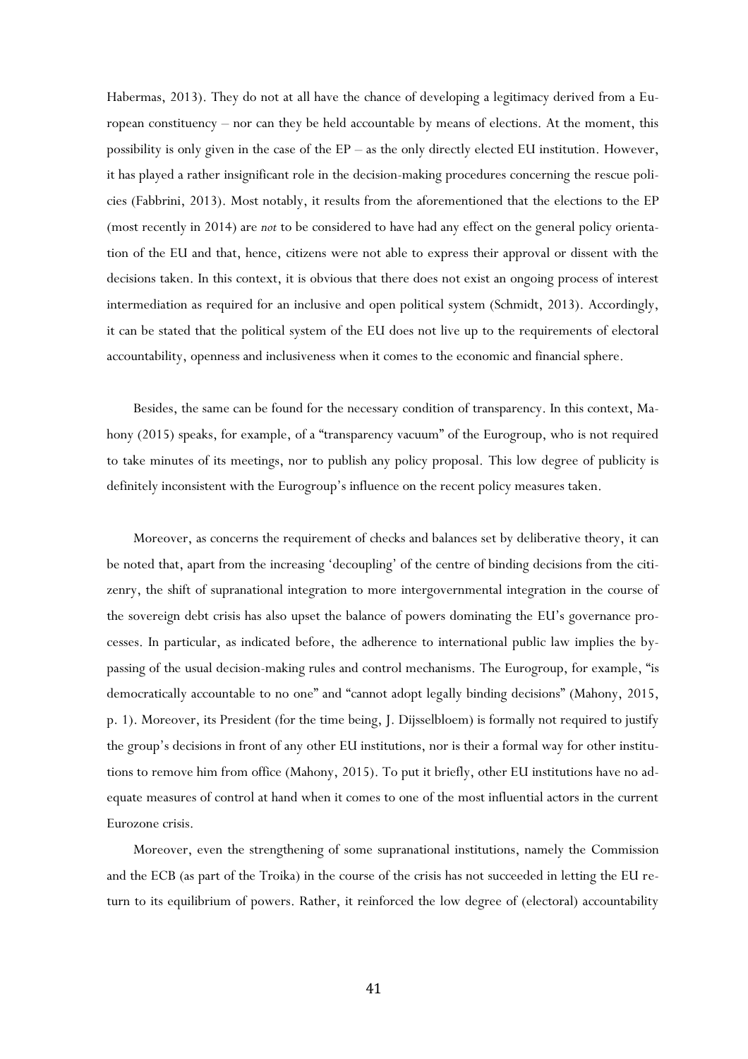Habermas, 2013). They do not at all have the chance of developing a legitimacy derived from a European constituency – nor can they be held accountable by means of elections. At the moment, this possibility is only given in the case of the EP – as the only directly elected EU institution. However, it has played a rather insignificant role in the decision-making procedures concerning the rescue policies (Fabbrini, 2013). Most notably, it results from the aforementioned that the elections to the EP (most recently in 2014) are *not* to be considered to have had any effect on the general policy orientation of the EU and that, hence, citizens were not able to express their approval or dissent with the decisions taken. In this context, it is obvious that there does not exist an ongoing process of interest intermediation as required for an inclusive and open political system (Schmidt, 2013). Accordingly, it can be stated that the political system of the EU does not live up to the requirements of electoral accountability, openness and inclusiveness when it comes to the economic and financial sphere.

Besides, the same can be found for the necessary condition of transparency. In this context, Mahony (2015) speaks, for example, of a "transparency vacuum" of the Eurogroup, who is not required to take minutes of its meetings, nor to publish any policy proposal. This low degree of publicity is definitely inconsistent with the Eurogroup's influence on the recent policy measures taken.

Moreover, as concerns the requirement of checks and balances set by deliberative theory, it can be noted that, apart from the increasing 'decoupling' of the centre of binding decisions from the citizenry, the shift of supranational integration to more intergovernmental integration in the course of the sovereign debt crisis has also upset the balance of powers dominating the EU's governance processes. In particular, as indicated before, the adherence to international public law implies the bypassing of the usual decision-making rules and control mechanisms. The Eurogroup, for example, "is democratically accountable to no one" and "cannot adopt legally binding decisions" (Mahony, 2015, p. 1). Moreover, its President (for the time being, J. Dijsselbloem) is formally not required to justify the group's decisions in front of any other EU institutions, nor is their a formal way for other institutions to remove him from office (Mahony, 2015). To put it briefly, other EU institutions have no adequate measures of control at hand when it comes to one of the most influential actors in the current Eurozone crisis.

Moreover, even the strengthening of some supranational institutions, namely the Commission and the ECB (as part of the Troika) in the course of the crisis has not succeeded in letting the EU return to its equilibrium of powers. Rather, it reinforced the low degree of (electoral) accountability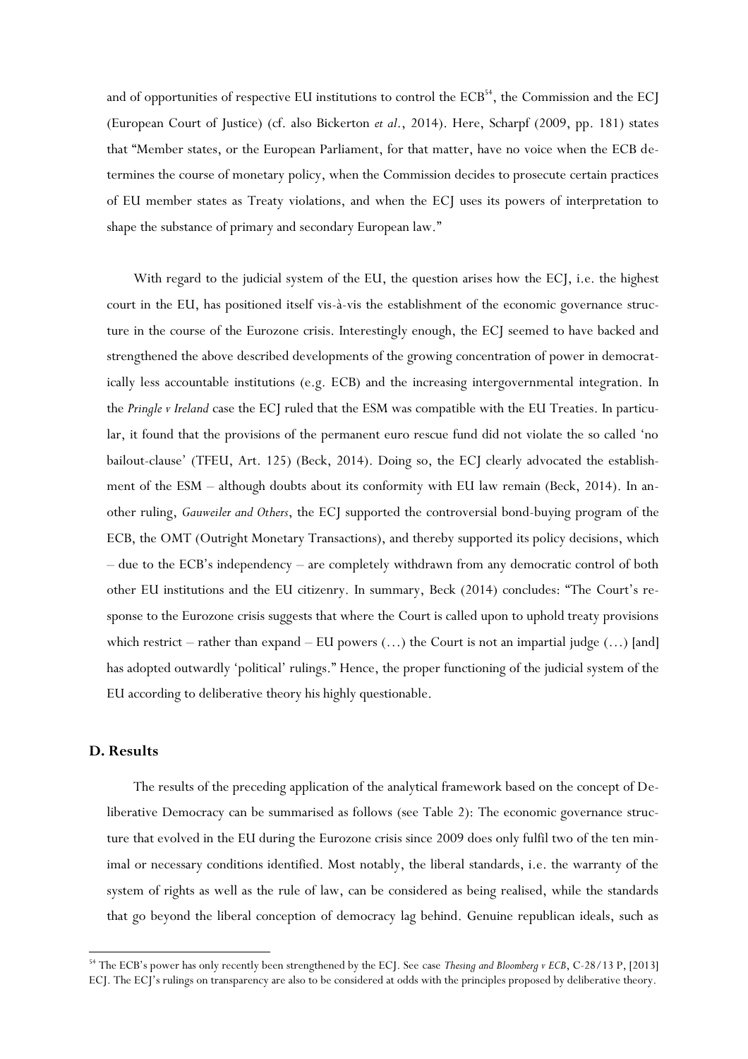and of opportunities of respective EU institutions to control the  $ECB<sup>54</sup>$ , the Commission and the ECJ (European Court of Justice) (cf. also Bickerton *et al*., 2014). Here, Scharpf (2009, pp. 181) states that "Member states, or the European Parliament, for that matter, have no voice when the ECB determines the course of monetary policy, when the Commission decides to prosecute certain practices of EU member states as Treaty violations, and when the ECJ uses its powers of interpretation to shape the substance of primary and secondary European law."

With regard to the judicial system of the EU, the question arises how the ECJ, i.e. the highest court in the EU, has positioned itself vis-à-vis the establishment of the economic governance structure in the course of the Eurozone crisis. Interestingly enough, the ECJ seemed to have backed and strengthened the above described developments of the growing concentration of power in democratically less accountable institutions (e.g. ECB) and the increasing intergovernmental integration. In the *Pringle v Ireland* case the ECJ ruled that the ESM was compatible with the EU Treaties. In particular, it found that the provisions of the permanent euro rescue fund did not violate the so called 'no bailout-clause' (TFEU, Art. 125) (Beck, 2014). Doing so, the ECJ clearly advocated the establishment of the ESM – although doubts about its conformity with EU law remain (Beck, 2014). In another ruling, *Gauweiler and Others*, the ECJ supported the controversial bond-buying program of the ECB, the OMT (Outright Monetary Transactions), and thereby supported its policy decisions, which – due to the ECB's independency – are completely withdrawn from any democratic control of both other EU institutions and the EU citizenry. In summary, Beck (2014) concludes: "The Court's response to the Eurozone crisis suggests that where the Court is called upon to uphold treaty provisions which restrict – rather than expand – EU powers  $(...)$  the Court is not an impartial judge  $(...)$  [and] has adopted outwardly 'political' rulings." Hence, the proper functioning of the judicial system of the EU according to deliberative theory his highly questionable.

## **D. Results**

 $\overline{\phantom{a}}$ 

The results of the preceding application of the analytical framework based on the concept of Deliberative Democracy can be summarised as follows (see Table 2): The economic governance structure that evolved in the EU during the Eurozone crisis since 2009 does only fulfil two of the ten minimal or necessary conditions identified. Most notably, the liberal standards, i.e. the warranty of the system of rights as well as the rule of law, can be considered as being realised, while the standards that go beyond the liberal conception of democracy lag behind. Genuine republican ideals, such as

<sup>54</sup> The ECB's power has only recently been strengthened by the ECJ. See case *Thesing and Bloomberg v ECB*, C-28/13 P, [2013] ECJ. The ECJ's rulings on transparency are also to be considered at odds with the principles proposed by deliberative theory.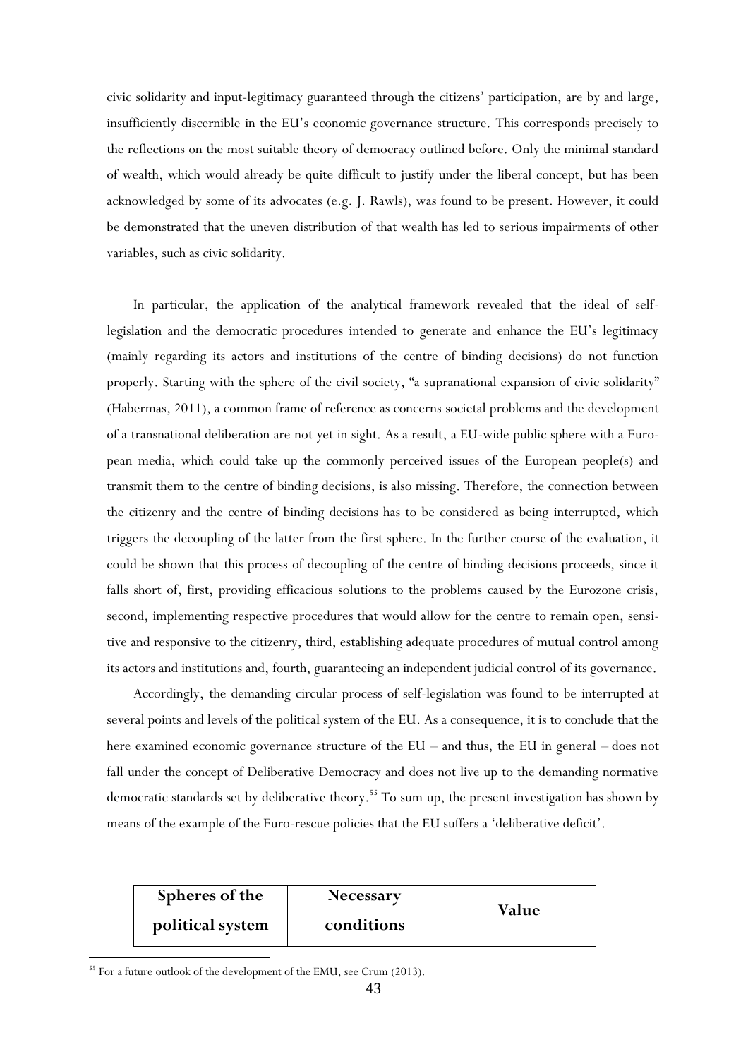civic solidarity and input-legitimacy guaranteed through the citizens' participation, are by and large, insufficiently discernible in the EU's economic governance structure. This corresponds precisely to the reflections on the most suitable theory of democracy outlined before. Only the minimal standard of wealth, which would already be quite difficult to justify under the liberal concept, but has been acknowledged by some of its advocates (e.g. J. Rawls), was found to be present. However, it could be demonstrated that the uneven distribution of that wealth has led to serious impairments of other variables, such as civic solidarity.

In particular, the application of the analytical framework revealed that the ideal of selflegislation and the democratic procedures intended to generate and enhance the EU's legitimacy (mainly regarding its actors and institutions of the centre of binding decisions) do not function properly. Starting with the sphere of the civil society, "a supranational expansion of civic solidarity" (Habermas, 2011), a common frame of reference as concerns societal problems and the development of a transnational deliberation are not yet in sight. As a result, a EU-wide public sphere with a European media, which could take up the commonly perceived issues of the European people(s) and transmit them to the centre of binding decisions, is also missing. Therefore, the connection between the citizenry and the centre of binding decisions has to be considered as being interrupted, which triggers the decoupling of the latter from the first sphere. In the further course of the evaluation, it could be shown that this process of decoupling of the centre of binding decisions proceeds, since it falls short of, first, providing efficacious solutions to the problems caused by the Eurozone crisis, second, implementing respective procedures that would allow for the centre to remain open, sensitive and responsive to the citizenry, third, establishing adequate procedures of mutual control among its actors and institutions and, fourth, guaranteeing an independent judicial control of its governance.

Accordingly, the demanding circular process of self-legislation was found to be interrupted at several points and levels of the political system of the EU. As a consequence, it is to conclude that the here examined economic governance structure of the EU – and thus, the EU in general – does not fall under the concept of Deliberative Democracy and does not live up to the demanding normative democratic standards set by deliberative theory.<sup>55</sup> To sum up, the present investigation has shown by means of the example of the Euro-rescue policies that the EU suffers a 'deliberative deficit'.

| Spheres of the   | <b>Necessary</b> | Value |
|------------------|------------------|-------|
| political system | conditions       |       |

<sup>&</sup>lt;sup>55</sup> For a future outlook of the development of the EMU, see Crum (2013).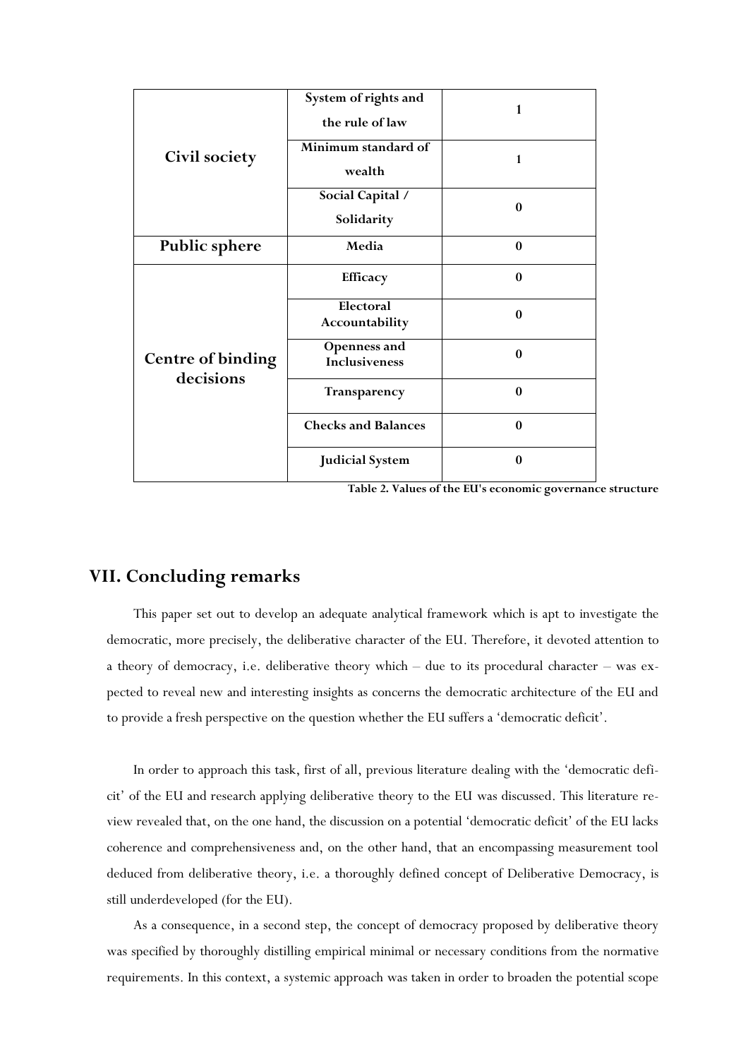|                                       | System of rights and<br>the rule of law | 1                |
|---------------------------------------|-----------------------------------------|------------------|
| <b>Civil society</b>                  | Minimum standard of<br>wealth           | 1                |
|                                       | Social Capital /<br>Solidarity          | $\mathbf{0}$     |
| <b>Public sphere</b>                  | Media                                   | $\mathbf{0}$     |
|                                       | Efficacy                                | $\mathbf{0}$     |
|                                       | Electoral<br>Accountability             | $\boldsymbol{0}$ |
| <b>Centre of binding</b><br>decisions | Openness and<br><b>Inclusiveness</b>    | $\mathbf{0}$     |
|                                       | Transparency                            | $\bf{0}$         |
|                                       | <b>Checks and Balances</b>              | $\mathbf{0}$     |
|                                       | <b>Judicial System</b>                  | $\boldsymbol{0}$ |

**Table 2. Values of the EU's economic governance structure**

## **VII. Concluding remarks**

This paper set out to develop an adequate analytical framework which is apt to investigate the democratic, more precisely, the deliberative character of the EU. Therefore, it devoted attention to a theory of democracy, i.e. deliberative theory which – due to its procedural character – was expected to reveal new and interesting insights as concerns the democratic architecture of the EU and to provide a fresh perspective on the question whether the EU suffers a 'democratic deficit'.

In order to approach this task, first of all, previous literature dealing with the 'democratic deficit' of the EU and research applying deliberative theory to the EU was discussed. This literature review revealed that, on the one hand, the discussion on a potential 'democratic deficit' of the EU lacks coherence and comprehensiveness and, on the other hand, that an encompassing measurement tool deduced from deliberative theory, i.e. a thoroughly defined concept of Deliberative Democracy, is still underdeveloped (for the EU).

As a consequence, in a second step, the concept of democracy proposed by deliberative theory was specified by thoroughly distilling empirical minimal or necessary conditions from the normative requirements. In this context, a systemic approach was taken in order to broaden the potential scope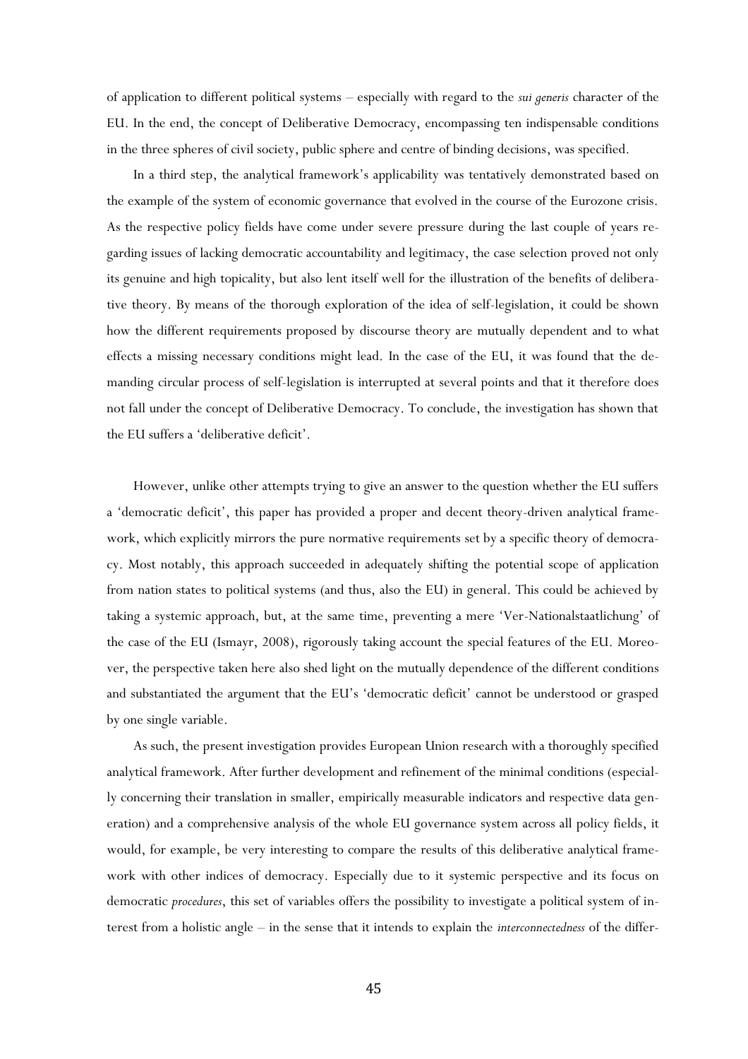of application to different political systems – especially with regard to the *sui generis* character of the EU. In the end, the concept of Deliberative Democracy, encompassing ten indispensable conditions in the three spheres of civil society, public sphere and centre of binding decisions, was specified.

In a third step, the analytical framework's applicability was tentatively demonstrated based on the example of the system of economic governance that evolved in the course of the Eurozone crisis. As the respective policy fields have come under severe pressure during the last couple of years regarding issues of lacking democratic accountability and legitimacy, the case selection proved not only its genuine and high topicality, but also lent itself well for the illustration of the benefits of deliberative theory. By means of the thorough exploration of the idea of self-legislation, it could be shown how the different requirements proposed by discourse theory are mutually dependent and to what effects a missing necessary conditions might lead. In the case of the EU, it was found that the demanding circular process of self-legislation is interrupted at several points and that it therefore does not fall under the concept of Deliberative Democracy. To conclude, the investigation has shown that the EU suffers a 'deliberative deficit'.

However, unlike other attempts trying to give an answer to the question whether the EU suffers a 'democratic deficit', this paper has provided a proper and decent theory-driven analytical framework, which explicitly mirrors the pure normative requirements set by a specific theory of democracy. Most notably, this approach succeeded in adequately shifting the potential scope of application from nation states to political systems (and thus, also the EU) in general. This could be achieved by taking a systemic approach, but, at the same time, preventing a mere 'Ver-Nationalstaatlichung' of the case of the EU (Ismayr, 2008), rigorously taking account the special features of the EU. Moreover, the perspective taken here also shed light on the mutually dependence of the different conditions and substantiated the argument that the EU's 'democratic deficit' cannot be understood or grasped by one single variable.

As such, the present investigation provides European Union research with a thoroughly specified analytical framework. After further development and refinement of the minimal conditions (especially concerning their translation in smaller, empirically measurable indicators and respective data generation) and a comprehensive analysis of the whole EU governance system across all policy fields, it would, for example, be very interesting to compare the results of this deliberative analytical framework with other indices of democracy. Especially due to it systemic perspective and its focus on democratic *procedures*, this set of variables offers the possibility to investigate a political system of interest from a holistic angle – in the sense that it intends to explain the *interconnectedness* of the differ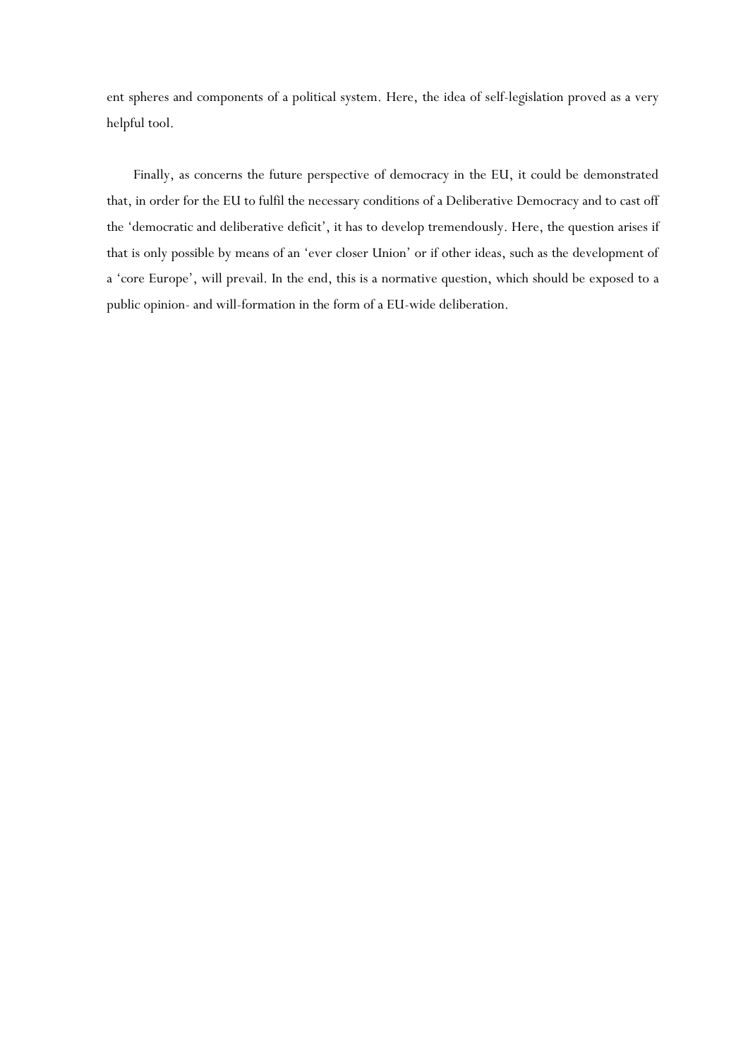ent spheres and components of a political system. Here, the idea of self-legislation proved as a very helpful tool.

Finally, as concerns the future perspective of democracy in the EU, it could be demonstrated that, in order for the EU to fulfil the necessary conditions of a Deliberative Democracy and to cast off the 'democratic and deliberative deficit', it has to develop tremendously. Here, the question arises if that is only possible by means of an 'ever closer Union' or if other ideas, such as the development of a 'core Europe', will prevail. In the end, this is a normative question, which should be exposed to a public opinion- and will-formation in the form of a EU-wide deliberation.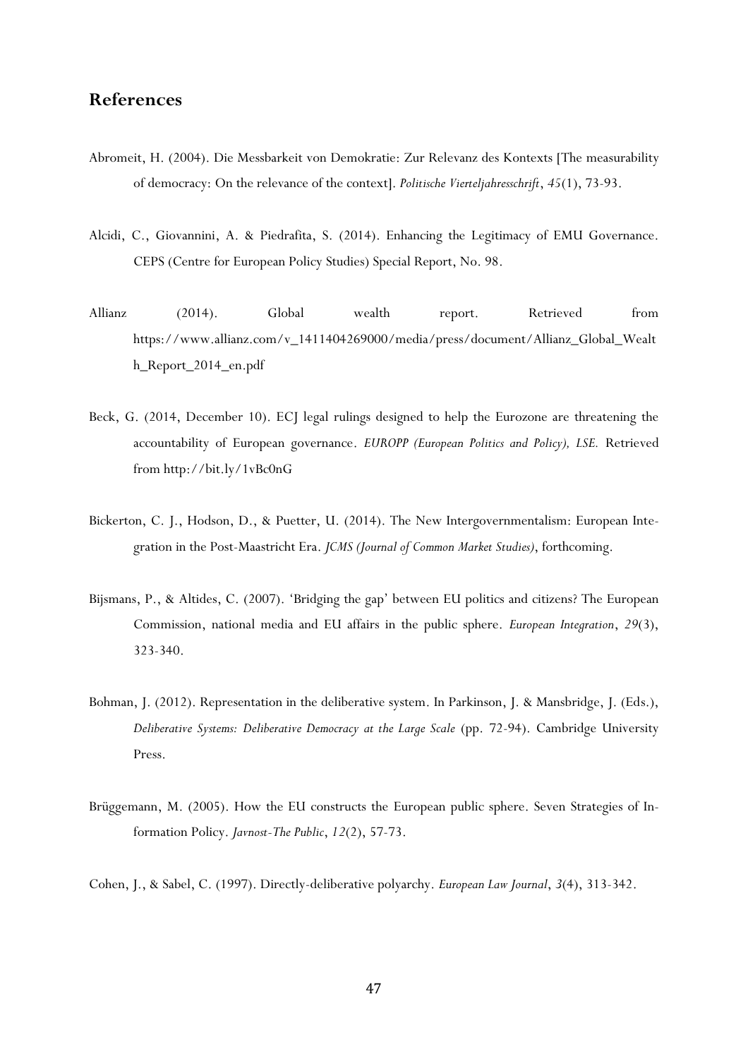## **References**

- Abromeit, H. (2004). Die Messbarkeit von Demokratie: Zur Relevanz des Kontexts [The measurability of democracy: On the relevance of the context]. *Politische Vierteljahresschrift*, *45*(1), 73-93.
- Alcidi, C., Giovannini, A. & Piedrafita, S. (2014). Enhancing the Legitimacy of EMU Governance. CEPS (Centre for European Policy Studies) Special Report, No. 98.
- Allianz (2014). Global wealth report. Retrieved from https://www.allianz.com/v\_1411404269000/media/press/document/Allianz\_Global\_Wealt h\_Report\_2014\_en.pdf
- Beck, G. (2014, December 10). ECJ legal rulings designed to help the Eurozone are threatening the accountability of European governance. *EUROPP (European Politics and Policy), LSE.* Retrieved from http://bit.ly/1vBc0nG
- Bickerton, C. J., Hodson, D., & Puetter, U. (2014). The New Intergovernmentalism: European Integration in the Post-Maastricht Era. *JCMS (Journal of Common Market Studies)*, forthcoming.
- Bijsmans, P., & Altides, C. (2007). 'Bridging the gap' between EU politics and citizens? The European Commission, national media and EU affairs in the public sphere. *European Integration*, *29*(3), 323-340.
- Bohman, J. (2012). Representation in the deliberative system. In Parkinson, J. & Mansbridge, J. (Eds.), *Deliberative Systems: Deliberative Democracy at the Large Scale* (pp. 72-94). Cambridge University Press.
- Brüggemann, M. (2005). How the EU constructs the European public sphere. Seven Strategies of Information Policy. *Javnost-The Public*, *12*(2), 57-73.

Cohen, J., & Sabel, C. (1997). Directly-deliberative polyarchy. *European Law Journal*, *3*(4), 313-342.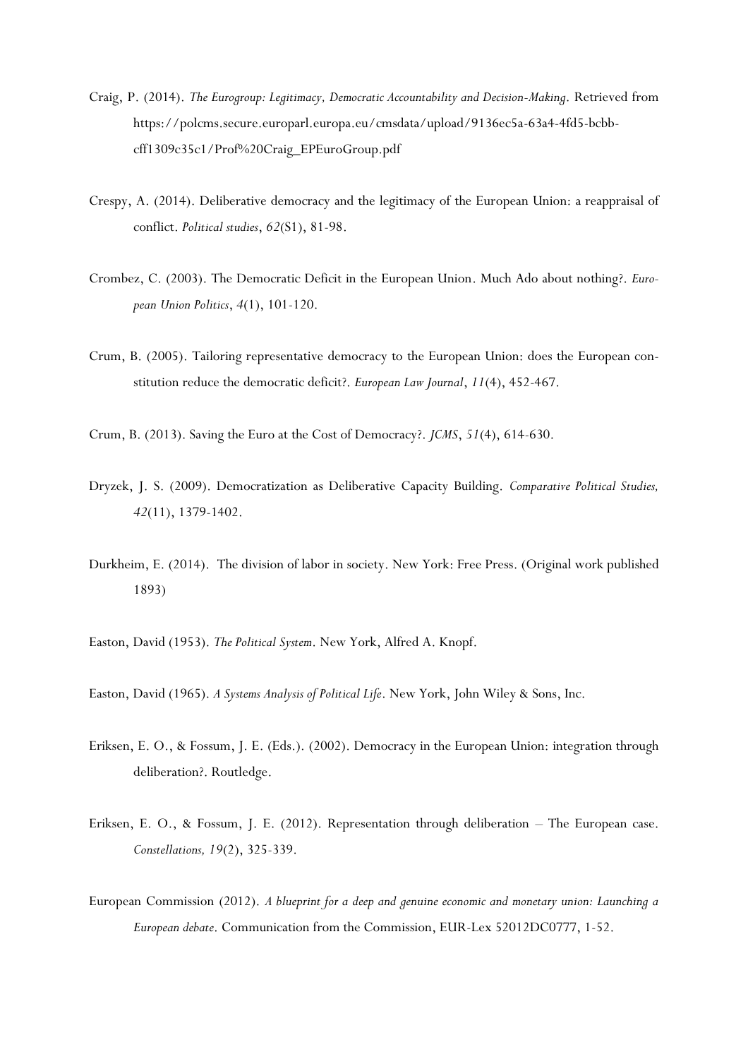- Craig, P. (2014). *The Eurogroup: Legitimacy, Democratic Accountability and Decision-Making*. Retrieved from https://polcms.secure.europarl.europa.eu/cmsdata/upload/9136ec5a-63a4-4fd5-bcbbcff1309c35c1/Prof%20Craig\_EPEuroGroup.pdf
- Crespy, A. (2014). Deliberative democracy and the legitimacy of the European Union: a reappraisal of conflict. *Political studies*, *62*(S1), 81-98.
- Crombez, C. (2003). The Democratic Deficit in the European Union. Much Ado about nothing?. *European Union Politics*, *4*(1), 101-120.
- Crum, B. (2005). Tailoring representative democracy to the European Union: does the European constitution reduce the democratic deficit?. *European Law Journal*, *11*(4), 452-467.
- Crum, B. (2013). Saving the Euro at the Cost of Democracy?. *JCMS*, *51*(4), 614-630.
- Dryzek, J. S. (2009). Democratization as Deliberative Capacity Building. *Comparative Political Studies, 42*(11), 1379-1402.
- Durkheim, E. (2014). The division of labor in society. New York: Free Press. (Original work published 1893)
- Easton, David (1953). *The Political System*. New York, Alfred A. Knopf.
- Easton, David (1965). *A Systems Analysis of Political Life*. New York, John Wiley & Sons, Inc.
- Eriksen, E. O., & Fossum, J. E. (Eds.). (2002). Democracy in the European Union: integration through deliberation?. Routledge.
- Eriksen, E. O., & Fossum, J. E. (2012). Representation through deliberation The European case. *Constellations, 19*(2), 325-339.
- European Commission (2012). *A blueprint for a deep and genuine economic and monetary union: Launching a European debate*. Communication from the Commission, EUR-Lex 52012DC0777, 1-52.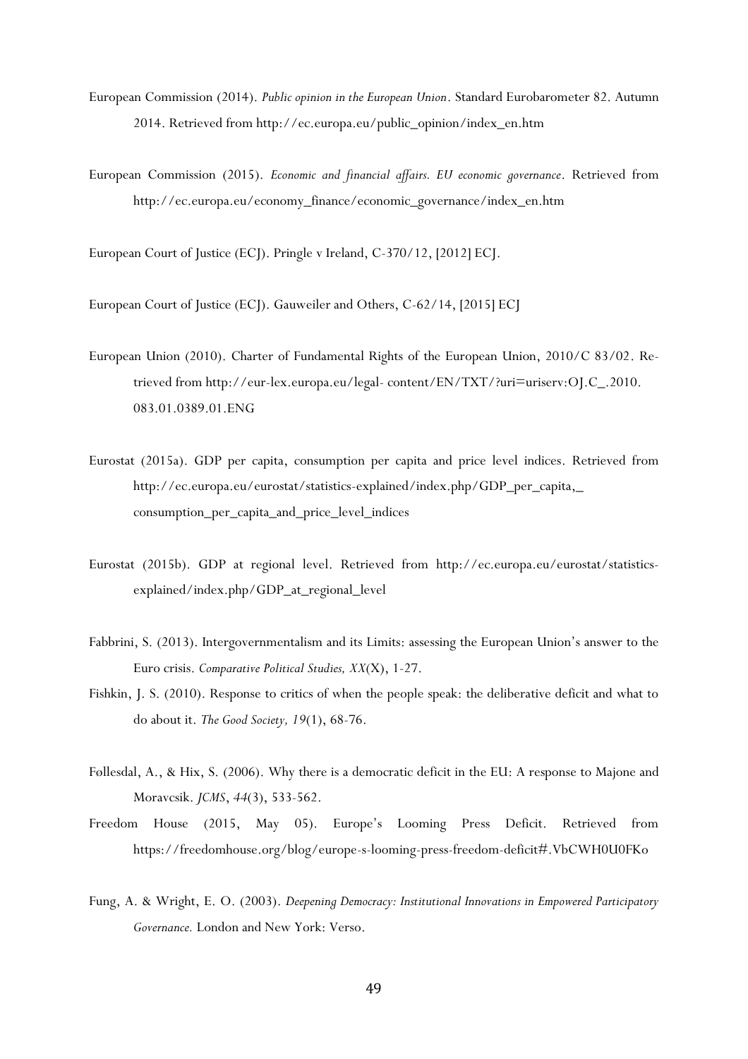- European Commission (2014). *Public opinion in the European Union*. Standard Eurobarometer 82. Autumn 2014. Retrieved from http://ec.europa.eu/public\_opinion/index\_en.htm
- European Commission (2015). *Economic and financial affairs. EU economic governance*. Retrieved from http://ec.europa.eu/economy\_finance/economic\_governance/index\_en.htm

European Court of Justice (ECJ). Pringle v Ireland, C-370/12, [2012] ECJ.

European Court of Justice (ECJ). Gauweiler and Others, C-62/14, [2015] ECJ

- European Union (2010). Charter of Fundamental Rights of the European Union, 2010/C 83/02. Retrieved from http://eur-lex.europa.eu/legal- content/EN/TXT/?uri=uriserv:OJ.C\_.2010. 083.01.0389.01.ENG
- Eurostat (2015a). GDP per capita, consumption per capita and price level indices. Retrieved from http://ec.europa.eu/eurostat/statistics-explained/index.php/GDP\_per\_capita,\_ consumption\_per\_capita\_and\_price\_level\_indices
- Eurostat (2015b). GDP at regional level. Retrieved from http://ec.europa.eu/eurostat/statisticsexplained/index.php/GDP\_at\_regional\_level
- Fabbrini, S. (2013). Intergovernmentalism and its Limits: assessing the European Union's answer to the Euro crisis. *Comparative Political Studies, XX*(X), 1-27.
- Fishkin, J. S. (2010). Response to critics of when the people speak: the deliberative deficit and what to do about it. *The Good Society, 19*(1), 68-76.
- Føllesdal, A., & Hix, S. (2006). Why there is a democratic deficit in the EU: A response to Majone and Moravcsik. *JCMS*, *44*(3), 533-562.
- Freedom House (2015, May 05). Europe's Looming Press Deficit. Retrieved from https://freedomhouse.org/blog/europe-s-looming-press-freedom-deficit#.VbCWH0U0FKo
- Fung, A. & Wright, E. O. (2003). *Deepening Democracy: Institutional Innovations in Empowered Participatory Governance.* London and New York: Verso.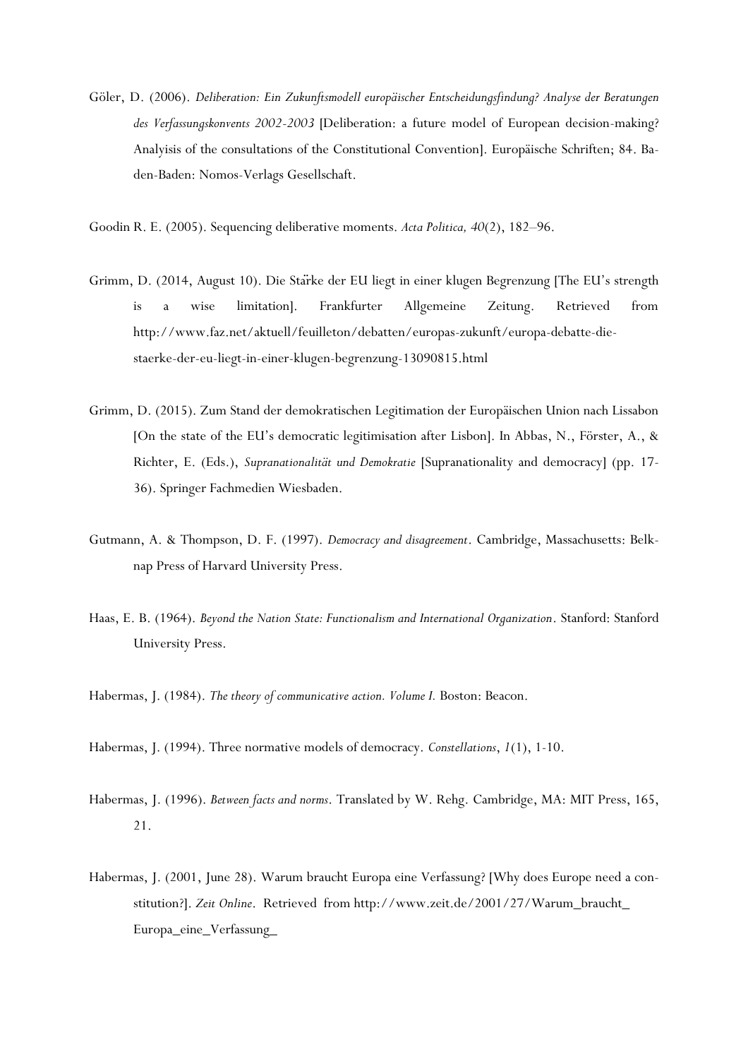Göler, D. (2006). *Deliberation: Ein Zukunftsmodell europäischer Entscheidungsfindung? Analyse der Beratungen des Verfassungskonvents 2002-2003* [Deliberation: a future model of European decision-making? Analyisis of the consultations of the Constitutional Convention]. Europäische Schriften; 84. Baden-Baden: Nomos-Verlags Gesellschaft.

Goodin R. E. (2005). Sequencing deliberative moments. *Acta Politica, 40*(2), 182–96.

- Grimm, D. (2014, August 10). Die Stärke der EU liegt in einer klugen Begrenzung [The EU's strength is a wise limitation]. Frankfurter Allgemeine Zeitung. Retrieved from http://www.faz.net/aktuell/feuilleton/debatten/europas-zukunft/europa-debatte-diestaerke-der-eu-liegt-in-einer-klugen-begrenzung-13090815.html
- Grimm, D. (2015). Zum Stand der demokratischen Legitimation der Europäischen Union nach Lissabon [On the state of the EU's democratic legitimisation after Lisbon]. In Abbas, N., Förster, A., & Richter, E. (Eds.), *Supranationalität und Demokratie* [Supranationality and democracy] (pp. 17- 36). Springer Fachmedien Wiesbaden.
- Gutmann, A. & Thompson, D. F. (1997). *Democracy and disagreement*. Cambridge, Massachusetts: Belknap Press of Harvard University Press.
- Haas, E. B. (1964). *Beyond the Nation State: Functionalism and International Organization*. Stanford: Stanford University Press.
- Habermas, J. (1984). *The theory of communicative action. Volume I.* Boston: Beacon.
- Habermas, J. (1994). Three normative models of democracy. *Constellations*, *1*(1), 1-10.
- Habermas, J. (1996). *Between facts and norms*. Translated by W. Rehg. Cambridge, MA: MIT Press, 165, 21.
- Habermas, J. (2001, June 28). Warum braucht Europa eine Verfassung? [Why does Europe need a constitution?]. *Zeit Online*. Retrieved from http://www.zeit.de/2001/27/Warum\_braucht\_ Europa\_eine\_Verfassung\_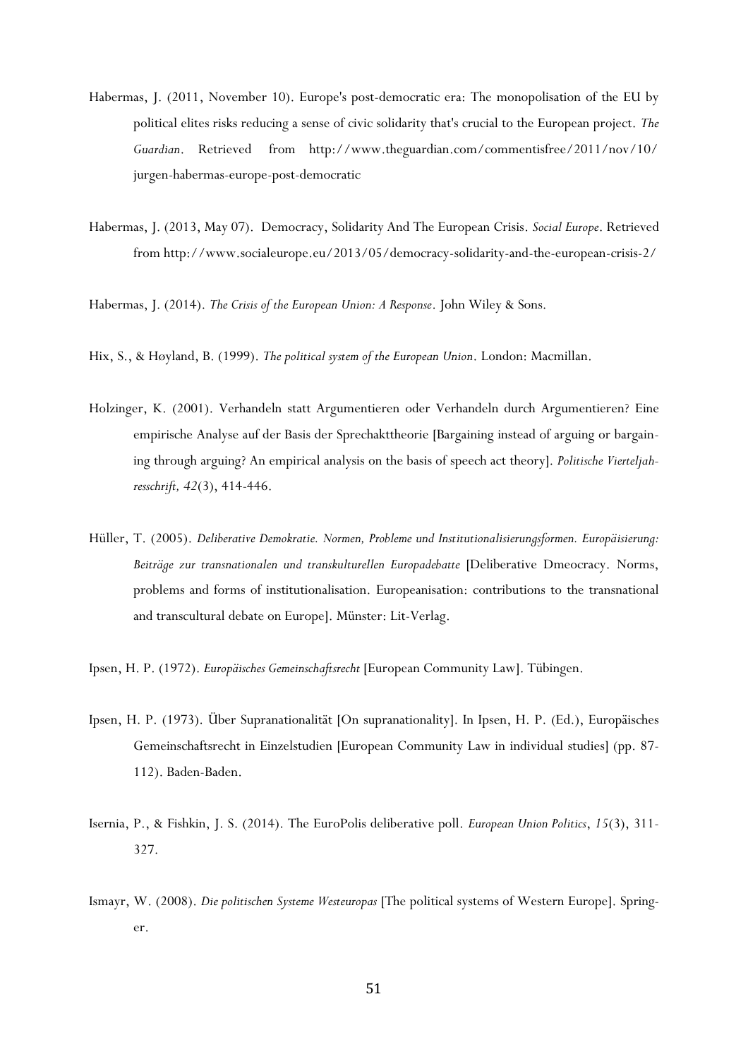- Habermas, J. (2011, November 10). Europe's post-democratic era: The monopolisation of the EU by political elites risks reducing a sense of civic solidarity that's crucial to the European project. *The Guardian*. Retrieved from http://www.theguardian.com/commentisfree/2011/nov/10/ jurgen-habermas-europe-post-democratic
- Habermas, J. (2013, May 07). Democracy, Solidarity And The European Crisis. *Social Europe*. Retrieved from http://www.socialeurope.eu/2013/05/democracy-solidarity-and-the-european-crisis-2/
- Habermas, J. (2014). *The Crisis of the European Union: A Response*. John Wiley & Sons.
- Hix, S., & Høyland, B. (1999). *The political system of the European Union*. London: Macmillan.
- Holzinger, K. (2001). Verhandeln statt Argumentieren oder Verhandeln durch Argumentieren? Eine empirische Analyse auf der Basis der Sprechakttheorie [Bargaining instead of arguing or bargaining through arguing? An empirical analysis on the basis of speech act theory]. *Politische Vierteljahresschrift, 42*(3), 414-446.
- Hüller, T. (2005). *Deliberative Demokratie. Normen, Probleme und Institutionalisierungsformen. Europäisierung: Beiträge zur transnationalen und transkulturellen Europadebatte* [Deliberative Dmeocracy. Norms, problems and forms of institutionalisation. Europeanisation: contributions to the transnational and transcultural debate on Europe]. Münster: Lit-Verlag.
- Ipsen, H. P. (1972). *Europäisches Gemeinschaftsrecht* [European Community Law]. Tübingen.
- Ipsen, H. P. (1973). Über Supranationalität [On supranationality]. In Ipsen, H. P. (Ed.), Europäisches Gemeinschaftsrecht in Einzelstudien [European Community Law in individual studies] (pp. 87- 112). Baden-Baden.
- Isernia, P., & Fishkin, J. S. (2014). The EuroPolis deliberative poll. *European Union Politics*, *15*(3), 311- 327.
- Ismayr, W. (2008). *Die politischen Systeme Westeuropas* [The political systems of Western Europe]. Springer.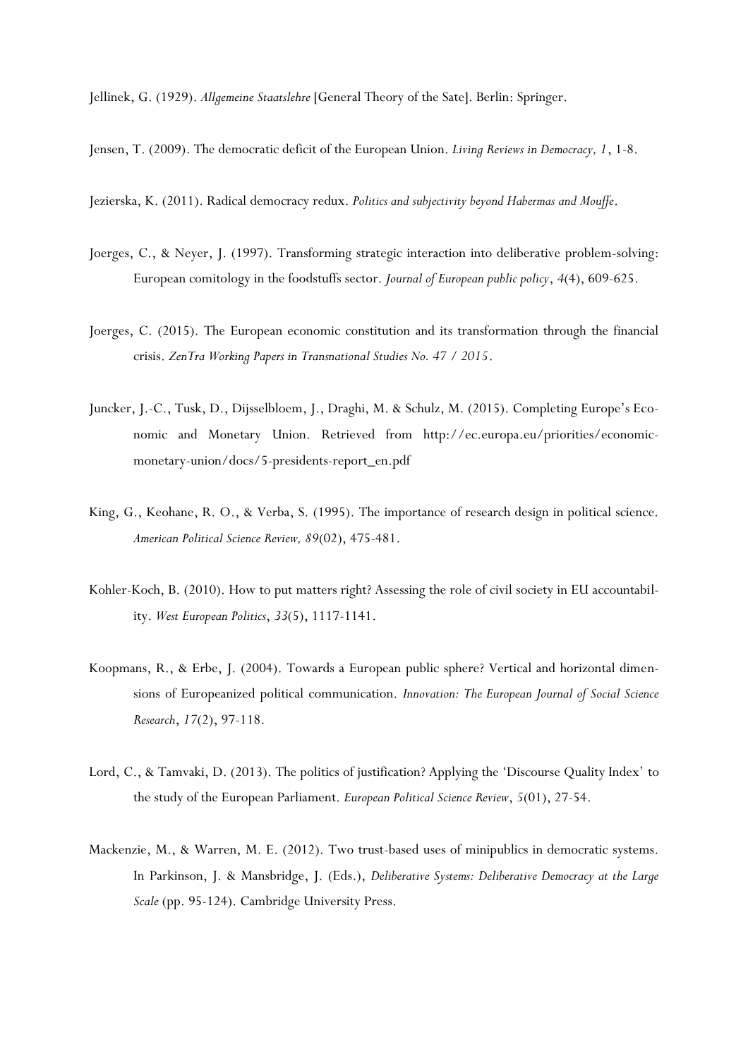Jellinek, G. (1929). *Allgemeine Staatslehre* [General Theory of the Sate]. Berlin: Springer.

Jensen, T. (2009). The democratic deficit of the European Union. *Living Reviews in Democracy, 1*, 1-8.

Jezierska, K. (2011). Radical democracy redux. *Politics and subjectivity beyond Habermas and Mouffe*.

- Joerges, C., & Neyer, J. (1997). Transforming strategic interaction into deliberative problem-solving: European comitology in the foodstuffs sector. *Journal of European public policy*, *4*(4), 609-625.
- Joerges, C. (2015). The European economic constitution and its transformation through the financial crisis. *ZenTra Working Papers in Transnational Studies No. 47 / 2015*.
- Juncker, J.-C., Tusk, D., Dijsselbloem, J., Draghi, M. & Schulz, M. (2015). Completing Europe's Economic and Monetary Union. Retrieved from http://ec.europa.eu/priorities/economicmonetary-union/docs/5-presidents-report\_en.pdf
- King, G., Keohane, R. O., & Verba, S. (1995). The importance of research design in political science. *American Political Science Review, 89*(02), 475-481.
- Kohler-Koch, B. (2010). How to put matters right? Assessing the role of civil society in EU accountability. *West European Politics*, *33*(5), 1117-1141.
- Koopmans, R., & Erbe, J. (2004). Towards a European public sphere? Vertical and horizontal dimensions of Europeanized political communication. *Innovation: The European Journal of Social Science Research*, *17*(2), 97-118.
- Lord, C., & Tamvaki, D. (2013). The politics of justification? Applying the 'Discourse Quality Index' to the study of the European Parliament. *European Political Science Review*, *5*(01), 27-54.
- Mackenzie, M., & Warren, M. E. (2012). Two trust-based uses of minipublics in democratic systems. In Parkinson, J. & Mansbridge, J. (Eds.), *Deliberative Systems: Deliberative Democracy at the Large Scale* (pp. 95-124). Cambridge University Press.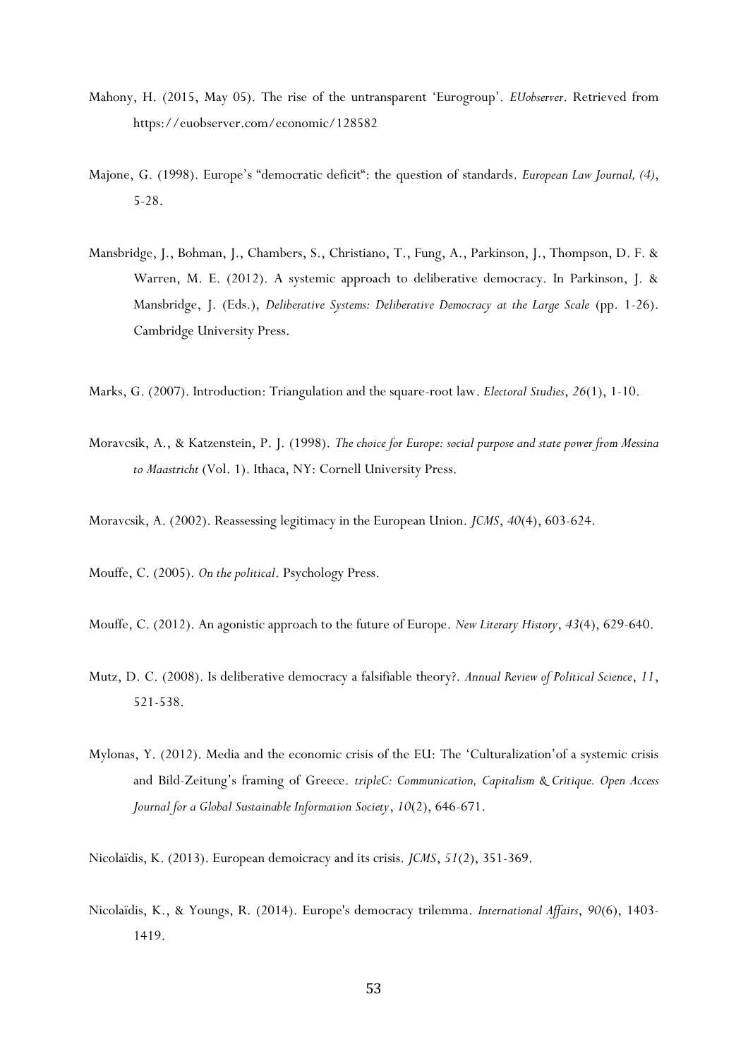- Mahony, H. (2015, May 05). The rise of the untransparent 'Eurogroup'. *EUobserver*. Retrieved from https://euobserver.com/economic/128582
- Majone, G. (1998). Europe's "democratic deficit": the question of standards. *European Law Journal, (4)*, 5-28.
- Mansbridge, J., Bohman, J., Chambers, S., Christiano, T., Fung, A., Parkinson, J., Thompson, D. F. & Warren, M. E. (2012). A systemic approach to deliberative democracy. In Parkinson, J. & Mansbridge, J. (Eds.), *Deliberative Systems: Deliberative Democracy at the Large Scale* (pp. 1-26). Cambridge University Press.
- Marks, G. (2007). Introduction: Triangulation and the square-root law. *Electoral Studies*, *26*(1), 1-10.
- Moravcsik, A., & Katzenstein, P. J. (1998). *The choice for Europe: social purpose and state power from Messina to Maastricht* (Vol. 1). Ithaca, NY: Cornell University Press.
- Moravcsik, A. (2002). Reassessing legitimacy in the European Union. *JCMS*, *40*(4), 603-624.
- Mouffe, C. (2005). *On the political*. Psychology Press.
- Mouffe, C. (2012). An agonistic approach to the future of Europe. *New Literary History*, *43*(4), 629-640.
- Mutz, D. C. (2008). Is deliberative democracy a falsifiable theory?. *Annual Review of Political Science*, *11*, 521-538.
- Mylonas, Y. (2012). Media and the economic crisis of the EU: The 'Culturalization'of a systemic crisis and Bild-Zeitung's framing of Greece. *tripleC: Communication, Capitalism & Critique. Open Access Journal for a Global Sustainable Information Society*, *10*(2), 646-671.
- Nicolaïdis, K. (2013). European demoicracy and its crisis. *JCMS*, *51*(2), 351-369.
- Nicolaïdis, K., & Youngs, R. (2014). Europe's democracy trilemma. *International Affairs*, *90*(6), 1403- 1419.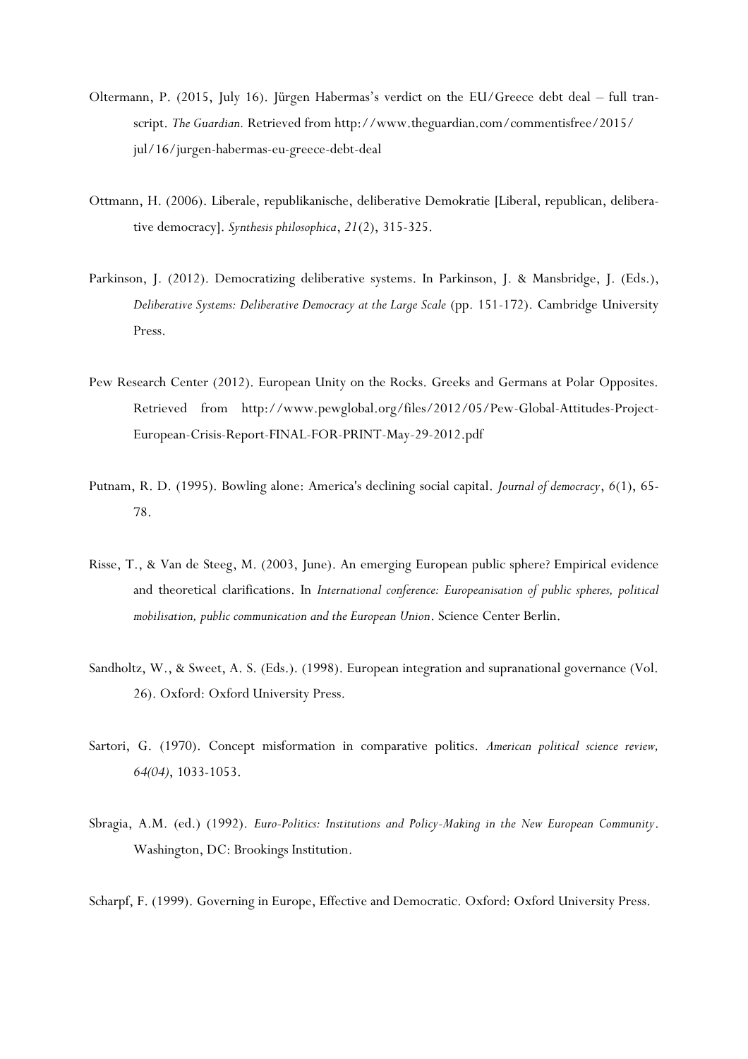- Oltermann, P. (2015, July 16). Jürgen Habermas's verdict on the EU/Greece debt deal full transcript. *The Guardian.* Retrieved from http://www.theguardian.com/commentisfree/2015/ jul/16/jurgen-habermas-eu-greece-debt-deal
- Ottmann, H. (2006). Liberale, republikanische, deliberative Demokratie [Liberal, republican, deliberative democracy]. *Synthesis philosophica*, *21*(2), 315-325.
- Parkinson, J. (2012). Democratizing deliberative systems. In Parkinson, J. & Mansbridge, J. (Eds.), *Deliberative Systems: Deliberative Democracy at the Large Scale* (pp. 151-172). Cambridge University Press.
- Pew Research Center (2012). European Unity on the Rocks. Greeks and Germans at Polar Opposites. Retrieved from http://www.pewglobal.org/files/2012/05/Pew-Global-Attitudes-Project-European-Crisis-Report-FINAL-FOR-PRINT-May-29-2012.pdf
- Putnam, R. D. (1995). Bowling alone: America's declining social capital. *Journal of democracy*, *6*(1), 65- 78.
- Risse, T., & Van de Steeg, M. (2003, June). An emerging European public sphere? Empirical evidence and theoretical clarifications. In *International conference: Europeanisation of public spheres, political mobilisation, public communication and the European Union*. Science Center Berlin.
- Sandholtz, W., & Sweet, A. S. (Eds.). (1998). European integration and supranational governance (Vol. 26). Oxford: Oxford University Press.
- Sartori, G. (1970). Concept misformation in comparative politics. *American political science review, 64(04)*, 1033-1053.
- Sbragia, A.M. (ed.) (1992). *Euro-Politics: Institutions and Policy-Making in the New European Community*. Washington, DC: Brookings Institution.
- Scharpf, F. (1999). Governing in Europe, Effective and Democratic. Oxford: Oxford University Press.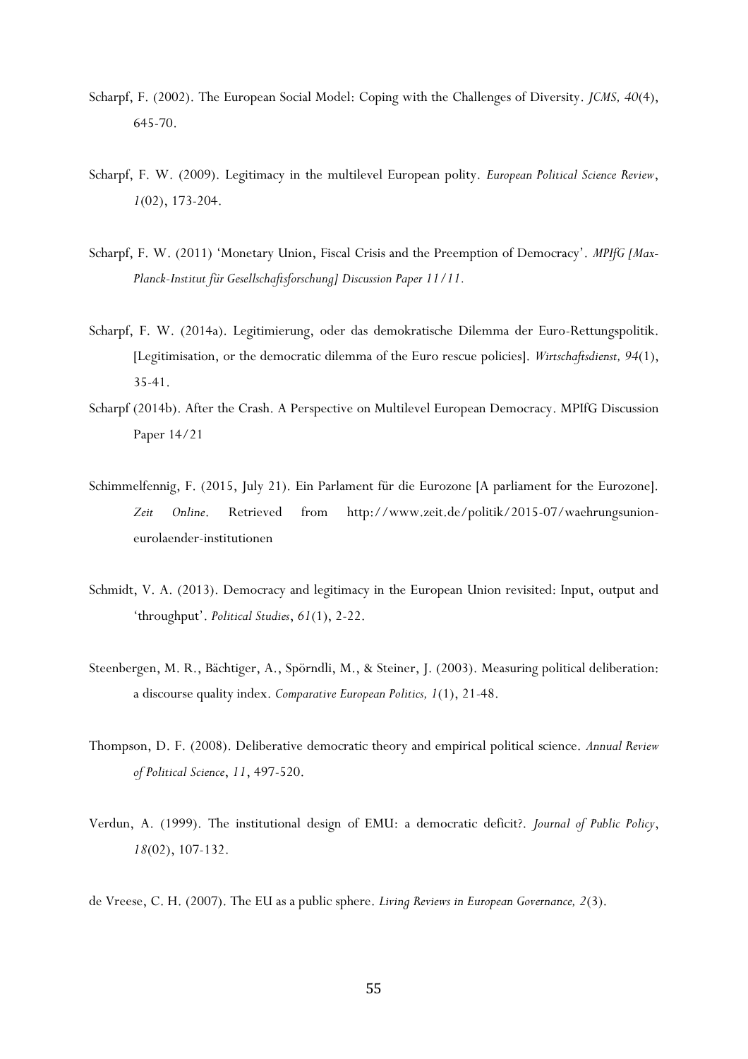- Scharpf, F. (2002). The European Social Model: Coping with the Challenges of Diversity. *JCMS, 40*(4), 645-70.
- Scharpf, F. W. (2009). Legitimacy in the multilevel European polity. *European Political Science Review*, *1*(02), 173-204.
- Scharpf, F. W. (2011) 'Monetary Union, Fiscal Crisis and the Preemption of Democracy'. *MPIfG [Max-Planck-Institut für Gesellschaftsforschung] Discussion Paper 11/11.*
- Scharpf, F. W. (2014a). Legitimierung, oder das demokratische Dilemma der Euro-Rettungspolitik. [Legitimisation, or the democratic dilemma of the Euro rescue policies]. *Wirtschaftsdienst, 94*(1), 35-41.
- Scharpf (2014b). After the Crash. A Perspective on Multilevel European Democracy. MPIfG Discussion Paper 14/21
- Schimmelfennig, F. (2015, July 21). Ein Parlament für die Eurozone [A parliament for the Eurozone]. *Zeit Online*. Retrieved from http://www.zeit.de/politik/2015-07/waehrungsunioneurolaender-institutionen
- Schmidt, V. A. (2013). Democracy and legitimacy in the European Union revisited: Input, output and 'throughput'. *Political Studies*, *61*(1), 2-22.
- Steenbergen, M. R., Bächtiger, A., Spörndli, M., & Steiner, J. (2003). Measuring political deliberation: a discourse quality index. *Comparative European Politics, 1*(1), 21-48.
- Thompson, D. F. (2008). Deliberative democratic theory and empirical political science. *Annual Review of Political Science*, *11*, 497-520.
- Verdun, A. (1999). The institutional design of EMU: a democratic deficit?. *Journal of Public Policy*, *18*(02), 107-132.

de Vreese, C. H. (2007). The EU as a public sphere. *Living Reviews in European Governance, 2*(3).